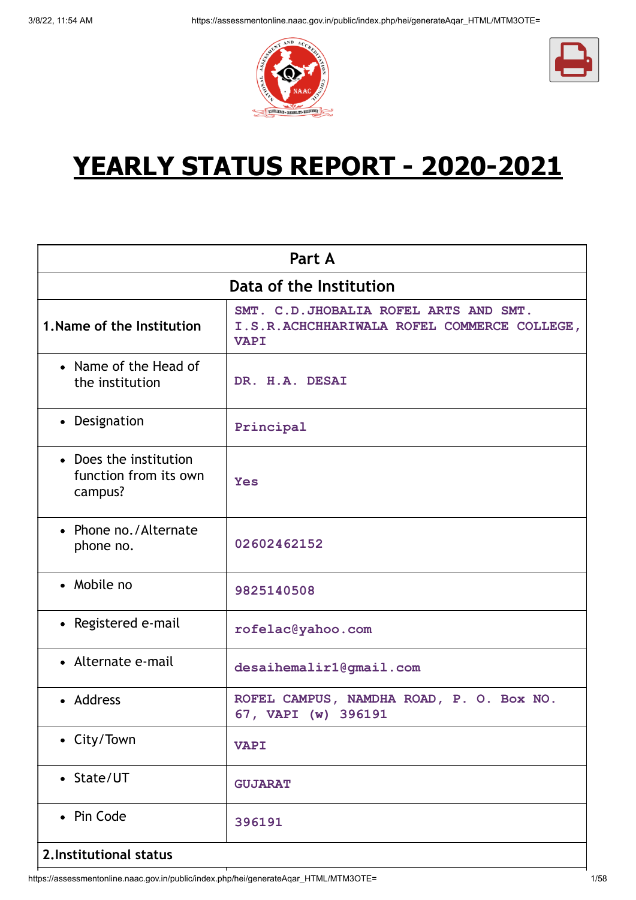



# **YEARLY STATUS REPORT - 2020-2021**

| Part A                                                     |                                                                                                     |  |
|------------------------------------------------------------|-----------------------------------------------------------------------------------------------------|--|
| Data of the Institution                                    |                                                                                                     |  |
| 1. Name of the Institution                                 | SMT. C.D.JHOBALIA ROFEL ARTS AND SMT.<br>I.S.R.ACHCHHARIWALA ROFEL COMMERCE COLLEGE,<br><b>VAPI</b> |  |
| • Name of the Head of<br>the institution                   | DR. H.A. DESAI                                                                                      |  |
| • Designation                                              | Principal                                                                                           |  |
| • Does the institution<br>function from its own<br>campus? | <b>Yes</b>                                                                                          |  |
| • Phone no./Alternate<br>phone no.                         | 02602462152                                                                                         |  |
| • Mobile no                                                | 9825140508                                                                                          |  |
| • Registered e-mail                                        | rofelac@yahoo.com                                                                                   |  |
| • Alternate e-mail                                         | desaihemalir1@gmail.com                                                                             |  |
| • Address                                                  | ROFEL CAMPUS, NAMDHA ROAD, P. O. Box NO.<br>67, VAPI (w) 396191                                     |  |
| • City/Town                                                | <b>VAPI</b>                                                                                         |  |
| • State/UT                                                 | <b>GUJARAT</b>                                                                                      |  |
| • Pin Code                                                 | 396191                                                                                              |  |
| 2. Institutional status                                    |                                                                                                     |  |

https://assessmentonline.naac.gov.in/public/index.php/hei/generateAqar\_HTML/MTM3OTE= 1/58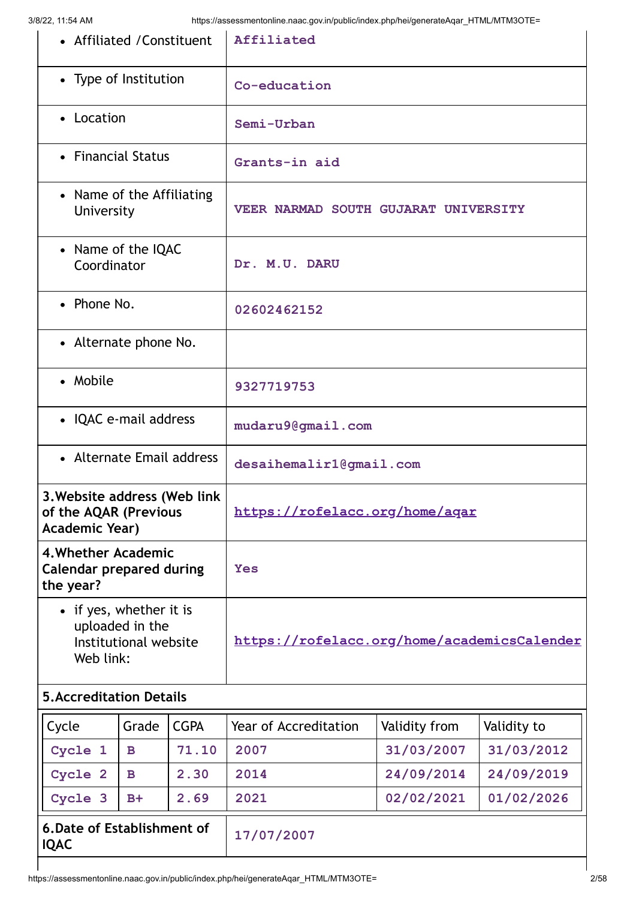| • Affiliated / Constituent                                                       |             | Affiliated                                  |               |             |
|----------------------------------------------------------------------------------|-------------|---------------------------------------------|---------------|-------------|
| • Type of Institution                                                            |             | Co-education                                |               |             |
| • Location                                                                       |             | Semi-Urban                                  |               |             |
| • Financial Status                                                               |             | Grants-in aid                               |               |             |
| • Name of the Affiliating<br>University                                          |             | VEER NARMAD SOUTH GUJARAT UNIVERSITY        |               |             |
| • Name of the IQAC<br>Coordinator                                                |             | Dr. M.U. DARU                               |               |             |
| • Phone No.                                                                      |             | 02602462152                                 |               |             |
| • Alternate phone No.                                                            |             |                                             |               |             |
| • Mobile                                                                         |             | 9327719753                                  |               |             |
| • IQAC e-mail address                                                            |             | mudaru9@gmail.com                           |               |             |
| • Alternate Email address                                                        |             | desaihemalir1@gmail.com                     |               |             |
| 3. Website address (Web link<br>of the AQAR (Previous<br><b>Academic Year)</b>   |             | https://rofelacc.org/home/agar              |               |             |
| 4. Whether Academic<br><b>Calendar prepared during</b><br>the year?              |             | <b>Yes</b>                                  |               |             |
| • if yes, whether it is<br>uploaded in the<br>Institutional website<br>Web link: |             | https://rofelacc.org/home/academicsCalender |               |             |
| <b>5. Accreditation Details</b>                                                  |             |                                             |               |             |
| Cycle<br>Grade                                                                   | <b>CGPA</b> | <b>Year of Accreditation</b>                | Validity from | Validity to |
| Cycle 1<br>$\mathbf B$                                                           | 71.10       | 2007                                        | 31/03/2007    | 31/03/2012  |
| Cycle 2<br>$\mathbf B$                                                           | 2.30        | 2014                                        | 24/09/2014    | 24/09/2019  |
| Cycle 3<br>$B+$                                                                  | 2.69        | 2021                                        | 02/02/2021    | 01/02/2026  |
| 6. Date of Establishment of<br><b>IQAC</b>                                       |             | 17/07/2007                                  |               |             |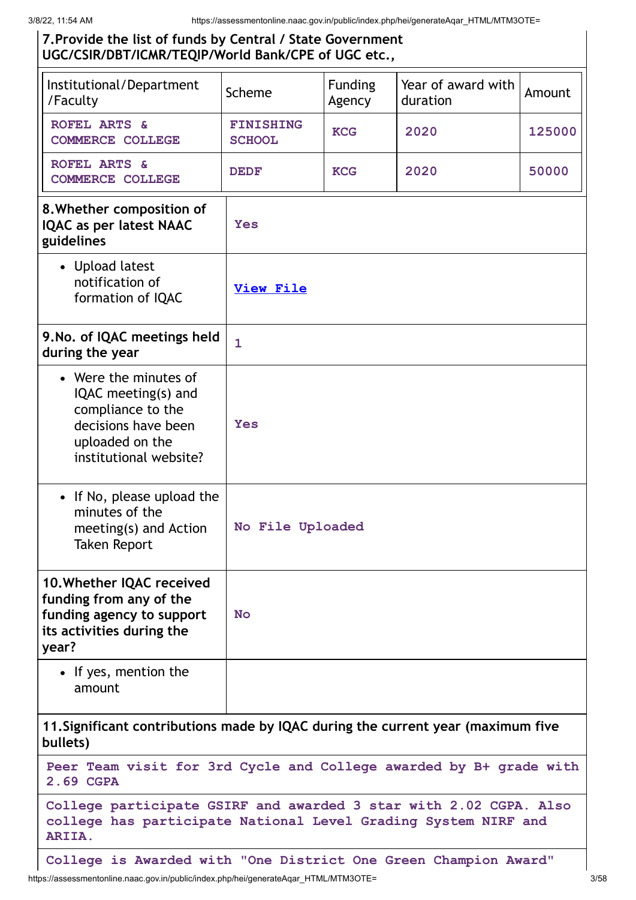#### **7.Provide the list of funds by Central / State Government UGC/CSIR/DBT/ICMR/TEQIP/World Bank/CPE of UGC etc.,**

| Institutional/Department<br>/Faculty                                                                                                          | Scheme                            | <b>Funding</b><br>Agency | Year of award with<br>duration | Amount |
|-----------------------------------------------------------------------------------------------------------------------------------------------|-----------------------------------|--------------------------|--------------------------------|--------|
| ROFEL ARTS &<br><b>COMMERCE COLLEGE</b>                                                                                                       | <b>FINISHING</b><br><b>SCHOOL</b> | <b>KCG</b>               | 2020                           | 125000 |
| ROFEL ARTS &<br><b>COMMERCE COLLEGE</b>                                                                                                       | <b>DEDF</b>                       | <b>KCG</b>               | 2020                           | 50000  |
| 8. Whether composition of<br><b>IQAC as per latest NAAC</b><br>guidelines                                                                     | Yes                               |                          |                                |        |
| • Upload latest<br>notification of<br>formation of IQAC                                                                                       | <b>View File</b>                  |                          |                                |        |
| 9. No. of IQAC meetings held<br>during the year                                                                                               | $\mathbf{1}$                      |                          |                                |        |
| • Were the minutes of<br>IQAC meeting(s) and<br>compliance to the<br>decisions have been<br>uploaded on the<br>institutional website?         | Yes                               |                          |                                |        |
| • If No, please upload the<br>minutes of the<br>meeting(s) and Action<br><b>Taken Report</b>                                                  | No File Uploaded                  |                          |                                |        |
| 10. Whether IQAC received<br>funding from any of the<br>funding agency to support<br>its activities during the<br>year?                       | <b>No</b>                         |                          |                                |        |
| • If yes, mention the<br>amount                                                                                                               |                                   |                          |                                |        |
| 11. Significant contributions made by IQAC during the current year (maximum five<br>bullets)                                                  |                                   |                          |                                |        |
| Peer Team visit for 3rd Cycle and College awarded by B+ grade with<br>2.69 CGPA                                                               |                                   |                          |                                |        |
| College participate GSIRF and awarded 3 star with 2.02 CGPA. Also<br>college has participate National Level Grading System NIRF and<br>ARIIA. |                                   |                          |                                |        |

**College is Awarded with "One District One Green Champion Award"**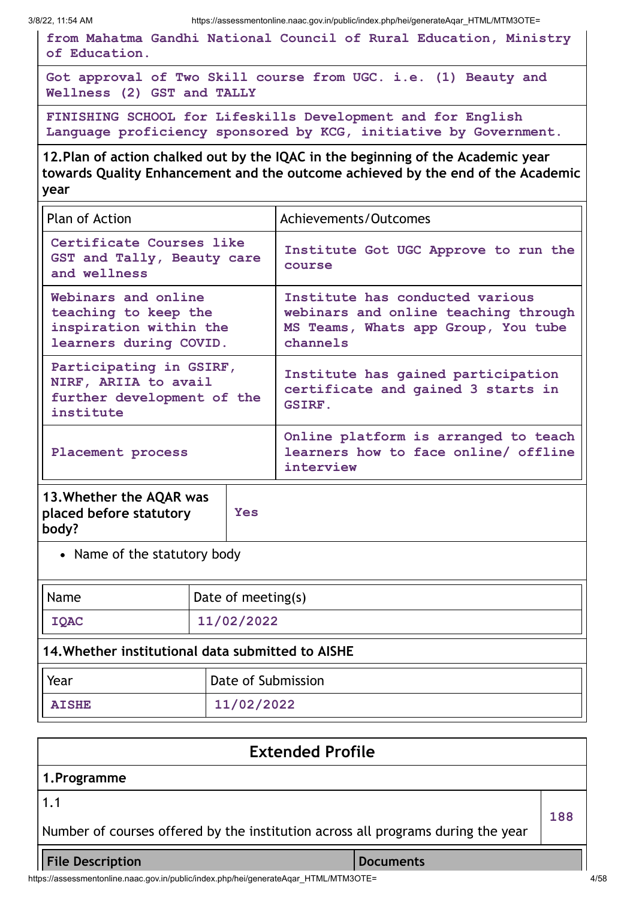**from Mahatma Gandhi National Council of Rural Education, Ministry of Education.**

**Got approval of Two Skill course from UGC. i.e. (1) Beauty and Wellness (2) GST and TALLY**

**FINISHING SCHOOL for Lifeskills Development and for English Language proficiency sponsored by KCG, initiative by Government.**

**12.Plan of action chalked out by the IQAC in the beginning of the Academic year towards Quality Enhancement and the outcome achieved by the end of the Academic year**

| <b>Plan of Action</b>                                                                           | Achievements/Outcomes                                                                                                      |
|-------------------------------------------------------------------------------------------------|----------------------------------------------------------------------------------------------------------------------------|
| Certificate Courses like<br>GST and Tally, Beauty care<br>and wellness                          | Institute Got UGC Approve to run the<br>course                                                                             |
| Webinars and online<br>teaching to keep the<br>inspiration within the<br>learners during COVID. | Institute has conducted various<br>webinars and online teaching through<br>MS Teams, Whats app Group, You tube<br>channels |
| Participating in GSIRF,<br>NIRF, ARIIA to avail<br>further development of the<br>institute      | Institute has gained participation<br>certificate and gained 3 starts in<br><b>GSIRF.</b>                                  |
| Placement process                                                                               | Online platform is arranged to teach<br>learners how to face online/ offline<br>interview                                  |

| 13. Whether the AQAR was<br>placed before statutory<br>body? | <b>Yes</b> |
|--------------------------------------------------------------|------------|
| $\sim$ 1 $\sim$ 1 $\sim$ 1                                   |            |

• Name of the statutory body

| Name<br>Date of meeting(s)                        |                    |  |
|---------------------------------------------------|--------------------|--|
| 11/02/2022<br><b>IQAC</b>                         |                    |  |
| 14. Whether institutional data submitted to AISHE |                    |  |
| Year                                              | Date of Submission |  |
| <b>AISHE</b>                                      | 11/02/2022         |  |

## **Extended Profile 1.Programme** 1.1 Number of courses offered by the institution across all programs during the year **188 File Description Documents**

https://assessmentonline.naac.gov.in/public/index.php/hei/generateAqar\_HTML/MTM3OTE= 4/58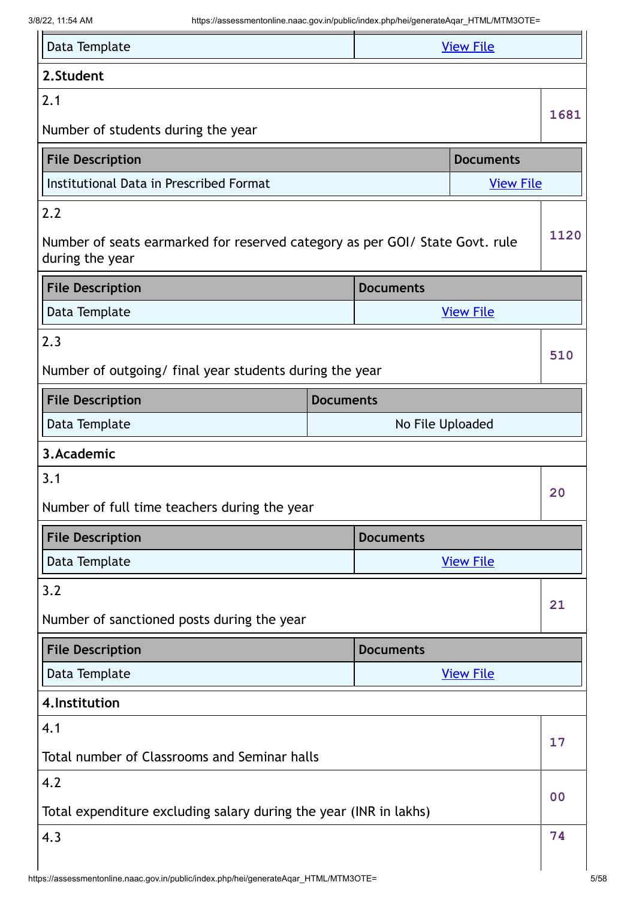| Data Template<br><b>View File</b>                                                               |                  |                  |                  |                |
|-------------------------------------------------------------------------------------------------|------------------|------------------|------------------|----------------|
| 2.Student                                                                                       |                  |                  |                  |                |
| 2.1                                                                                             |                  |                  |                  | 1681           |
| Number of students during the year                                                              |                  |                  |                  |                |
| <b>File Description</b>                                                                         |                  |                  | <b>Documents</b> |                |
| Institutional Data in Prescribed Format                                                         |                  |                  | <b>View File</b> |                |
| 2.2                                                                                             |                  |                  |                  |                |
| Number of seats earmarked for reserved category as per GOI/ State Govt. rule<br>during the year |                  |                  |                  | 1120           |
| <b>File Description</b>                                                                         |                  | <b>Documents</b> |                  |                |
| Data Template                                                                                   |                  |                  | <b>View File</b> |                |
| 2.3                                                                                             |                  |                  |                  |                |
| Number of outgoing/ final year students during the year                                         |                  |                  |                  | 510            |
| <b>File Description</b>                                                                         | <b>Documents</b> |                  |                  |                |
| Data Template                                                                                   |                  | No File Uploaded |                  |                |
| 3.Academic                                                                                      |                  |                  |                  |                |
| 3.1                                                                                             |                  |                  |                  | 20             |
| Number of full time teachers during the year                                                    |                  |                  |                  |                |
| <b>File Description</b>                                                                         |                  | <b>Documents</b> |                  |                |
| Data Template                                                                                   |                  |                  | <b>View File</b> |                |
| 3.2                                                                                             |                  |                  |                  | 21             |
| Number of sanctioned posts during the year                                                      |                  |                  |                  |                |
| <b>File Description</b>                                                                         |                  | <b>Documents</b> |                  |                |
| Data Template                                                                                   |                  |                  | <b>View File</b> |                |
| 4. Institution                                                                                  |                  |                  |                  |                |
| 4.1                                                                                             |                  |                  |                  | 17             |
| Total number of Classrooms and Seminar halls                                                    |                  |                  |                  |                |
| 4.2                                                                                             |                  |                  |                  | 0 <sub>0</sub> |
| Total expenditure excluding salary during the year (INR in lakhs)                               |                  |                  |                  |                |
| 4.3                                                                                             |                  |                  |                  | 74             |
|                                                                                                 |                  |                  |                  |                |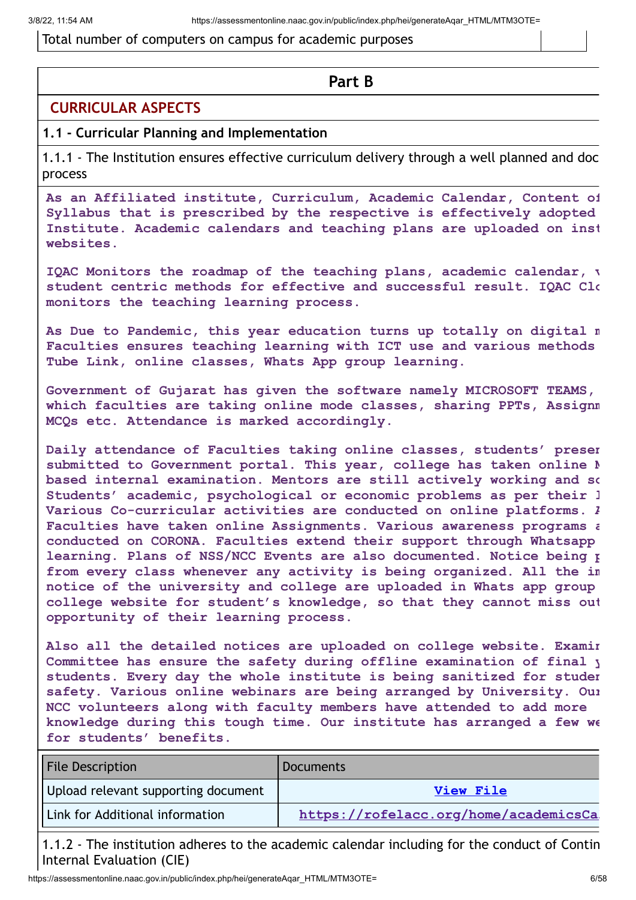#### Total number of computers on campus for academic purposes

#### **Part B**

#### **CURRICULAR ASPECTS**

#### **1.1 - Curricular Planning and Implementation**

1.1.1 - The Institution ensures effective curriculum delivery through a well planned and doc process

**As an Affiliated institute, Curriculum, Academic Calendar, Content of Syllabus that is prescribed by the respective is effectively adopted Institute. Academic calendars and teaching plans are uploaded on inst websites.**

**IQAC Monitors the roadmap of the teaching plans, academic calendar, v student centric methods for effective and successful result. IQAC Clo monitors the teaching learning process.**

**As Due to Pandemic, this year education turns up totally on digital m Faculties ensures teaching learning with ICT use and various methods Tube Link, online classes, Whats App group learning.**

**Government of Gujarat has given the software namely MICROSOFT TEAMS, which faculties are taking online mode classes, sharing PPTs, Assignm MCQs etc. Attendance is marked accordingly.**

**Daily attendance of Faculties taking online classes, students' presen submitted to Government portal. This year, college has taken online M based internal examination. Mentors are still actively working and so Students' academic, psychological or economic problems as per their l Various Co-curricular activities are conducted on online platforms. A Faculties have taken online Assignments. Various awareness programs a conducted on CORONA. Faculties extend their support through Whatsapp learning. Plans of NSS/NCC Events are also documented. Notice being p from every class whenever any activity is being organized. All the im notice of the university and college are uploaded in Whats app group college website for student's knowledge, so that they cannot miss out opportunity of their learning process.**

**Also all the detailed notices are uploaded on college website. Examin Committee has ensure the safety during offline examination of final y students. Every day the whole institute is being sanitized for studen safety. Various online webinars are being arranged by University. Our NCC volunteers along with faculty members have attended to add more knowledge during this tough time. Our institute has arranged a few we for students' benefits.**

| <b>File Description</b>             | <b>Documents</b>                      |
|-------------------------------------|---------------------------------------|
| Upload relevant supporting document | View File                             |
| Link for Additional information     | https://rofelacc.org/home/academicsCa |

1.1.2 - The institution adheres to the academic calendar including for the conduct of Contin Internal Evaluation (CIE)

https://assessmentonline.naac.gov.in/public/index.php/hei/generateAqar\_HTML/MTM3OTE= 6/58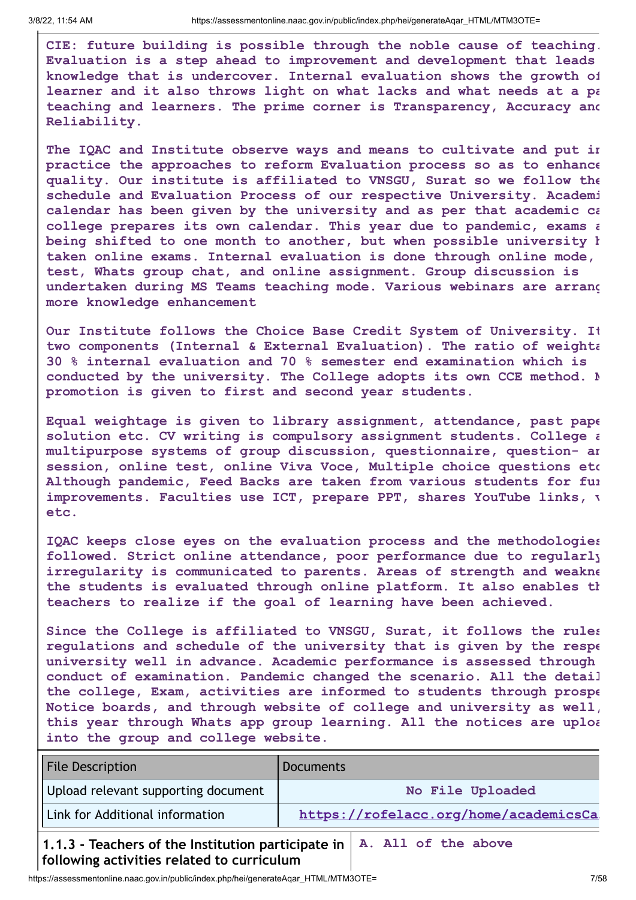**CIE: future building is possible through the noble cause of teaching. Evaluation is a step ahead to improvement and development that leads knowledge that is undercover. Internal evaluation shows the growth of learner and it also throws light on what lacks and what needs at a pa teaching and learners. The prime corner is Transparency, Accuracy and Reliability.**

**The IQAC and Institute observe ways and means to cultivate and put in practice the approaches to reform Evaluation process so as to enhance quality. Our institute is affiliated to VNSGU, Surat so we follow the schedule and Evaluation Process of our respective University. Academi calendar has been given by the university and as per that academic ca college prepares its own calendar. This year due to pandemic, exams a being shifted to one month to another, but when possible university h taken online exams. Internal evaluation is done through online mode, test, Whats group chat, and online assignment. Group discussion is undertaken during MS Teams teaching mode. Various webinars are arrang more knowledge enhancement**

**Our Institute follows the Choice Base Credit System of University. It two components (Internal & External Evaluation). The ratio of weighta 30 % internal evaluation and 70 % semester end examination which is conducted by the university. The College adopts its own CCE method. M promotion is given to first and second year students.**

**Equal weightage is given to library assignment, attendance, past pape solution etc. CV writing is compulsory assignment students. College a multipurpose systems of group discussion, questionnaire, question- an session, online test, online Viva Voce, Multiple choice questions etc Although pandemic, Feed Backs are taken from various students for fur improvements. Faculties use ICT, prepare PPT, shares YouTube links, v etc.**

**IQAC keeps close eyes on the evaluation process and the methodologies followed. Strict online attendance, poor performance due to regularly irregularity is communicated to parents. Areas of strength and weakne the students is evaluated through online platform. It also enables th teachers to realize if the goal of learning have been achieved.**

**Since the College is affiliated to VNSGU, Surat, it follows the rules regulations and schedule of the university that is given by the respe university well in advance. Academic performance is assessed through conduct of examination. Pandemic changed the scenario. All the detail the college, Exam, activities are informed to students through prospe Notice boards, and through website of college and university as well, this year through Whats app group learning. All the notices are uploa into the group and college website.**

| <b>File Description</b>             | <b>Documents</b>                      |
|-------------------------------------|---------------------------------------|
| Upload relevant supporting document | No File Uploaded                      |
| Link for Additional information     | https://rofelacc.org/home/academicsCa |

**1.1.3 - Teachers of the Institution participate in A. All of the abovefollowing activities related to curriculum**

https://assessmentonline.naac.gov.in/public/index.php/hei/generateAqar\_HTML/MTM3OTE= 7/58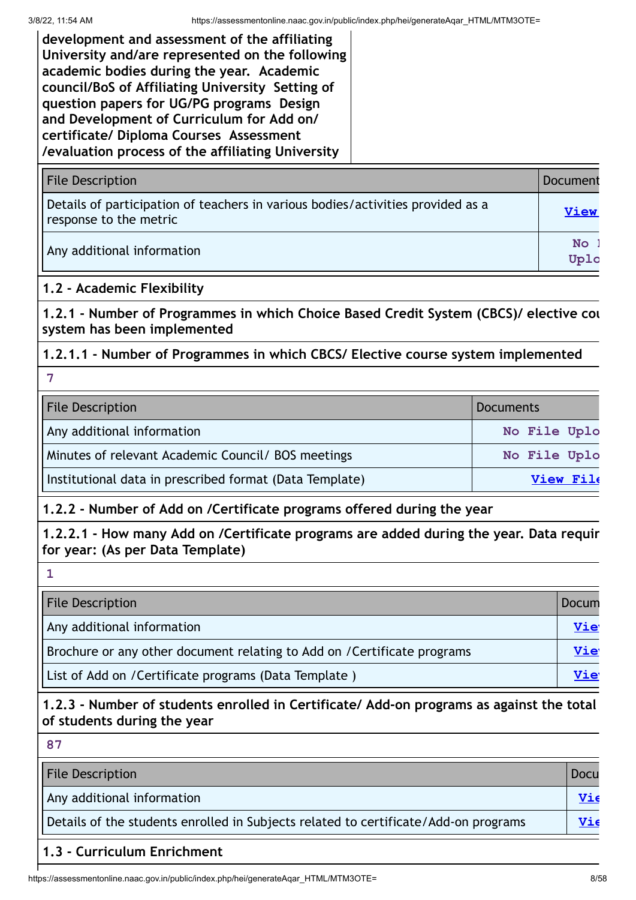**development and assessment of the affiliating University and/are represented on the following academic bodies during the year. Academic council/BoS of Affiliating University Setting of question papers for UG/PG programs Design and Development of Curriculum for Add on/ certificate/ Diploma Courses Assessment /evaluation process of the affiliating University**

| <b>File Description</b>                                                                                   | Document          |
|-----------------------------------------------------------------------------------------------------------|-------------------|
| Details of participation of teachers in various bodies/activities provided as a<br>response to the metric | <b>View</b>       |
| Any additional information                                                                                | <b>No</b><br>Uplo |

#### **1.2 - Academic Flexibility**

**1.2.1 - Number of Programmes in which Choice Based Credit System (CBCS)/ elective cou system has been implemented**

#### **1.2.1.1 - Number of Programmes in which CBCS/ Elective course system implemented**

**7**

| <b>File Description</b>                                 | <b>Documents</b> |  |
|---------------------------------------------------------|------------------|--|
| Any additional information                              | No File Uplo     |  |
| Minutes of relevant Academic Council/ BOS meetings      | No File Uplo     |  |
| Institutional data in prescribed format (Data Template) | View File        |  |

### **1.2.2 - Number of Add on /Certificate programs offered during the year**

**1.2.2.1 - How many Add on /Certificate programs are added during the year. Data requir for year: (As per Data Template)**

| <b>File Description</b>                                                  | Docum      |
|--------------------------------------------------------------------------|------------|
| Any additional information                                               | <u>Vie</u> |
| Brochure or any other document relating to Add on / Certificate programs | <u>Vie</u> |
| List of Add on / Certificate programs (Data Template)                    | Vie        |

#### **1.2.3 - Number of students enrolled in Certificate/ Add-on programs as against the total of students during the year**

| 87                                                                                  |      |
|-------------------------------------------------------------------------------------|------|
| <b>File Description</b>                                                             | Docu |
| Any additional information                                                          | Vie  |
| Details of the students enrolled in Subjects related to certificate/Add-on programs | Vie  |

#### **1.3 - Curriculum Enrichment**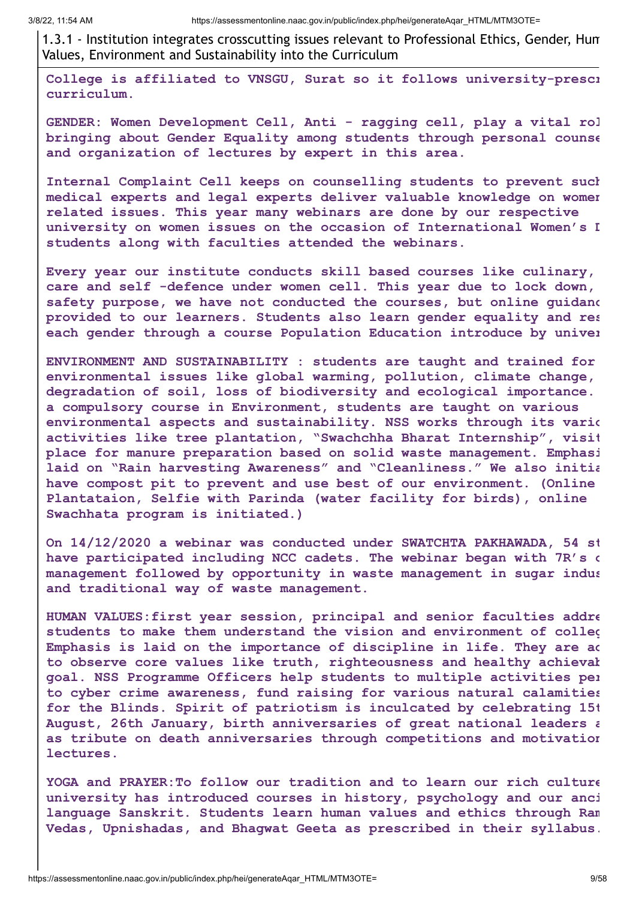1.3.1 - Institution integrates crosscutting issues relevant to Professional Ethics, Gender, Hum Values, Environment and Sustainability into the Curriculum

**College is affiliated to VNSGU, Surat so it follows university-prescr curriculum.**

**GENDER: Women Development Cell, Anti - ragging cell, play a vital rol bringing about Gender Equality among students through personal counse and organization of lectures by expert in this area.**

**Internal Complaint Cell keeps on counselling students to prevent such medical experts and legal experts deliver valuable knowledge on women related issues. This year many webinars are done by our respective university on women issues on the occasion of International Women's D students along with faculties attended the webinars.**

**Every year our institute conducts skill based courses like culinary, care and self -defence under women cell. This year due to lock down, safety purpose, we have not conducted the courses, but online guidanc provided to our learners. Students also learn gender equality and res each gender through a course Population Education introduce by univer**

**ENVIRONMENT AND SUSTAINABILITY : students are taught and trained for environmental issues like global warming, pollution, climate change, degradation of soil, loss of biodiversity and ecological importance. a compulsory course in Environment, students are taught on various environmental aspects and sustainability. NSS works through its vario activities like tree plantation, "Swachchha Bharat Internship", visit place for manure preparation based on solid waste management. Emphasi laid on "Rain harvesting Awareness" and "Cleanliness." We also initia have compost pit to prevent and use best of our environment. (Online Plantataion, Selfie with Parinda (water facility for birds), online Swachhata program is initiated.)**

**On 14/12/2020 a webinar was conducted under SWATCHTA PAKHAWADA, 54 st have participated including NCC cadets. The webinar began with 7R's o management followed by opportunity in waste management in sugar indus and traditional way of waste management.**

**HUMAN VALUES:first year session, principal and senior faculties addre students to make them understand the vision and environment of colleg Emphasis is laid on the importance of discipline in life. They are ad to observe core values like truth, righteousness and healthy achievab goal. NSS Programme Officers help students to multiple activities per to cyber crime awareness, fund raising for various natural calamities for the Blinds. Spirit of patriotism is inculcated by celebrating 15t August, 26th January, birth anniversaries of great national leaders a as tribute on death anniversaries through competitions and motivation lectures.**

**YOGA and PRAYER:To follow our tradition and to learn our rich culture university has introduced courses in history, psychology and our anci language Sanskrit. Students learn human values and ethics through Ram Vedas, Upnishadas, and Bhagwat Geeta as prescribed in their syllabus.**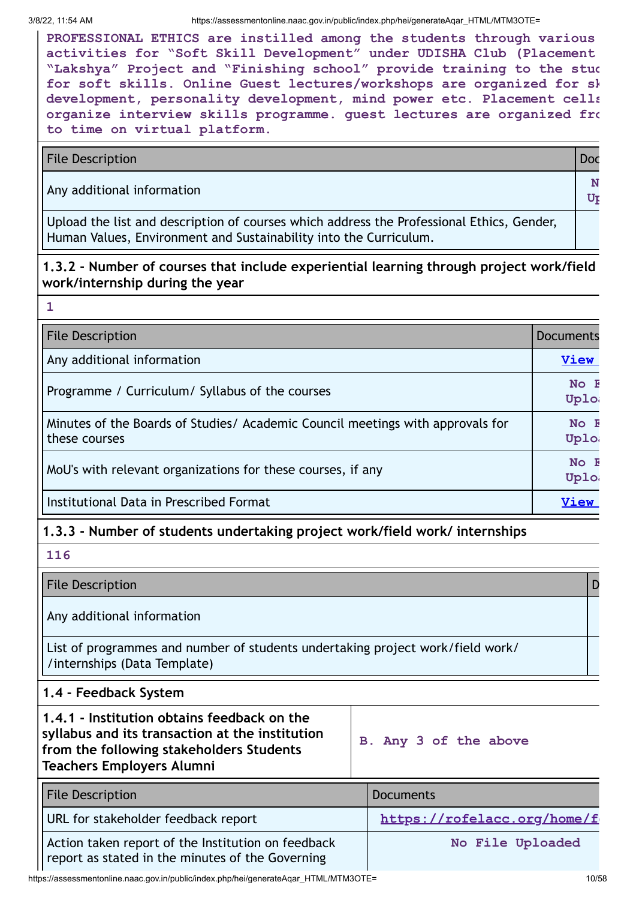**1**

**PROFESSIONAL ETHICS are instilled among the students through various activities for "Soft Skill Development" under UDISHA Club (Placement "Lakshya" Project and "Finishing school" provide training to the stud for soft skills. Online Guest lectures/workshops are organized for sk development, personality development, mind power etc. Placement cells organize interview skills programme. guest lectures are organized fro to time on virtual platform.**

File Description **Doctor** Doctor Contract Contract Contract Contract Contract Contract Contract Contract Contract Contract Contract Contract Contract Contract Contract Contract Contract Contract Contract Contract Contract

Any additional information **<sup>N</sup>**

Upload the list and description of courses which address the Professional Ethics, Gender, Human Values, Environment and Sustainability into the Curriculum.

**1.3.2 - Number of courses that include experiential learning through project work/field work/internship during the year**

| <b>File Description</b>                                                                         | Documents      |
|-------------------------------------------------------------------------------------------------|----------------|
| Any additional information                                                                      | <b>View</b>    |
| Programme / Curriculum/ Syllabus of the courses                                                 | No F<br>Uplo   |
| Minutes of the Boards of Studies/ Academic Council meetings with approvals for<br>these courses | $No$ F<br>Uplo |
| MoU's with relevant organizations for these courses, if any                                     | No F<br>Uplo   |
| Institutional Data in Prescribed Format                                                         | <b>View</b>    |

#### **1.3.3 - Number of students undertaking project work/field work/ internships**

| 116                                                                                                                                                                            |                             |  |  |
|--------------------------------------------------------------------------------------------------------------------------------------------------------------------------------|-----------------------------|--|--|
| <b>File Description</b>                                                                                                                                                        |                             |  |  |
| Any additional information                                                                                                                                                     |                             |  |  |
| List of programmes and number of students undertaking project work/field work/<br>/internships (Data Template)                                                                 |                             |  |  |
| 1.4 - Feedback System                                                                                                                                                          |                             |  |  |
| 1.4.1 - Institution obtains feedback on the<br>syllabus and its transaction at the institution<br>from the following stakeholders Students<br><b>Teachers Employers Alumni</b> | B. Any 3 of the above       |  |  |
| <b>File Description</b>                                                                                                                                                        | <b>Documents</b>            |  |  |
| URL for stakeholder feedback report                                                                                                                                            | https://rofelacc.org/home/f |  |  |
| Action taken report of the Institution on feedback<br>report as stated in the minutes of the Governing                                                                         | No File Uploaded            |  |  |

https://assessmentonline.naac.gov.in/public/index.php/hei/generateAqar\_HTML/MTM3OTE= 10/58

**Up**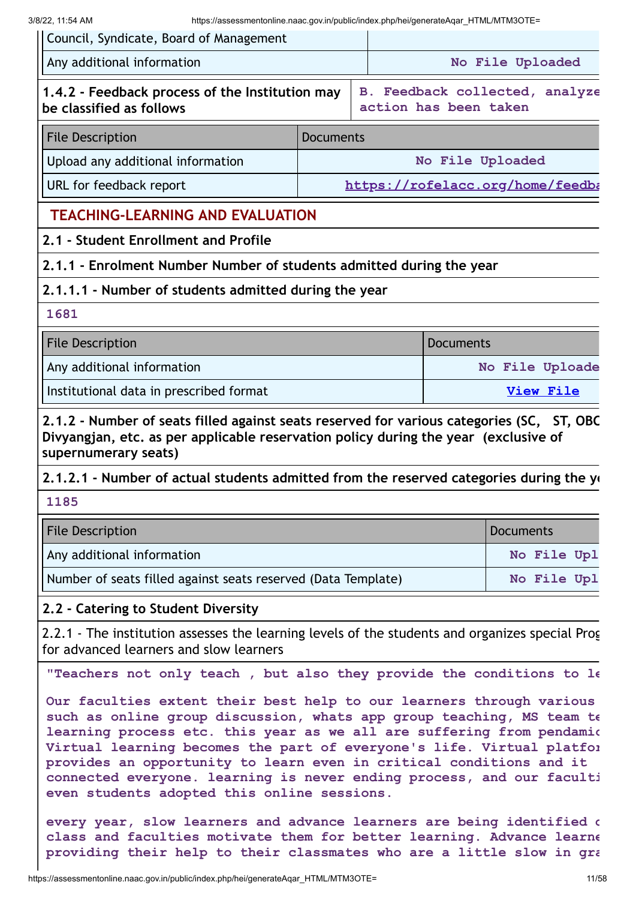| 3/8/22, 11:54 AM<br>https://assessmentonline.naac.gov.in/public/index.php/hei/generateAgar HTML/MTM3OTE=<br>Council, Syndicate, Board of Management                                                                                                                                                                                           |                  |                       |                  |                                |
|-----------------------------------------------------------------------------------------------------------------------------------------------------------------------------------------------------------------------------------------------------------------------------------------------------------------------------------------------|------------------|-----------------------|------------------|--------------------------------|
| Any additional information                                                                                                                                                                                                                                                                                                                    |                  |                       |                  | No File Uploaded               |
| 1.4.2 - Feedback process of the Institution may<br>be classified as follows                                                                                                                                                                                                                                                                   |                  | action has been taken |                  | B. Feedback collected, analyze |
| <b>File Description</b>                                                                                                                                                                                                                                                                                                                       | <b>Documents</b> |                       |                  |                                |
| Upload any additional information                                                                                                                                                                                                                                                                                                             | No File Uploaded |                       |                  |                                |
| URL for feedback report<br>https://rofelacc.org/home/feedba                                                                                                                                                                                                                                                                                   |                  |                       |                  |                                |
| <b>TEACHING-LEARNING AND EVALUATION</b>                                                                                                                                                                                                                                                                                                       |                  |                       |                  |                                |
| 2.1 - Student Enrollment and Profile                                                                                                                                                                                                                                                                                                          |                  |                       |                  |                                |
| 2.1.1 - Enrolment Number Number of students admitted during the year                                                                                                                                                                                                                                                                          |                  |                       |                  |                                |
| 2.1.1.1 - Number of students admitted during the year                                                                                                                                                                                                                                                                                         |                  |                       |                  |                                |
| 1681                                                                                                                                                                                                                                                                                                                                          |                  |                       |                  |                                |
| <b>File Description</b>                                                                                                                                                                                                                                                                                                                       |                  |                       | <b>Documents</b> |                                |
| Any additional information                                                                                                                                                                                                                                                                                                                    |                  |                       |                  | No File Uploade                |
| Institutional data in prescribed format                                                                                                                                                                                                                                                                                                       |                  | <b>View File</b>      |                  |                                |
| Divyangjan, etc. as per applicable reservation policy during the year (exclusive of<br>supernumerary seats)<br>2.1.2.1 - Number of actual students admitted from the reserved categories during the ye                                                                                                                                        |                  |                       |                  |                                |
| 1185                                                                                                                                                                                                                                                                                                                                          |                  |                       |                  |                                |
| <b>File Description</b>                                                                                                                                                                                                                                                                                                                       |                  |                       |                  | <b>Documents</b>               |
| Any additional information                                                                                                                                                                                                                                                                                                                    |                  |                       |                  | No File Upl                    |
| Number of seats filled against seats reserved (Data Template)                                                                                                                                                                                                                                                                                 |                  |                       |                  | No File Upl                    |
| 2.2 - Catering to Student Diversity                                                                                                                                                                                                                                                                                                           |                  |                       |                  |                                |
| 2.2.1 - The institution assesses the learning levels of the students and organizes special Prog<br>for advanced learners and slow learners                                                                                                                                                                                                    |                  |                       |                  |                                |
| "Teachers not only teach, but also they provide the conditions to le                                                                                                                                                                                                                                                                          |                  |                       |                  |                                |
| Our faculties extent their best help to our learners through various<br>such as online group discussion, whats app group teaching, MS team te                                                                                                                                                                                                 |                  |                       |                  |                                |
| learning process etc. this year as we all are suffering from pendamic<br>Virtual learning becomes the part of everyone's life. Virtual platfor<br>provides an opportunity to learn even in critical conditions and it<br>connected everyone. learning is never ending process, and our faculti<br>even students adopted this online sessions. |                  |                       |                  |                                |

**every year, slow learners and advance learners are being identified d class and faculties motivate them for better learning. Advance learne providing their help to their classmates who are a little slow in gra**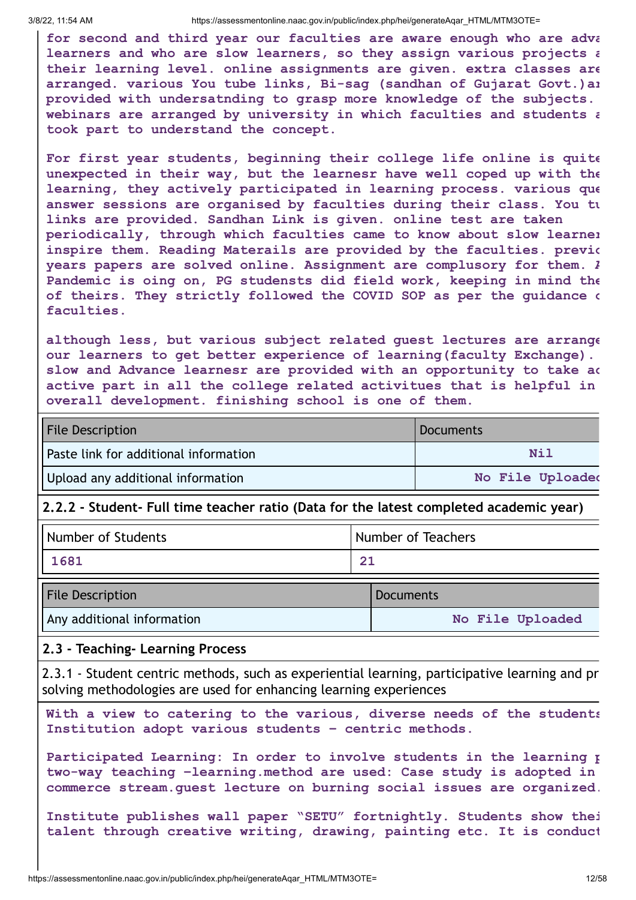**for second and third year our faculties are aware enough who are adva learners and who are slow learners, so they assign various projects a their learning level. online assignments are given. extra classes are arranged. various You tube links, Bi-sag (sandhan of Gujarat Govt.)ar provided with undersatnding to grasp more knowledge of the subjects. webinars are arranged by university in which faculties and students a took part to understand the concept.**

**For first year students, beginning their college life online is quite unexpected in their way, but the learnesr have well coped up with the learning, they actively participated in learning process. various que answer sessions are organised by faculties during their class. You tu links are provided. Sandhan Link is given. online test are taken periodically, through which faculties came to know about slow learner inspire them. Reading Materails are provided by the faculties. previo years papers are solved online. Assignment are complusory for them. A Pandemic is oing on, PG studensts did field work, keeping in mind the of theirs. They strictly followed the COVID SOP as per the guidance o faculties.**

**although less, but various subject related guest lectures are arrange our learners to get better experience of learning(faculty Exchange). slow and Advance learnesr are provided with an opportunity to take ac active part in all the college related activitues that is helpful in overall development. finishing school is one of them.**

| <b>File Description</b>               | Documents        |
|---------------------------------------|------------------|
| Paste link for additional information | Nil              |
| Upload any additional information     | No File Uploaded |

#### **2.2.2 - Student- Full time teacher ratio (Data for the latest completed academic year)**

| Number of Students      | Number of Teachers |           |
|-------------------------|--------------------|-----------|
| 1681                    | 21                 |           |
| <b>File Description</b> |                    | Documents |

Any additional information **No File Uploaded**

#### **2.3 - Teaching- Learning Process**

2.3.1 - Student centric methods, such as experiential learning, participative learning and pr solving methodologies are used for enhancing learning experiences

**With a view to catering to the various, diverse needs of the students Institution adopt various students – centric methods.**

**Participated Learning: In order to involve students in the learning p two-way teaching –learning.method are used: Case study is adopted in commerce stream.guest lecture on burning social issues are organized.**

**Institute publishes wall paper "SETU" fortnightly. Students show thei talent through creative writing, drawing, painting etc. It is conduct**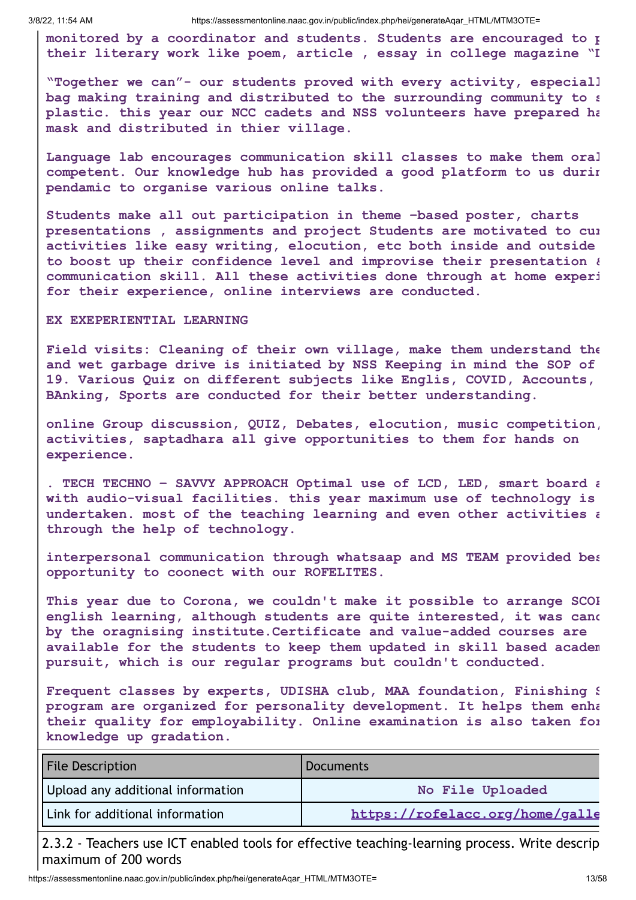**monitored by a coordinator and students. Students are encouraged to p their literary work like poem, article , essay in college magazine "D**

**"Together we can"- our students proved with every activity, especiall bag making training and distributed to the surrounding community to s plastic. this year our NCC cadets and NSS volunteers have prepared ha mask and distributed in thier village.**

**Language lab encourages communication skill classes to make them oral competent. Our knowledge hub has provided a good platform to us durin pendamic to organise various online talks.**

**Students make all out participation in theme –based poster, charts presentations , assignments and project Students are motivated to cur activities like easy writing, elocution, etc both inside and outside to boost up their confidence level and improvise their presentation & communication skill. All these activities done through at home experi for their experience, online interviews are conducted.**

#### **EX EXEPERIENTIAL LEARNING**

**Field visits: Cleaning of their own village, make them understand the and wet garbage drive is initiated by NSS Keeping in mind the SOP of 19. Various Quiz on different subjects like Englis, COVID, Accounts, BAnking, Sports are conducted for their better understanding.**

**online Group discussion, QUIZ, Debates, elocution, music competition, activities, saptadhara all give opportunities to them for hands on experience.**

**. TECH TECHNO – SAVVY APPROACH Optimal use of LCD, LED, smart board a with audio-visual facilities. this year maximum use of technology is undertaken. most of the teaching learning and even other activities a through the help of technology.**

**interpersonal communication through whatsaap and MS TEAM provided bes opportunity to coonect with our ROFELITES.**

**This year due to Corona, we couldn't make it possible to arrange SCOP english learning, although students are quite interested, it was canc by the oragnising institute.Certificate and value-added courses are available for the students to keep them updated in skill based academ pursuit, which is our regular programs but couldn't conducted.**

**Frequent classes by experts, UDISHA club, MAA foundation, Finishing S program are organized for personality development. It helps them enha their quality for employability. Online examination is also taken for knowledge up gradation.**

| <b>File Description</b>           | <b>Documents</b>                |
|-----------------------------------|---------------------------------|
| Upload any additional information | No File Uploaded                |
| Link for additional information   | https://rofelacc.org/home/galle |

2.3.2 - Teachers use ICT enabled tools for effective teaching-learning process. Write descrip maximum of 200 words

https://assessmentonline.naac.gov.in/public/index.php/hei/generateAqar\_HTML/MTM3OTE= 13/58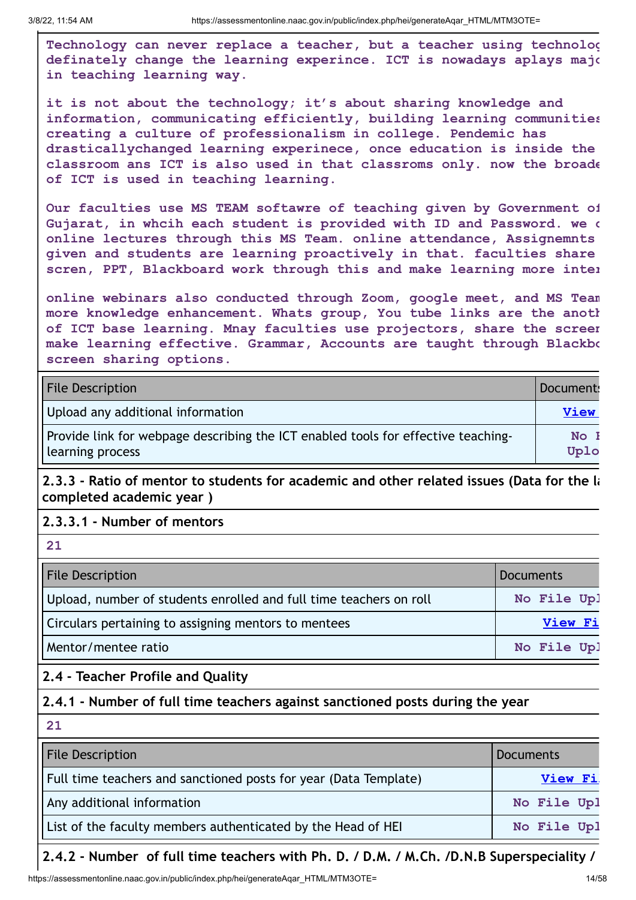**Technology can never replace a teacher, but a teacher using technolog definately change the learning experince. ICT is nowadays aplays majo in teaching learning way.**

**it is not about the technology; it's about sharing knowledge and information, communicating efficiently, building learning communities creating a culture of professionalism in college. Pendemic has drasticallychanged learning experinece, once education is inside the classroom ans ICT is also used in that classroms only. now the broade of ICT is used in teaching learning.**

**Our faculties use MS TEAM softawre of teaching given by Government of Gujarat, in whcih each student is provided with ID and Password. we c online lectures through this MS Team. online attendance, Assignemnts given and students are learning proactively in that. faculties share scren, PPT, Blackboard work through this and make learning more inter**

**online webinars also conducted through Zoom, google meet, and MS Team more knowledge enhancement. Whats group, You tube links are the anoth of ICT base learning. Mnay faculties use projectors, share the screen make learning effective. Grammar, Accounts are taught through Blackbo screen sharing options.**

| <b>File Description</b>                                                                               | Document:    |
|-------------------------------------------------------------------------------------------------------|--------------|
| Upload any additional information                                                                     | <b>View</b>  |
| Provide link for webpage describing the ICT enabled tools for effective teaching-<br>learning process | No I<br>Uplo |

**2.3.3 - Ratio of mentor to students for academic and other related issues (Data for the la completed academic year )**

**2.3.3.1 - Number of mentors** 

**21**

| <b>File Description</b>                                            | <b>Documents</b> |
|--------------------------------------------------------------------|------------------|
| Upload, number of students enrolled and full time teachers on roll | No File Upl      |
| Circulars pertaining to assigning mentors to mentees               | View Fi          |
| Mentor/mentee ratio                                                | No File Upl      |

#### **2.4 - Teacher Profile and Quality**

#### **2.4.1 - Number of full time teachers against sanctioned posts during the year**

| 21                                                               |                  |
|------------------------------------------------------------------|------------------|
| <b>File Description</b>                                          | <b>Documents</b> |
| Full time teachers and sanctioned posts for year (Data Template) | <b>View Fi</b>   |
| Any additional information                                       | No File Upl      |
| List of the faculty members authenticated by the Head of HEI     | No File Upl      |

#### **2.4.2 - Number of full time teachers with Ph. D. / D.M. / M.Ch. /D.N.B Superspeciality /**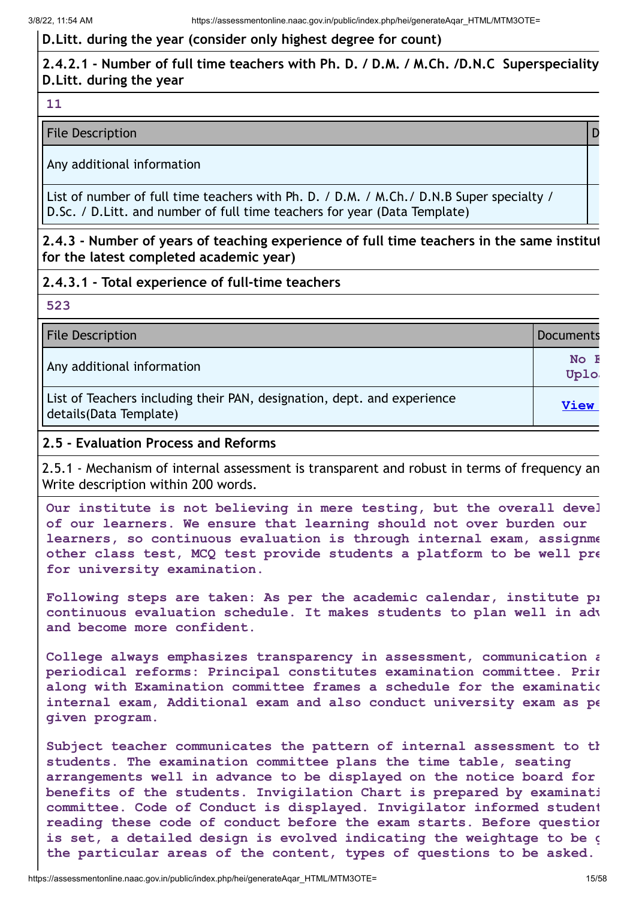#### **D.Litt. during the year (consider only highest degree for count)**

#### **2.4.2.1 - Number of full time teachers with Ph. D. / D.M. / M.Ch. /D.N.C Superspeciality D.Litt. during the year**

#### **11**

#### File Description **Description Description Description Description Description**

Any additional information

List of number of full time teachers with Ph. D. / D.M. / M.Ch./ D.N.B Super specialty / D.Sc. / D.Litt. and number of full time teachers for year (Data Template)

**2.4.3 - Number of years of teaching experience of full time teachers in the same institut for the latest completed academic year)**

#### **2.4.3.1 - Total experience of full-time teachers**

#### **523**

| <b>File Description</b> | Documents |
|-------------------------|-----------|
|-------------------------|-----------|

Any additional information **No. 1 (1)**  $\mathbb{R}^n$  and  $\mathbb{R}^n$  and  $\mathbb{R}^n$  and  $\mathbb{R}^n$  and  $\mathbb{R}^n$  and  $\mathbb{R}^n$  and  $\mathbb{R}^n$  and  $\mathbb{R}^n$  and  $\mathbb{R}^n$  and  $\mathbb{R}^n$  and  $\mathbb{R}^n$  and  $\mathbb{R}^n$  and  $\math$ 

List of Teachers including their PAN, designation, dept. and experience details(Data Template) **View**

#### **2.5 - Evaluation Process and Reforms**

2.5.1 - Mechanism of internal assessment is transparent and robust in terms of frequency an Write description within 200 words.

**Our institute is not believing in mere testing, but the overall devel of our learners. We ensure that learning should not over burden our learners, so continuous evaluation is through internal exam, assignme other class test, MCQ test provide students a platform to be well pre for university examination.**

**Following steps are taken: As per the academic calendar, institute pr continuous evaluation schedule. It makes students to plan well in adv and become more confident.**

**College always emphasizes transparency in assessment, communication a periodical reforms: Principal constitutes examination committee. Prin along with Examination committee frames a schedule for the examinatio internal exam, Additional exam and also conduct university exam as pe given program.**

**Subject teacher communicates the pattern of internal assessment to th students. The examination committee plans the time table, seating arrangements well in advance to be displayed on the notice board for benefits of the students. Invigilation Chart is prepared by examinati committee. Code of Conduct is displayed. Invigilator informed student reading these code of conduct before the exam starts. Before question is set, a detailed design is evolved indicating the weightage to be g the particular areas of the content, types of questions to be asked.**

**Uploa**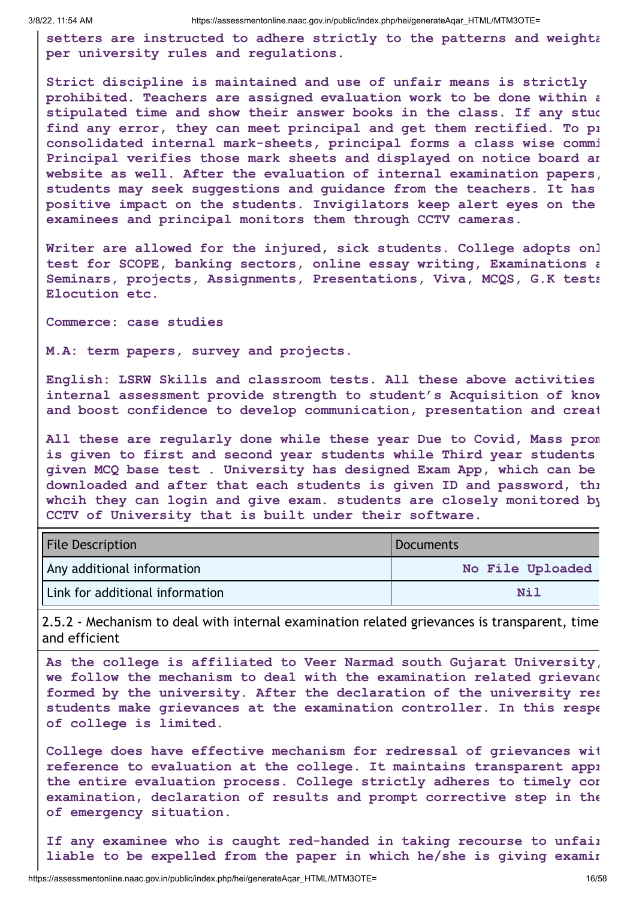**setters are instructed to adhere strictly to the patterns and weighta per university rules and regulations.**

**Strict discipline is maintained and use of unfair means is strictly prohibited. Teachers are assigned evaluation work to be done within a stipulated time and show their answer books in the class. If any stud find any error, they can meet principal and get them rectified. To pr consolidated internal mark-sheets, principal forms a class wise commi Principal verifies those mark sheets and displayed on notice board an website as well. After the evaluation of internal examination papers, students may seek suggestions and guidance from the teachers. It has positive impact on the students. Invigilators keep alert eyes on the examinees and principal monitors them through CCTV cameras.**

**Writer are allowed for the injured, sick students. College adopts onl test for SCOPE, banking sectors, online essay writing, Examinations a Seminars, projects, Assignments, Presentations, Viva, MCQS, G.K tests Elocution etc.**

**Commerce: case studies**

**M.A: term papers, survey and projects.**

**English: LSRW Skills and classroom tests. All these above activities internal assessment provide strength to student's Acquisition of know and boost confidence to develop communication, presentation and creat**

**All these are regularly done while these year Due to Covid, Mass prom is given to first and second year students while Third year students given MCQ base test . University has designed Exam App, which can be downloaded and after that each students is given ID and password, thr whcih they can login and give exam. students are closely monitored by CCTV of University that is built under their software.**

| <b>File Description</b>         | Documents        |
|---------------------------------|------------------|
| Any additional information      | No File Uploaded |
| Link for additional information | Ni 1             |

2.5.2 - Mechanism to deal with internal examination related grievances is transparent, time and efficient

**As the college is affiliated to Veer Narmad south Gujarat University, we follow the mechanism to deal with the examination related grievanc formed by the university. After the declaration of the university res students make grievances at the examination controller. In this respe of college is limited.**

**College does have effective mechanism for redressal of grievances wit reference to evaluation at the college. It maintains transparent appr the entire evaluation process. College strictly adheres to timely con examination, declaration of results and prompt corrective step in the of emergency situation.**

**If any examinee who is caught red-handed in taking recourse to unfair liable to be expelled from the paper in which he/she is giving examin**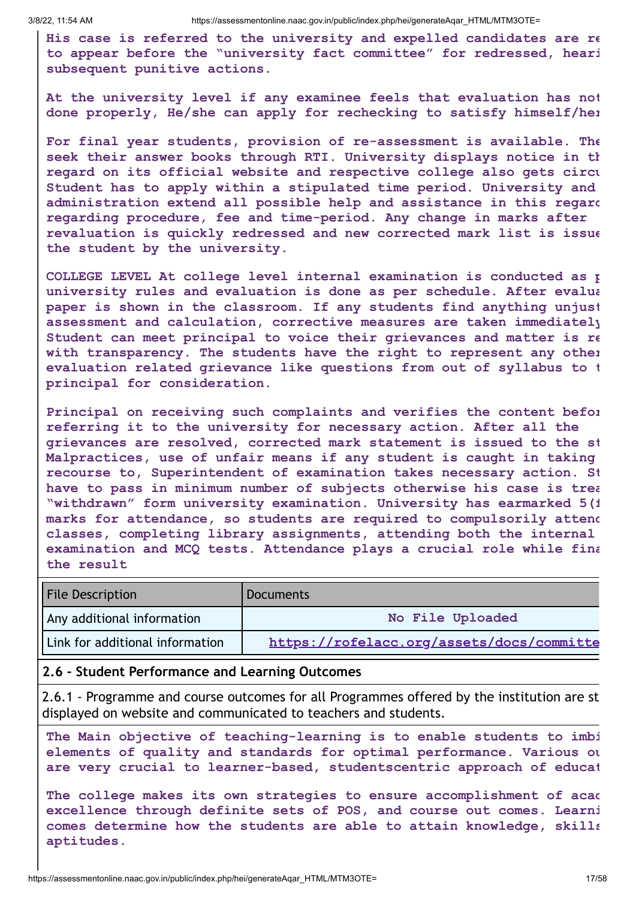**His case is referred to the university and expelled candidates are re to appear before the "university fact committee" for redressed, heari subsequent punitive actions.**

**At the university level if any examinee feels that evaluation has not done properly, He/she can apply for rechecking to satisfy himself/her**

**For final year students, provision of re-assessment is available. The seek their answer books through RTI. University displays notice in th regard on its official website and respective college also gets circu Student has to apply within a stipulated time period. University and administration extend all possible help and assistance in this regard regarding procedure, fee and time-period. Any change in marks after revaluation is quickly redressed and new corrected mark list is issue the student by the university.**

**COLLEGE LEVEL At college level internal examination is conducted as p university rules and evaluation is done as per schedule. After evalua paper is shown in the classroom. If any students find anything unjust assessment and calculation, corrective measures are taken immediately Student can meet principal to voice their grievances and matter is re with transparency. The students have the right to represent any other evaluation related grievance like questions from out of syllabus to t principal for consideration.**

**Principal on receiving such complaints and verifies the content befor referring it to the university for necessary action. After all the grievances are resolved, corrected mark statement is issued to the st Malpractices, use of unfair means if any student is caught in taking recourse to, Superintendent of examination takes necessary action. St have to pass in minimum number of subjects otherwise his case is trea "withdrawn" form university examination. University has earmarked 5(f marks for attendance, so students are required to compulsorily attend classes, completing library assignments, attending both the internal examination and MCQ tests. Attendance plays a crucial role while fina the result**

| <b>File Description</b>         | <b>Documents</b>                          |
|---------------------------------|-------------------------------------------|
| Any additional information      | No File Uploaded                          |
| Link for additional information | https://rofelacc.org/assets/docs/committe |

#### **2.6 - Student Performance and Learning Outcomes**

2.6.1 - Programme and course outcomes for all Programmes offered by the institution are st displayed on website and communicated to teachers and students.

**The Main objective of teaching-learning is to enable students to imbi elements of quality and standards for optimal performance. Various ou are very crucial to learner-based, studentscentric approach of educat**

**The college makes its own strategies to ensure accomplishment of acad excellence through definite sets of POS, and course out comes. Learni comes determine how the students are able to attain knowledge, skills aptitudes.**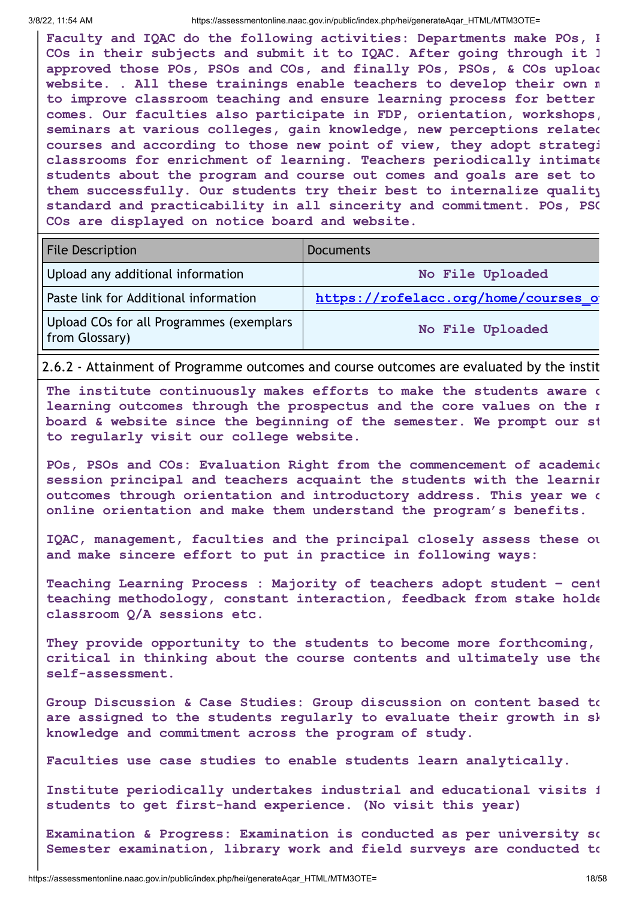**Faculty and IQAC do the following activities: Departments make POs, P COs in their subjects and submit it to IQAC. After going through it I approved those POs, PSOs and COs, and finally POs, PSOs, & COs upload website. . All these trainings enable teachers to develop their own m to improve classroom teaching and ensure learning process for better comes. Our faculties also participate in FDP, orientation, workshops, seminars at various colleges, gain knowledge, new perceptions related courses and according to those new point of view, they adopt strategi classrooms for enrichment of learning. Teachers periodically intimate students about the program and course out comes and goals are set to them successfully. Our students try their best to internalize quality standard and practicability in all sincerity and commitment. POs, PSO COs are displayed on notice board and website.**

| <b>File Description</b>                                    | <b>Documents</b>                    |
|------------------------------------------------------------|-------------------------------------|
| Upload any additional information                          | No File Uploaded                    |
| Paste link for Additional information                      | https://rofelacc.org/home/courses o |
| Upload COs for all Programmes (exemplars<br>from Glossary) | No File Uploaded                    |

2.6.2 - Attainment of Programme outcomes and course outcomes are evaluated by the instit

**The institute continuously makes efforts to make the students aware o learning outcomes through the prospectus and the core values on the n board & website since the beginning of the semester. We prompt our st to regularly visit our college website.**

**POs, PSOs and COs: Evaluation Right from the commencement of academic session principal and teachers acquaint the students with the learnin outcomes through orientation and introductory address. This year we d online orientation and make them understand the program's benefits.**

**IQAC, management, faculties and the principal closely assess these ou and make sincere effort to put in practice in following ways:**

**Teaching Learning Process : Majority of teachers adopt student – cent teaching methodology, constant interaction, feedback from stake holde classroom Q/A sessions etc.**

**They provide opportunity to the students to become more forthcoming, critical in thinking about the course contents and ultimately use the self-assessment.**

**Group Discussion & Case Studies: Group discussion on content based to are assigned to the students regularly to evaluate their growth in sk knowledge and commitment across the program of study.**

**Faculties use case studies to enable students learn analytically.**

**Institute periodically undertakes industrial and educational visits f students to get first-hand experience. (No visit this year)**

**Examination & Progress: Examination is conducted as per university sc Semester examination, library work and field surveys are conducted to**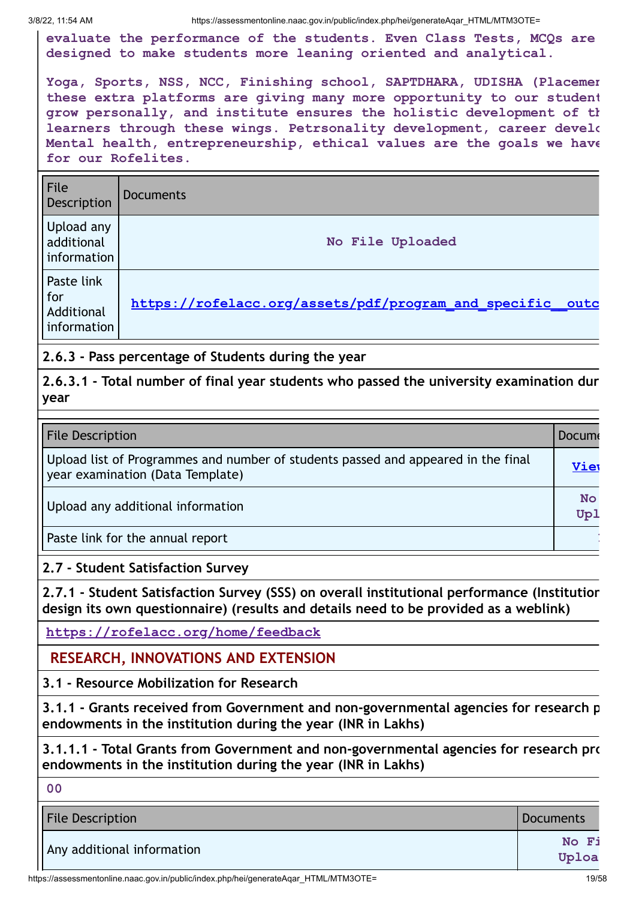**evaluate the performance of the students. Even Class Tests, MCQs are designed to make students more leaning oriented and analytical.**

**Yoga, Sports, NSS, NCC, Finishing school, SAPTDHARA, UDISHA (Placemen these extra platforms are giving many more opportunity to our student grow personally, and institute ensures the holistic development of th learners through these wings. Petrsonality development, career develo Mental health, entrepreneurship, ethical values are the goals we have for our Rofelites.**

| File<br>Description                            | <b>Documents</b>                                          |
|------------------------------------------------|-----------------------------------------------------------|
| Upload any<br>additional<br>information        | No File Uploaded                                          |
| Paste link<br>for<br>Additional<br>information | https://rofelacc.org/assets/pdf/program and specific outc |

**2.6.3 - Pass percentage of Students during the year**

**2.6.3.1 - Total number of final year students who passed the university examination dur year**

| <b>File Description</b>                                                                                               | <b>Docum</b> |
|-----------------------------------------------------------------------------------------------------------------------|--------------|
| Upload list of Programmes and number of students passed and appeared in the final<br>year examination (Data Template) | Viet         |
| Upload any additional information                                                                                     |              |
| Paste link for the annual report                                                                                      |              |

**2.7 - Student Satisfaction Survey**

**2.7.1 - Student Satisfaction Survey (SSS) on overall institutional performance (Institution design its own questionnaire) (results and details need to be provided as a weblink)**

**https://rofelacc.org/home/feedback**

### **RESEARCH, INNOVATIONS AND EXTENSION**

**3.1 - Resource Mobilization for Research**

**3.1.1 - Grants received from Government and non-governmental agencies for research p endowments in the institution during the year (INR in Lakhs)**

**3.1.1.1 - Total Grants from Government and non-governmental agencies for research pro endowments in the institution during the year (INR in Lakhs)**

**00**

| <b>File Description</b>    | Documents      |
|----------------------------|----------------|
| Any additional information | No Fi<br>Uploa |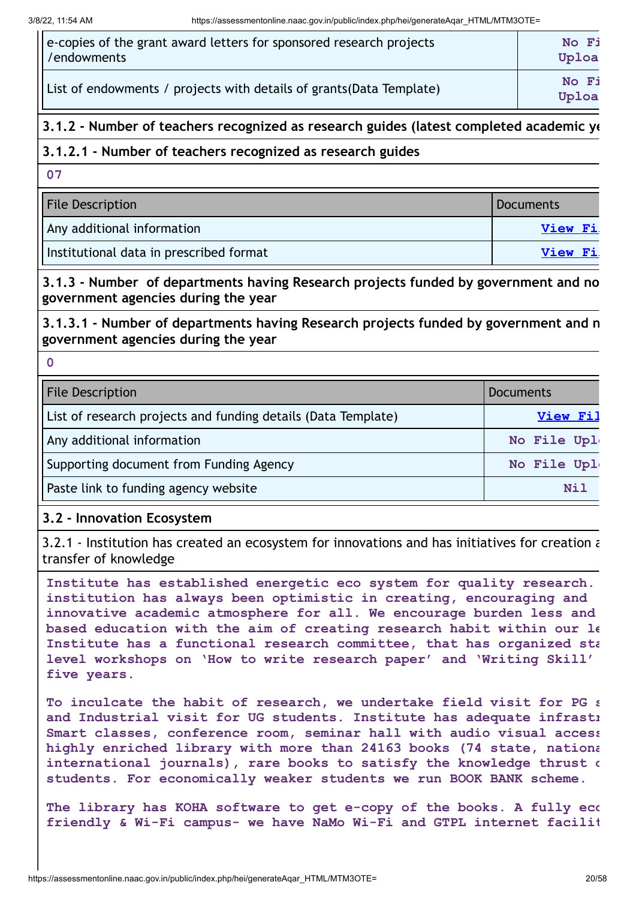| e-copies of the grant award letters for sponsored research projects  | No Fi          |
|----------------------------------------------------------------------|----------------|
| //endowments                                                         | Uploa          |
| List of endowments / projects with details of grants (Data Template) | No Fi<br>Uploa |

#### **3.1.2 - Number of teachers recognized as research guides (latest completed academic ye**

#### **3.1.2.1 - Number of teachers recognized as research guides**

**07**

| <b>File Description</b>                 | <b>Documents</b> |
|-----------------------------------------|------------------|
| Any additional information              | <b>View Fi</b>   |
| Institutional data in prescribed format | <b>View Fi</b>   |

**3.1.3 - Number of departments having Research projects funded by government and no government agencies during the year**

**3.1.3.1 - Number of departments having Research projects funded by government and n government agencies during the year**

**0**

| <b>File Description</b>                                       | <b>Documents</b> |
|---------------------------------------------------------------|------------------|
| List of research projects and funding details (Data Template) | View Fil         |
| Any additional information                                    | No File Upl      |
| Supporting document from Funding Agency                       | No File Upl      |
| Paste link to funding agency website                          | Nil              |

#### **3.2 - Innovation Ecosystem**

3.2.1 - Institution has created an ecosystem for innovations and has initiatives for creation a transfer of knowledge

**Institute has established energetic eco system for quality research. institution has always been optimistic in creating, encouraging and innovative academic atmosphere for all. We encourage burden less and based education with the aim of creating research habit within our le Institute has a functional research committee, that has organized sta level workshops on 'How to write research paper' and 'Writing Skill' five years.**

**To inculcate the habit of research, we undertake field visit for PG s and Industrial visit for UG students. Institute has adequate infrastr Smart classes, conference room, seminar hall with audio visual access highly enriched library with more than 24163 books (74 state, nationa international journals), rare books to satisfy the knowledge thrust o students. For economically weaker students we run BOOK BANK scheme.**

**The library has KOHA software to get e-copy of the books. A fully eco friendly & Wi-Fi campus- we have NaMo Wi-Fi and GTPL internet facilit**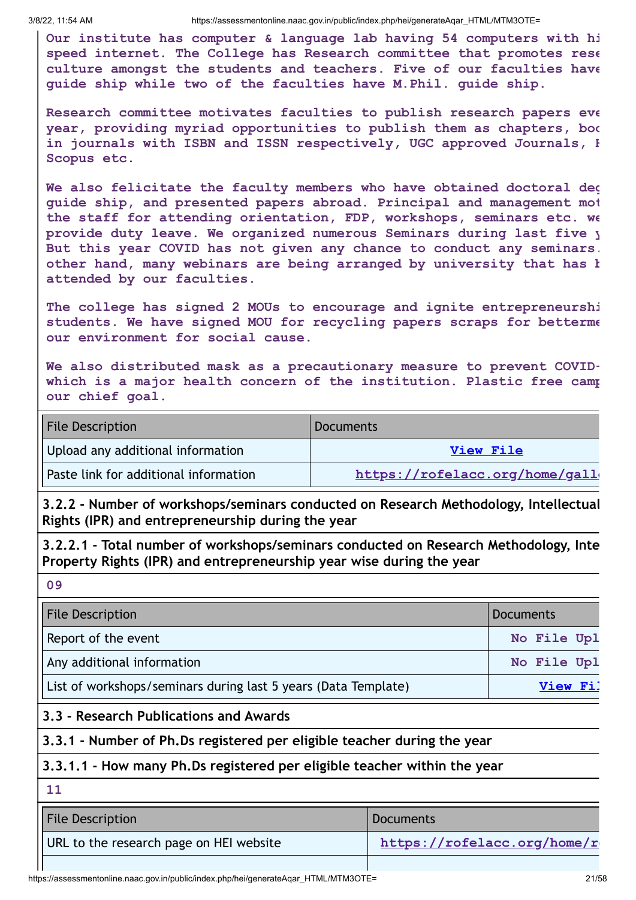**Our institute has computer & language lab having 54 computers with hi speed internet. The College has Research committee that promotes rese culture amongst the students and teachers. Five of our faculties have guide ship while two of the faculties have M.Phil. guide ship.**

**Research committee motivates faculties to publish research papers eve year, providing myriad opportunities to publish them as chapters, boo in journals with ISBN and ISSN respectively, UGC approved Journals, H Scopus etc.**

**We also felicitate the faculty members who have obtained doctoral deg guide ship, and presented papers abroad. Principal and management mot the staff for attending orientation, FDP, workshops, seminars etc. we provide duty leave. We organized numerous Seminars during last five y But this year COVID has not given any chance to conduct any seminars. other hand, many webinars are being arranged by university that has b attended by our faculties.**

**The college has signed 2 MOUs to encourage and ignite entrepreneurshi students. We have signed MOU for recycling papers scraps for betterme our environment for social cause.**

**We also distributed mask as a precautionary measure to prevent COVIDwhich is a major health concern of the institution. Plastic free camp our chief goal.**

| <b>File Description</b>               | <b>Documents</b>               |
|---------------------------------------|--------------------------------|
| Upload any additional information     | View File                      |
| Paste link for additional information | https://rofelacc.org/home/gall |

**3.2.2 - Number of workshops/seminars conducted on Research Methodology, Intellectual Rights (IPR) and entrepreneurship during the year**

**3.2.2.1 - Total number of workshops/seminars conducted on Research Methodology, Inte Property Rights (IPR) and entrepreneurship year wise during the year**

**09**

| <b>File Description</b>                                        | <b>Documents</b> |
|----------------------------------------------------------------|------------------|
| Report of the event                                            | No File Upl      |
| Any additional information                                     | No File Upl      |
| List of workshops/seminars during last 5 years (Data Template) | View Fil         |

#### **3.3 - Research Publications and Awards**

**3.3.1 - Number of Ph.Ds registered per eligible teacher during the year**

#### **3.3.1.1 - How many Ph.Ds registered per eligible teacher within the year**

**11**

| <b>File Description</b>                 | Documents                   |
|-----------------------------------------|-----------------------------|
| URL to the research page on HEI website | https://rofelacc.org/home/r |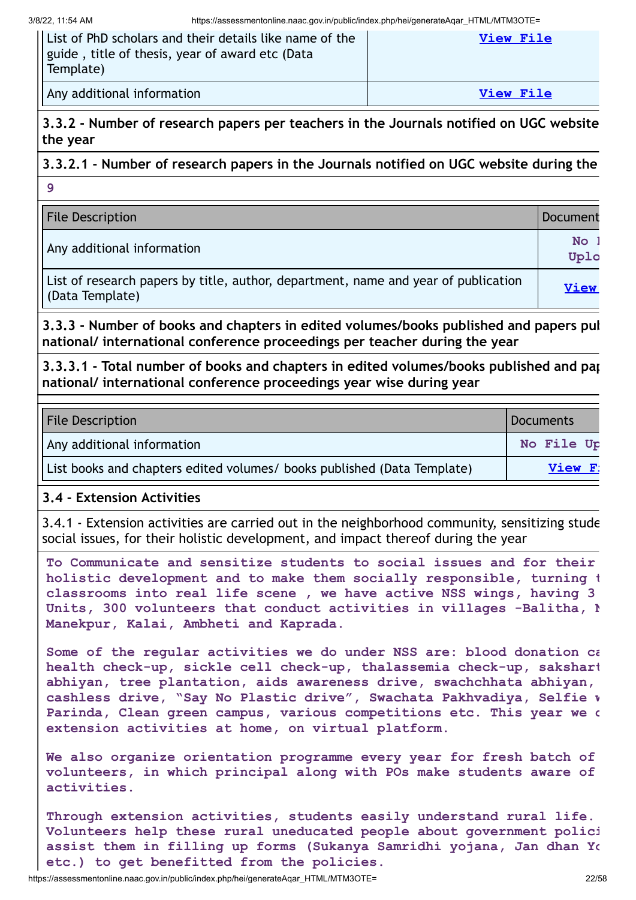| II List of PhD scholars and their details like name of the<br>   guide, title of thesis, year of award etc (Data<br>$\vert$ Template) | View File |
|---------------------------------------------------------------------------------------------------------------------------------------|-----------|
| Any additional information                                                                                                            | View File |

**3.3.2 - Number of research papers per teachers in the Journals notified on UGC website the year**

**3.3.2.1 - Number of research papers in the Journals notified on UGC website during the 9**

| <b>File Description</b>                                                                               | Document    |
|-------------------------------------------------------------------------------------------------------|-------------|
| Any additional information                                                                            | No<br>Uplo  |
| List of research papers by title, author, department, name and year of publication<br>(Data Template) | <b>View</b> |

**3.3.3 - Number of books and chapters in edited volumes/books published and papers pub national/ international conference proceedings per teacher during the year**

**3.3.3.1 - Total number of books and chapters in edited volumes/books published and pap national/ international conference proceedings year wise during year**

| <b>File Description</b>                                                 | Documents  |
|-------------------------------------------------------------------------|------------|
| Any additional information                                              | No File Up |
| List books and chapters edited volumes/ books published (Data Template) | View F:    |

#### **3.4 - Extension Activities**

3.4.1 - Extension activities are carried out in the neighborhood community, sensitizing stude social issues, for their holistic development, and impact thereof during the year

**To Communicate and sensitize students to social issues and for their holistic development and to make them socially responsible, turning t classrooms into real life scene , we have active NSS wings, having 3 Units, 300 volunteers that conduct activities in villages -Balitha, N Manekpur, Kalai, Ambheti and Kaprada.**

**Some of the regular activities we do under NSS are: blood donation ca health check-up, sickle cell check-up, thalassemia check-up, sakshart abhiyan, tree plantation, aids awareness drive, swachchhata abhiyan, cashless drive, "Say No Plastic drive", Swachata Pakhvadiya, Selfie w Parinda, Clean green campus, various competitions etc. This year we d extension activities at home, on virtual platform.**

**We also organize orientation programme every year for fresh batch of volunteers, in which principal along with POs make students aware of activities.**

**Through extension activities, students easily understand rural life. Volunteers help these rural uneducated people about government polici assist them in filling up forms (Sukanya Samridhi yojana, Jan dhan Yo etc.) to get benefitted from the policies.**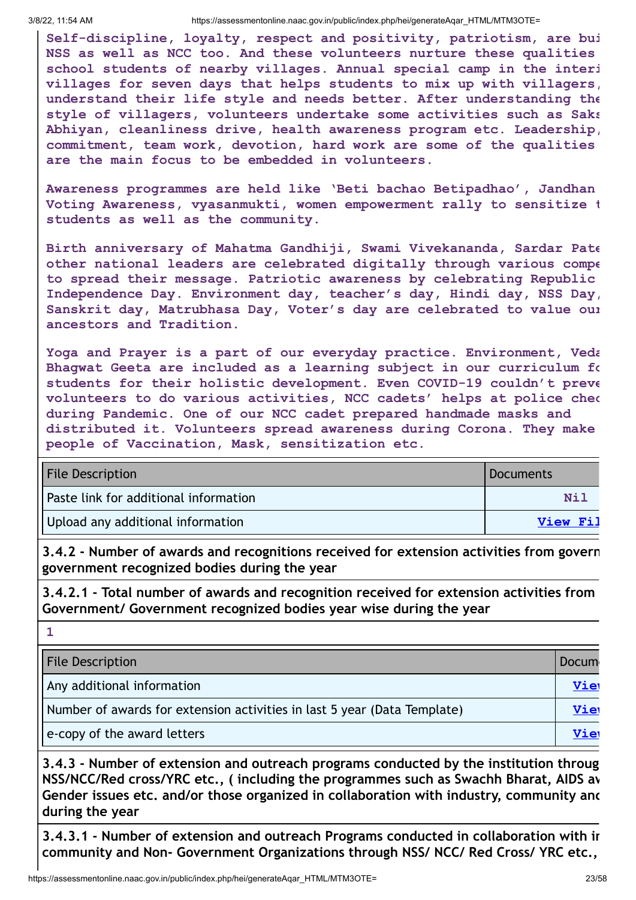**1**

**Self-discipline, loyalty, respect and positivity, patriotism, are bui NSS as well as NCC too. And these volunteers nurture these qualities school students of nearby villages. Annual special camp in the interi villages for seven days that helps students to mix up with villagers, understand their life style and needs better. After understanding the style of villagers, volunteers undertake some activities such as Saks Abhiyan, cleanliness drive, health awareness program etc. Leadership, commitment, team work, devotion, hard work are some of the qualities are the main focus to be embedded in volunteers.**

**Awareness programmes are held like 'Beti bachao Betipadhao', Jandhan Voting Awareness, vyasanmukti, women empowerment rally to sensitize t students as well as the community.**

**Birth anniversary of Mahatma Gandhiji, Swami Vivekananda, Sardar Pate other national leaders are celebrated digitally through various compe to spread their message. Patriotic awareness by celebrating Republic Independence Day. Environment day, teacher's day, Hindi day, NSS Day, Sanskrit day, Matrubhasa Day, Voter's day are celebrated to value our ancestors and Tradition.**

**Yoga and Prayer is a part of our everyday practice. Environment, Veda Bhagwat Geeta are included as a learning subject in our curriculum fo students for their holistic development. Even COVID-19 couldn't preve volunteers to do various activities, NCC cadets' helps at police chec during Pandemic. One of our NCC cadet prepared handmade masks and distributed it. Volunteers spread awareness during Corona. They make people of Vaccination, Mask, sensitization etc.**

| <b>File Description</b>               | Documents |
|---------------------------------------|-----------|
| Paste link for additional information | Nil       |
| Upload any additional information     | View Fil  |

**3.4.2 - Number of awards and recognitions received for extension activities from govern government recognized bodies during the year**

**3.4.2.1 - Total number of awards and recognition received for extension activities from Government/ Government recognized bodies year wise during the year**

| <b>File Description</b>                                                  | <b>Docum</b> |
|--------------------------------------------------------------------------|--------------|
| Any additional information                                               | Vie          |
| Number of awards for extension activities in last 5 year (Data Template) | Vie          |
| e-copy of the award letters                                              | Vie          |

**3.4.3 - Number of extension and outreach programs conducted by the institution throug NSS/NCC/Red cross/YRC etc., ( including the programmes such as Swachh Bharat, AIDS aw Gender issues etc. and/or those organized in collaboration with industry, community and during the year**

**3.4.3.1 - Number of extension and outreach Programs conducted in collaboration with in community and Non- Government Organizations through NSS/ NCC/ Red Cross/ YRC etc.,**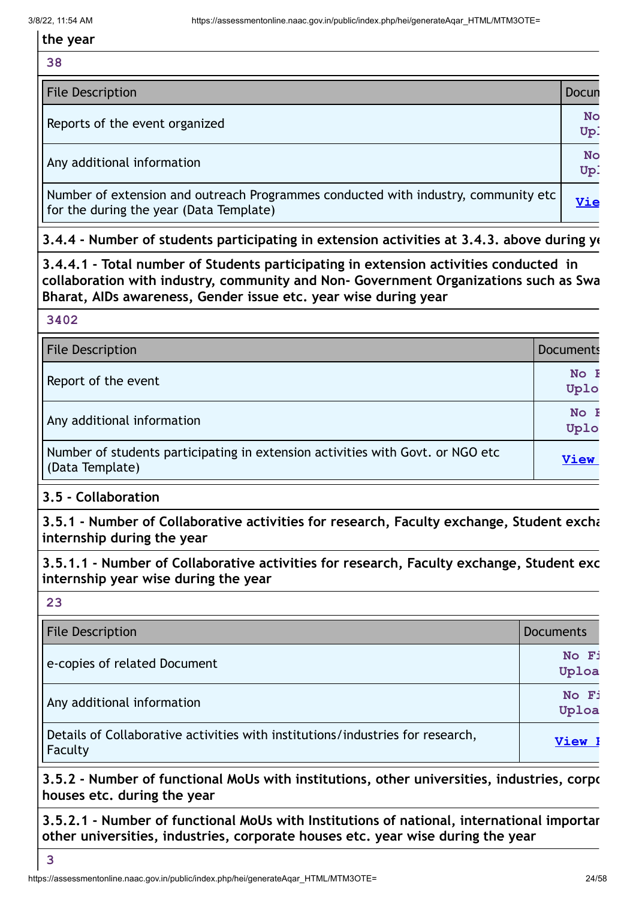**38**

| <b>File Description</b>                                                                                                       | Docun            |
|-------------------------------------------------------------------------------------------------------------------------------|------------------|
| Reports of the event organized                                                                                                | <b>No</b><br>Up. |
| Any additional information                                                                                                    | No<br>Up:        |
| Number of extension and outreach Programmes conducted with industry, community etc<br>for the during the year (Data Template) | Vie              |

**3.4.4 - Number of students participating in extension activities at 3.4.3. above during ye**

**3.4.4.1 - Total number of Students participating in extension activities conducted in collaboration with industry, community and Non- Government Organizations such as Swa Bharat, AIDs awareness, Gender issue etc. year wise during year**

**3402**

| <b>File Description</b>                                                                           | <b>Documents</b>    |
|---------------------------------------------------------------------------------------------------|---------------------|
| Report of the event                                                                               | No F<br>Uplo        |
| Any additional information                                                                        | No <b>H</b><br>Uplo |
| Number of students participating in extension activities with Govt. or NGO etc<br>(Data Template) | <b>View</b>         |

#### **3.5 - Collaboration**

**3.5.1 - Number of Collaborative activities for research, Faculty exchange, Student excha internship during the year**

**3.5.1.1 - Number of Collaborative activities for research, Faculty exchange, Student exc internship year wise during the year**

**23**

| <b>File Description</b>                                                                   | <b>Documents</b> |
|-------------------------------------------------------------------------------------------|------------------|
| e-copies of related Document                                                              | No Fi<br>Uploa   |
| Any additional information                                                                | No Fi<br>Uploa   |
| Details of Collaborative activities with institutions/industries for research,<br>Faculty | View I           |

**3.5.2 - Number of functional MoUs with institutions, other universities, industries, corpo houses etc. during the year**

**3.5.2.1 - Number of functional MoUs with Institutions of national, international importan other universities, industries, corporate houses etc. year wise during the year**

**3**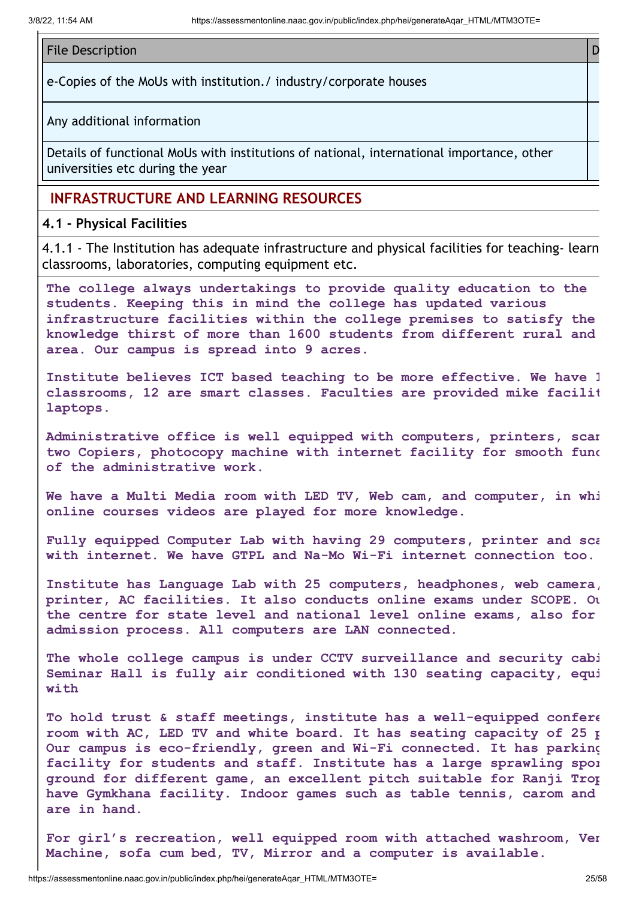#### File Description **Description Description Description Description Description D**

e-Copies of the MoUs with institution./ industry/corporate houses

Any additional information

Details of functional MoUs with institutions of national, international importance, other universities etc during the year

#### **INFRASTRUCTURE AND LEARNING RESOURCES**

**4.1 - Physical Facilities**

4.1.1 - The Institution has adequate infrastructure and physical facilities for teaching- learn classrooms, laboratories, computing equipment etc.

**The college always undertakings to provide quality education to the students. Keeping this in mind the college has updated various infrastructure facilities within the college premises to satisfy the knowledge thirst of more than 1600 students from different rural and area. Our campus is spread into 9 acres.**

**Institute believes ICT based teaching to be more effective. We have 1 classrooms, 12 are smart classes. Faculties are provided mike facilit laptops.**

**Administrative office is well equipped with computers, printers, scan two Copiers, photocopy machine with internet facility for smooth func of the administrative work.**

**We have a Multi Media room with LED TV, Web cam, and computer, in whi online courses videos are played for more knowledge.**

**Fully equipped Computer Lab with having 29 computers, printer and sca with internet. We have GTPL and Na-Mo Wi-Fi internet connection too.**

**Institute has Language Lab with 25 computers, headphones, web camera, printer, AC facilities. It also conducts online exams under SCOPE. Ou the centre for state level and national level online exams, also for admission process. All computers are LAN connected.**

**The whole college campus is under CCTV surveillance and security cabi Seminar Hall is fully air conditioned with 130 seating capacity, equi with**

**To hold trust & staff meetings, institute has a well-equipped confere room with AC, LED TV and white board. It has seating capacity of 25 p Our campus is eco-friendly, green and Wi-Fi connected. It has parking facility for students and staff. Institute has a large sprawling spor ground for different game, an excellent pitch suitable for Ranji Trop have Gymkhana facility. Indoor games such as table tennis, carom and are in hand.**

**For girl's recreation, well equipped room with attached washroom, Ven Machine, sofa cum bed, TV, Mirror and a computer is available.**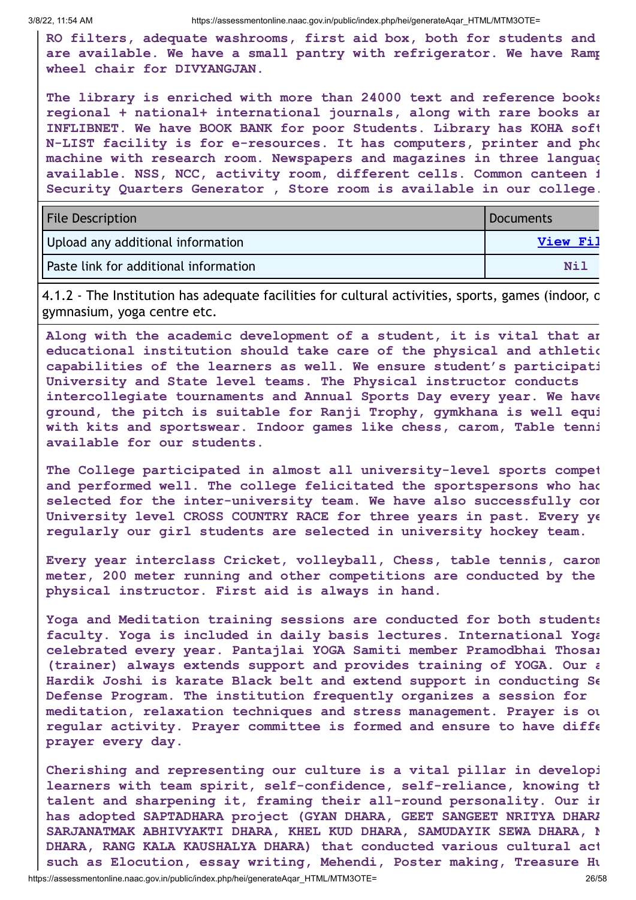**RO filters, adequate washrooms, first aid box, both for students and are available. We have a small pantry with refrigerator. We have Ramp wheel chair for DIVYANGJAN.**

**The library is enriched with more than 24000 text and reference books regional + national+ international journals, along with rare books an INFLIBNET. We have BOOK BANK for poor Students. Library has KOHA soft N-LIST facility is for e-resources. It has computers, printer and pho machine with research room. Newspapers and magazines in three languag available. NSS, NCC, activity room, different cells. Common canteen f Security Quarters Generator , Store room is available in our college.**

| <b>File Description</b>               | Documents       |
|---------------------------------------|-----------------|
| Upload any additional information     | <b>View Fil</b> |
| Paste link for additional information | Nil             |

4.1.2 - The Institution has adequate facilities for cultural activities, sports, games (indoor, o gymnasium, yoga centre etc.

**Along with the academic development of a student, it is vital that an educational institution should take care of the physical and athletic capabilities of the learners as well. We ensure student's participati University and State level teams. The Physical instructor conducts intercollegiate tournaments and Annual Sports Day every year. We have ground, the pitch is suitable for Ranji Trophy, gymkhana is well equi with kits and sportswear. Indoor games like chess, carom, Table tenni available for our students.**

**The College participated in almost all university-level sports compet and performed well. The college felicitated the sportspersons who had selected for the inter-university team. We have also successfully con University level CROSS COUNTRY RACE for three years in past. Every ye regularly our girl students are selected in university hockey team.**

**Every year interclass Cricket, volleyball, Chess, table tennis, carom meter, 200 meter running and other competitions are conducted by the physical instructor. First aid is always in hand.**

**Yoga and Meditation training sessions are conducted for both students faculty. Yoga is included in daily basis lectures. International Yoga celebrated every year. Pantajlai YOGA Samiti member Pramodbhai Thosar (trainer) always extends support and provides training of YOGA. Our a Hardik Joshi is karate Black belt and extend support in conducting Se Defense Program. The institution frequently organizes a session for meditation, relaxation techniques and stress management. Prayer is ou regular activity. Prayer committee is formed and ensure to have diffe prayer every day.**

**Cherishing and representing our culture is a vital pillar in developi learners with team spirit, self-confidence, self-reliance, knowing th talent and sharpening it, framing their all-round personality. Our in has adopted SAPTADHARA project (GYAN DHARA, GEET SANGEET NRITYA DHARA SARJANATMAK ABHIVYAKTI DHARA, KHEL KUD DHARA, SAMUDAYIK SEWA DHARA, N DHARA, RANG KALA KAUSHALYA DHARA) that conducted various cultural act such as Elocution, essay writing, Mehendi, Poster making, Treasure Hu**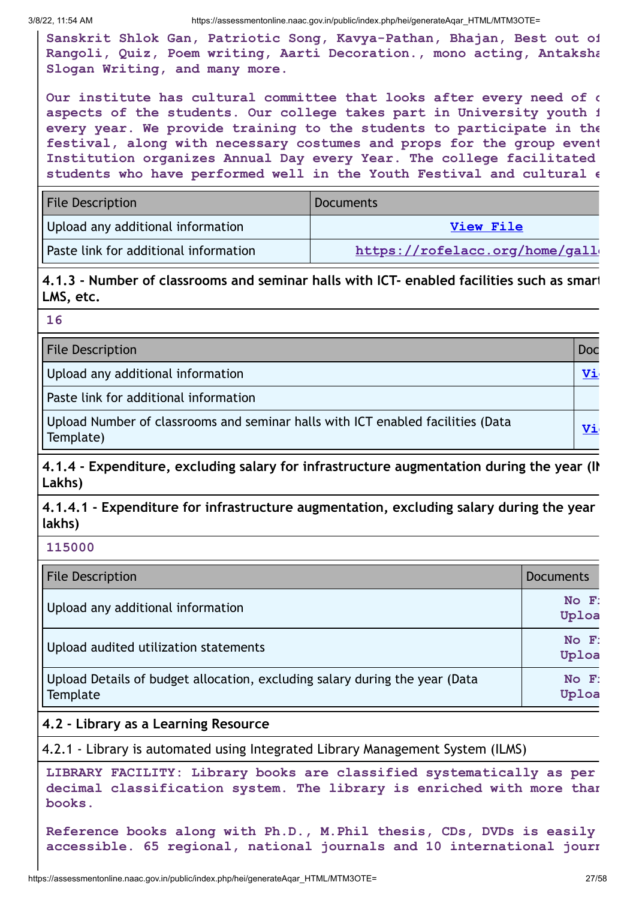**Sanskrit Shlok Gan, Patriotic Song, Kavya-Pathan, Bhajan, Best out of Rangoli, Quiz, Poem writing, Aarti Decoration., mono acting, Antaksha Slogan Writing, and many more.**

**Our institute has cultural committee that looks after every need of c aspects of the students. Our college takes part in University youth f every year. We provide training to the students to participate in the festival, along with necessary costumes and props for the group event Institution organizes Annual Day every Year. The college facilitated students who have performed well in the Youth Festival and cultural e**

| <b>File Description</b>               | <b>Documents</b>               |
|---------------------------------------|--------------------------------|
| Upload any additional information     | <b>View File</b>               |
| Paste link for additional information | https://rofelacc.org/home/gall |

**4.1.3 - Number of classrooms and seminar halls with ICT- enabled facilities such as smart LMS, etc.**

| v  |
|----|
| I  |
|    |
| w  |
| ۰. |
|    |

File Description **Doctor** Contract Contract Contract Contract Contract Contract Contract Contract Contract Contract Contract Contract Contract Contract Contract Contract Contract Contract Contract Contract Contract Contrac

Upload any additional information **View Accounts and Accounts and Accounts and Accounts and Accounts and Accounts** and Accounts and Accounts and Accounts and Accounts and Accounts and Accounts and Accounts and Accounts and

Paste link for additional information

Upload Number of classrooms and seminar halls with ICT enabled facilities (Data **Vigles 1986)**<br>Template)

**4.1.4 - Expenditure, excluding salary for infrastructure augmentation during the year (IN Lakhs)**

**4.1.4.1 - Expenditure for infrastructure augmentation, excluding salary during the year lakhs)**

**115000**

| <b>File Description</b>                                                                 | <b>Documents</b>    |
|-----------------------------------------------------------------------------------------|---------------------|
| Upload any additional information                                                       | $No$ $F$ :<br>Uploa |
| Upload audited utilization statements                                                   | $No$ $F$ :<br>Uploa |
| Upload Details of budget allocation, excluding salary during the year (Data<br>Template | $No$ $F$ :<br>Uploa |

#### **4.2 - Library as a Learning Resource**

4.2.1 - Library is automated using Integrated Library Management System (ILMS)

**LIBRARY FACILITY: Library books are classified systematically as per decimal classification system. The library is enriched with more than books.**

**Reference books along with Ph.D., M.Phil thesis, CDs, DVDs is easily accessible. 65 regional, national journals and 10 international journ**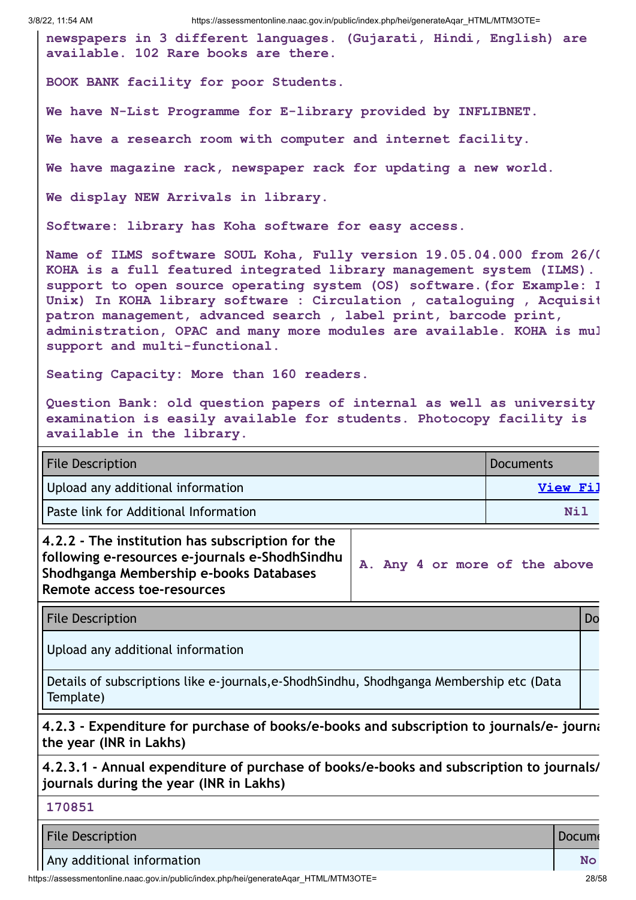**newspapers in 3 different languages. (Gujarati, Hindi, English) are available. 102 Rare books are there.**

**BOOK BANK facility for poor Students.**

**We have N-List Programme for E-library provided by INFLIBNET.**

**We have a research room with computer and internet facility.**

**We have magazine rack, newspaper rack for updating a new world.**

**We display NEW Arrivals in library.**

**Software: library has Koha software for easy access.**

**Name of ILMS software SOUL Koha, Fully version 19.05.04.000 from 26/0 KOHA is a full featured integrated library management system (ILMS). support to open source operating system (OS) software.(for Example: L Unix) In KOHA library software : Circulation , cataloguing , Acquisit patron management, advanced search , label print, barcode print, administration, OPAC and many more modules are available. KOHA is mul support and multi-functional.**

**Seating Capacity: More than 160 readers.**

**Question Bank: old question papers of internal as well as university examination is easily available for students. Photocopy facility is available in the library.**

| <b>File Description</b>               | Documents |
|---------------------------------------|-----------|
| Upload any additional information     | View Fil  |
| Paste link for Additional Information | Nil       |

**4.2.2 - The institution has subscription for the following e-resources e-journals e-ShodhSindhu Shodhganga Membership e-books Databases Remote access toe-resources**

**A. Any 4 or more of the above**

File Description **Download** 

Upload any additional information

Details of subscriptions like e-journals,e-ShodhSindhu, Shodhganga Membership etc (Data Template)

**4.2.3 - Expenditure for purchase of books/e-books and subscription to journals/e- journa the year (INR in Lakhs)**

**4.2.3.1 - Annual expenditure of purchase of books/e-books and subscription to journals/ journals during the year (INR in Lakhs)**

|  |  | ٧ |  |
|--|--|---|--|

File Description **Document Contract Contract Contract Contract Contract Contract Contract Contract Contract Contract Contract Contract Contract Contract Contract Contract Contract Contract Contract Contract Contract Contra** 

Any additional information **No** 

https://assessmentonline.naac.gov.in/public/index.php/hei/generateAqar\_HTML/MTM3OTE= 28/58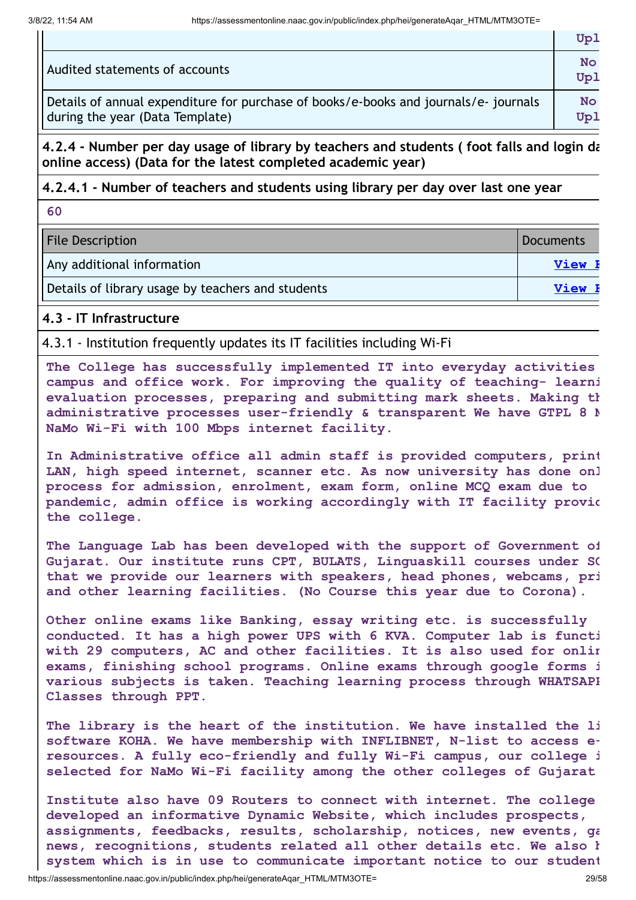$\blacksquare$ 

|                                                                                      | Upl              |
|--------------------------------------------------------------------------------------|------------------|
| Audited statements of accounts                                                       | <b>No</b><br>Upl |
| Details of annual expenditure for purchase of books/e-books and journals/e- journals | <b>No</b>        |
| during the year (Data Template)                                                      | Upl              |

**4.2.4 - Number per day usage of library by teachers and students ( foot falls and login da online access) (Data for the latest completed academic year)**

#### **4.2.4.1 - Number of teachers and students using library per day over last one year**

**60**

| <b>File Description</b>                           | Documents     |
|---------------------------------------------------|---------------|
| Any additional information                        | <b>View H</b> |
| Details of library usage by teachers and students | View <b>H</b> |

#### **4.3 - IT Infrastructure**

4.3.1 - Institution frequently updates its IT facilities including Wi-Fi

**The College has successfully implemented IT into everyday activities campus and office work. For improving the quality of teaching- learni evaluation processes, preparing and submitting mark sheets. Making th administrative processes user-friendly & transparent We have GTPL 8 M NaMo Wi-Fi with 100 Mbps internet facility.**

**In Administrative office all admin staff is provided computers, print LAN, high speed internet, scanner etc. As now university has done onl process for admission, enrolment, exam form, online MCQ exam due to pandemic, admin office is working accordingly with IT facility provid the college.**

**The Language Lab has been developed with the support of Government of Gujarat. Our institute runs CPT, BULATS, Linguaskill courses under SC that we provide our learners with speakers, head phones, webcams, pri and other learning facilities. (No Course this year due to Corona).**

**Other online exams like Banking, essay writing etc. is successfully conducted. It has a high power UPS with 6 KVA. Computer lab is functi with 29 computers, AC and other facilities. It is also used for onlin exams, finishing school programs. Online exams through google forms i various subjects is taken. Teaching learning process through WHATSAPP Classes through PPT.**

**The library is the heart of the institution. We have installed the li software KOHA. We have membership with INFLIBNET, N-list to access eresources. A fully eco-friendly and fully Wi-Fi campus, our college i selected for NaMo Wi-Fi facility among the other colleges of Gujarat**

**Institute also have 09 Routers to connect with internet. The college developed an informative Dynamic Website, which includes prospects, assignments, feedbacks, results, scholarship, notices, new events, ga news, recognitions, students related all other details etc. We also h system which is in use to communicate important notice to our student**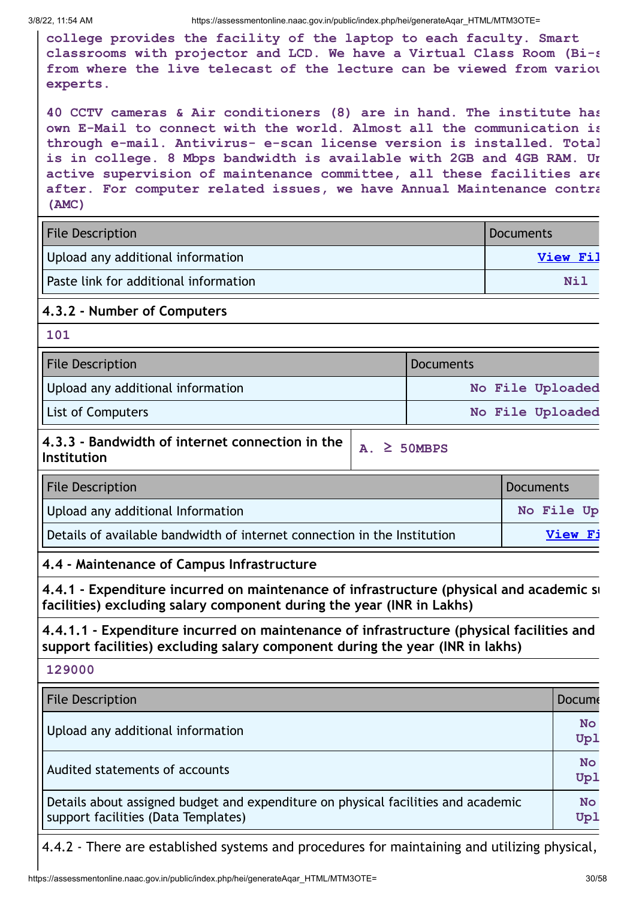**college provides the facility of the laptop to each faculty. Smart classrooms with projector and LCD. We have a Virtual Class Room (Bi-s from where the live telecast of the lecture can be viewed from variou experts.**

**40 CCTV cameras & Air conditioners (8) are in hand. The institute has own E-Mail to connect with the world. Almost all the communication is through e-mail. Antivirus- e-scan license version is installed. Total is in college. 8 Mbps bandwidth is available with 2GB and 4GB RAM. Un active supervision of maintenance committee, all these facilities are after. For computer related issues, we have Annual Maintenance contra (AMC)**

| <b>File Description</b>               | Documents |
|---------------------------------------|-----------|
| Upload any additional information     | View Fil  |
| Paste link for additional information | Nil       |

#### **4.3.2 - Number of Computers**

**101**

| <b>File Description</b>           | Documents        |
|-----------------------------------|------------------|
| Upload any additional information | No File Uploaded |
| <b>List of Computers</b>          | No File Uploaded |
|                                   |                  |

#### **4.3.3 - Bandwidth of internet connection in the Institution A. ≥ 50MBPS**

| <b>File Description</b>                                                  | Documents  |
|--------------------------------------------------------------------------|------------|
| Upload any additional Information                                        | No File Up |
| Details of available bandwidth of internet connection in the Institution | View Fi    |

#### **4.4 - Maintenance of Campus Infrastructure**

**4.4.1 - Expenditure incurred on maintenance of infrastructure (physical and academic su facilities) excluding salary component during the year (INR in Lakhs)**

**4.4.1.1 - Expenditure incurred on maintenance of infrastructure (physical facilities and support facilities) excluding salary component during the year (INR in lakhs)**

**129000 File Description Document Contract Contract Contract Contract Contract Contract Contract Contract Contract Contract Contract Contract Contract Contract Contract Contract Contract Contract Contract Contract Contract Cont** Upload any additional information **No Upl** Audited statements of accounts **No Upl** Details about assigned budget and expenditure on physical facilities and academic support facilities (Data Templates) **No Upl**

4.4.2 - There are established systems and procedures for maintaining and utilizing physical,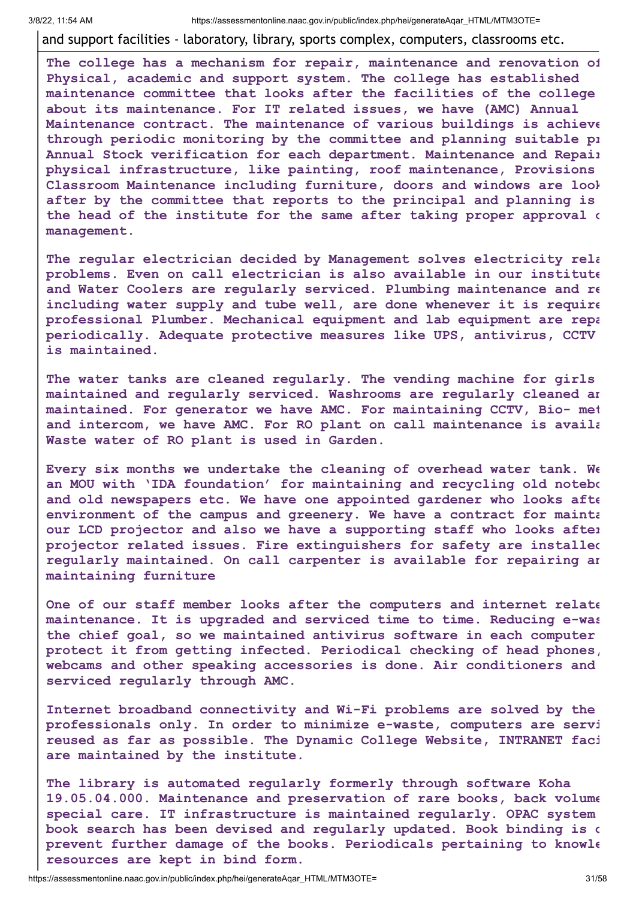and support facilities - laboratory, library, sports complex, computers, classrooms etc.

**The college has a mechanism for repair, maintenance and renovation of Physical, academic and support system. The college has established maintenance committee that looks after the facilities of the college about its maintenance. For IT related issues, we have (AMC) Annual Maintenance contract. The maintenance of various buildings is achieve through periodic monitoring by the committee and planning suitable pr Annual Stock verification for each department. Maintenance and Repair physical infrastructure, like painting, roof maintenance, Provisions Classroom Maintenance including furniture, doors and windows are look after by the committee that reports to the principal and planning is the head of the institute for the same after taking proper approval o management.**

**The regular electrician decided by Management solves electricity rela problems. Even on call electrician is also available in our institute and Water Coolers are regularly serviced. Plumbing maintenance and re including water supply and tube well, are done whenever it is require professional Plumber. Mechanical equipment and lab equipment are repa periodically. Adequate protective measures like UPS, antivirus, CCTV is maintained.**

**The water tanks are cleaned regularly. The vending machine for girls maintained and regularly serviced. Washrooms are regularly cleaned an maintained. For generator we have AMC. For maintaining CCTV, Bio- met and intercom, we have AMC. For RO plant on call maintenance is availa Waste water of RO plant is used in Garden.**

**Every six months we undertake the cleaning of overhead water tank. We an MOU with 'IDA foundation' for maintaining and recycling old notebo and old newspapers etc. We have one appointed gardener who looks afte environment of the campus and greenery. We have a contract for mainta our LCD projector and also we have a supporting staff who looks after projector related issues. Fire extinguishers for safety are installed regularly maintained. On call carpenter is available for repairing an maintaining furniture**

**One of our staff member looks after the computers and internet relate maintenance. It is upgraded and serviced time to time. Reducing e-was the chief goal, so we maintained antivirus software in each computer protect it from getting infected. Periodical checking of head phones, webcams and other speaking accessories is done. Air conditioners and serviced regularly through AMC.**

**Internet broadband connectivity and Wi-Fi problems are solved by the professionals only. In order to minimize e-waste, computers are servi reused as far as possible. The Dynamic College Website, INTRANET faci are maintained by the institute.**

**The library is automated regularly formerly through software Koha 19.05.04.000. Maintenance and preservation of rare books, back volume special care. IT infrastructure is maintained regularly. OPAC system book search has been devised and regularly updated. Book binding is d prevent further damage of the books. Periodicals pertaining to knowle resources are kept in bind form.**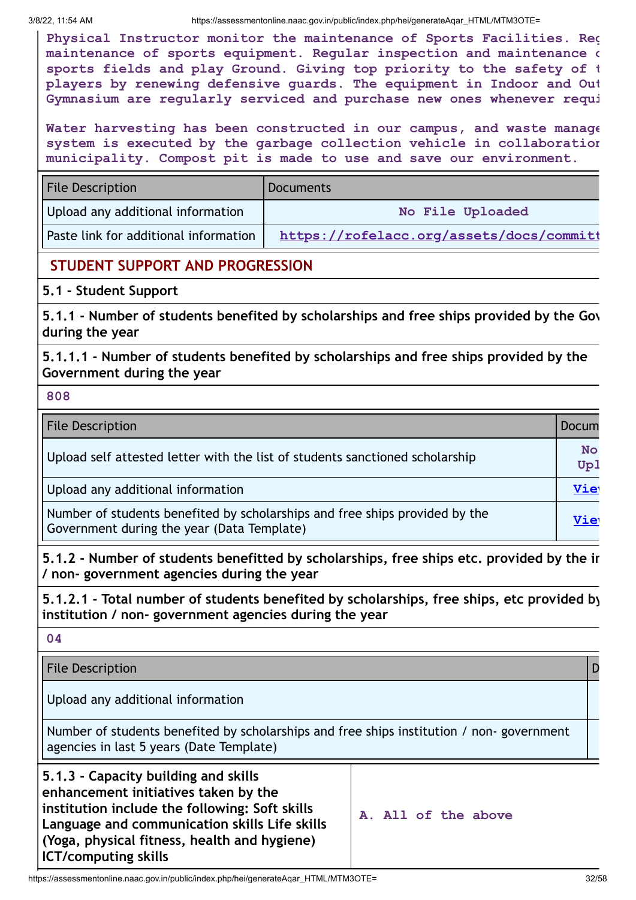**Physical Instructor monitor the maintenance of Sports Facilities. Reg maintenance of sports equipment. Regular inspection and maintenance o sports fields and play Ground. Giving top priority to the safety of t players by renewing defensive guards. The equipment in Indoor and Out Gymnasium are regularly serviced and purchase new ones whenever requi**

**Water harvesting has been constructed in our campus, and waste manage system is executed by the garbage collection vehicle in collaboration municipality. Compost pit is made to use and save our environment.**

| <b>File Description</b>               | <b>Documents</b>                         |
|---------------------------------------|------------------------------------------|
| Upload any additional information     | No File Uploaded                         |
| Paste link for additional information | https://rofelacc.org/assets/docs/committ |

#### **STUDENT SUPPORT AND PROGRESSION**

#### **5.1 - Student Support**

**5.1.1 - Number of students benefited by scholarships and free ships provided by the Gov during the year**

**5.1.1.1 - Number of students benefited by scholarships and free ships provided by the Government during the year**

**808**

| <b>File Description</b>                                                                                                   | Docum            |
|---------------------------------------------------------------------------------------------------------------------------|------------------|
| Upload self attested letter with the list of students sanctioned scholarship                                              | <b>No</b><br>Up1 |
| Upload any additional information                                                                                         | Vie              |
| Number of students benefited by scholarships and free ships provided by the<br>Government during the year (Data Template) | Vie              |

**5.1.2 - Number of students benefitted by scholarships, free ships etc. provided by the in / non- government agencies during the year**

**5.1.2.1 - Total number of students benefited by scholarships, free ships, etc provided by institution / non- government agencies during the year**

**04**

File Description **D** 

Upload any additional information

Number of students benefited by scholarships and free ships institution / non- government agencies in last 5 years (Date Template)

| 5.1.3 - Capacity building and skills           |
|------------------------------------------------|
| enhancement initiatives taken by the           |
| institution include the following: Soft skills |
| Language and communication skills Life skills  |
| (Yoga, physical fitness, health and hygiene)   |
| <b>ICT/computing skills</b>                    |

| A. All of the above |  |  |  |  |  |
|---------------------|--|--|--|--|--|
|---------------------|--|--|--|--|--|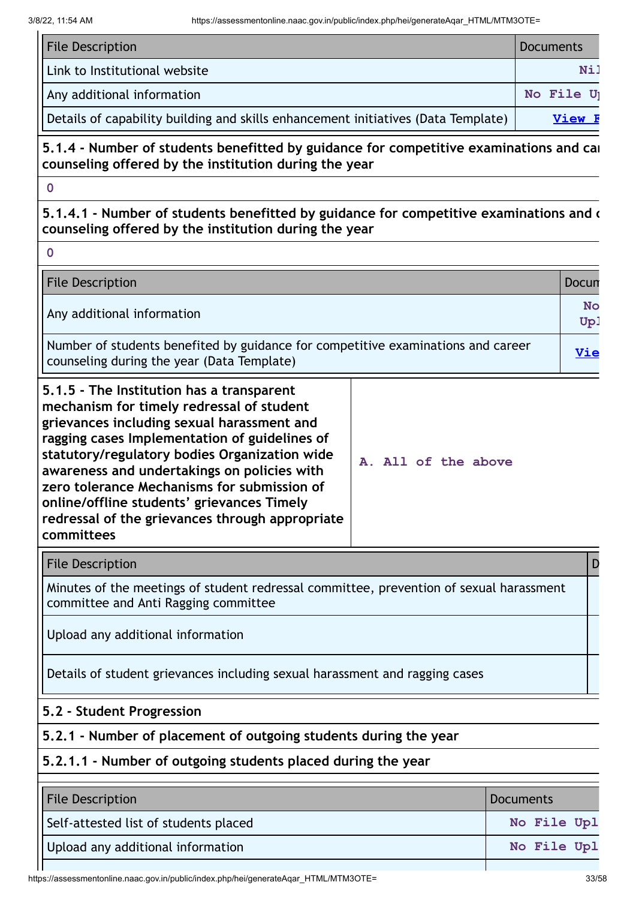$\mathbf{r}$ 

| <b>File Description</b>                                                           | Documents |
|-----------------------------------------------------------------------------------|-----------|
| Link to Institutional website                                                     | Ni]       |
| Any additional information                                                        | No File U |
| Details of capability building and skills enhancement initiatives (Data Template) | View      |

#### **5.1.4 - Number of students benefitted by guidance for competitive examinations and car counseling offered by the institution during the year**

**0**

**0**

**5.1.4.1 - Number of students benefitted by guidance for competitive examinations and c counseling offered by the institution during the year**

| <b>File Description</b>                                                                                                                                                                                                                                                                                                                                                                                                                             |                     | Docun            |
|-----------------------------------------------------------------------------------------------------------------------------------------------------------------------------------------------------------------------------------------------------------------------------------------------------------------------------------------------------------------------------------------------------------------------------------------------------|---------------------|------------------|
| Any additional information                                                                                                                                                                                                                                                                                                                                                                                                                          |                     | <b>No</b><br>Up! |
| Number of students benefited by guidance for competitive examinations and career<br>counseling during the year (Data Template)                                                                                                                                                                                                                                                                                                                      |                     | <u>Vie</u>       |
| 5.1.5 - The Institution has a transparent<br>mechanism for timely redressal of student<br>grievances including sexual harassment and<br>ragging cases Implementation of guidelines of<br>statutory/regulatory bodies Organization wide<br>awareness and undertakings on policies with<br>zero tolerance Mechanisms for submission of<br>online/offline students' grievances Timely<br>redressal of the grievances through appropriate<br>committees | A. All of the above |                  |
| <b>File Description</b>                                                                                                                                                                                                                                                                                                                                                                                                                             |                     |                  |

Minutes of the meetings of student redressal committee, prevention of sexual harassment committee and Anti Ragging committee

Upload any additional information

Details of student grievances including sexual harassment and ragging cases

#### **5.2 - Student Progression**

**5.2.1 - Number of placement of outgoing students during the year**

#### **5.2.1.1 - Number of outgoing students placed during the year**

| <b>File Description</b>               | <b>Documents</b> |
|---------------------------------------|------------------|
| Self-attested list of students placed | No File Upl      |
| Upload any additional information     | No File Upl      |
|                                       |                  |

https://assessmentonline.naac.gov.in/public/index.php/hei/generateAqar\_HTML/MTM3OTE= 33/58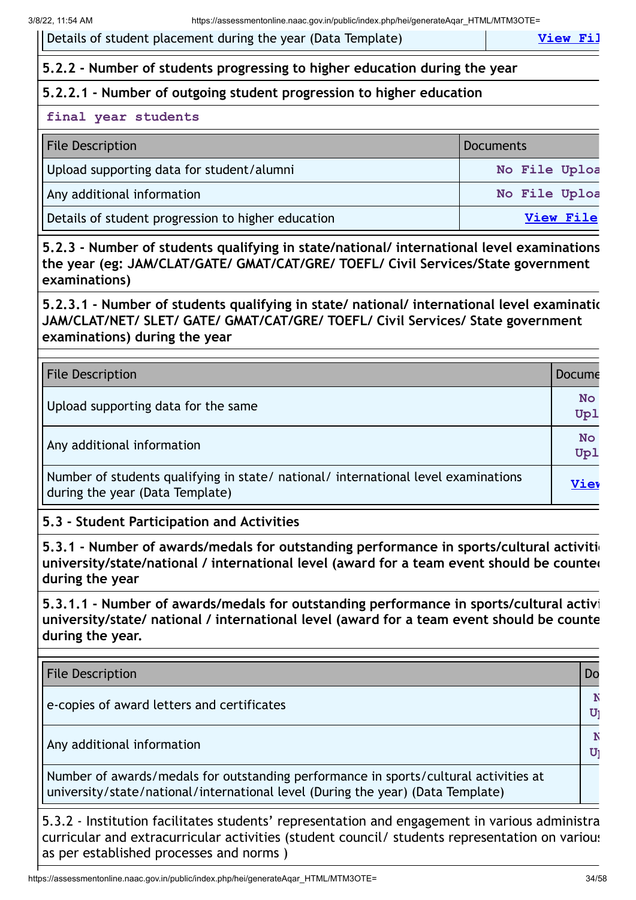Details of student placement during the year (Data Template) **View Fill** 

#### **5.2.2 - Number of students progressing to higher education during the year**

#### **5.2.2.1 - Number of outgoing student progression to higher education**

#### **final year students**

| <b>File Description</b>                            | Documents     |
|----------------------------------------------------|---------------|
| Upload supporting data for student/alumni          | No File Uploa |
| Any additional information                         | No File Uploa |
| Details of student progression to higher education | View File     |

**5.2.3 - Number of students qualifying in state/national/ international level examinations the year (eg: JAM/CLAT/GATE/ GMAT/CAT/GRE/ TOEFL/ Civil Services/State government examinations)**

**5.2.3.1 - Number of students qualifying in state/ national/ international level examinatio JAM/CLAT/NET/ SLET/ GATE/ GMAT/CAT/GRE/ TOEFL/ Civil Services/ State government examinations) during the year**

| <b>File Description</b>                                                                                               | Docume           |
|-----------------------------------------------------------------------------------------------------------------------|------------------|
| Upload supporting data for the same                                                                                   | <b>No</b><br>Up1 |
| Any additional information                                                                                            | <b>No</b><br>Up1 |
| Number of students qualifying in state/ national/ international level examinations<br>during the year (Data Template) | Viev             |

**5.3 - Student Participation and Activities**

**5.3.1 - Number of awards/medals for outstanding performance in sports/cultural activitie university/state/national / international level (award for a team event should be counted during the year**

**5.3.1.1 - Number of awards/medals for outstanding performance in sports/cultural activi university/state/ national / international level (award for a team event should be counte during the year.**

| <b>File Description</b>                                                                                                                                                 | Dc |
|-------------------------------------------------------------------------------------------------------------------------------------------------------------------------|----|
| e-copies of award letters and certificates                                                                                                                              |    |
| Any additional information                                                                                                                                              | U  |
| Number of awards/medals for outstanding performance in sports/cultural activities at<br>university/state/national/international level (During the year) (Data Template) |    |

5.3.2 - Institution facilitates students' representation and engagement in various administra curricular and extracurricular activities (student council/ students representation on various as per established processes and norms )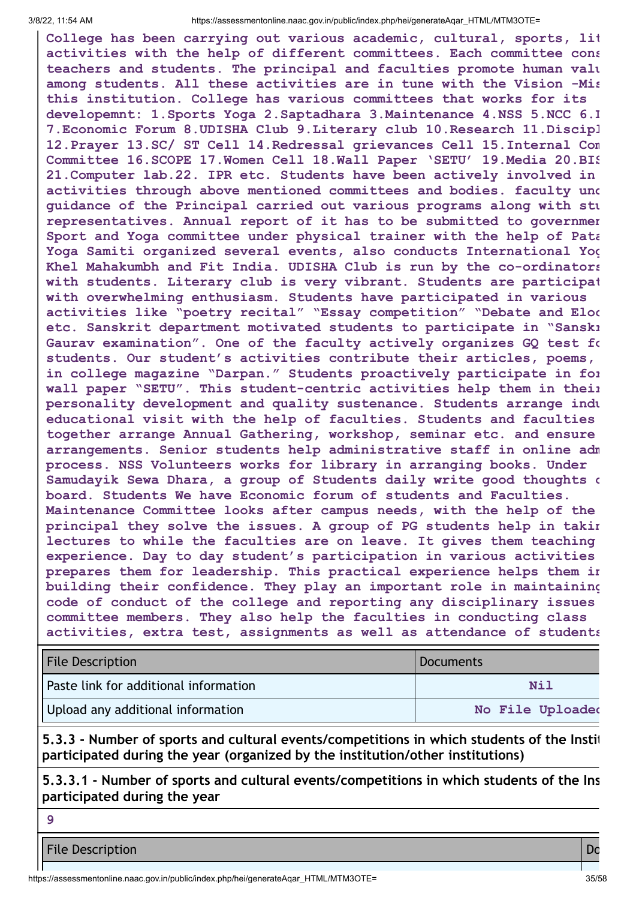**College has been carrying out various academic, cultural, sports, lit activities with the help of different committees. Each committee cons teachers and students. The principal and faculties promote human valu among students. All these activities are in tune with the Vision -Mis this institution. College has various committees that works for its developemnt: 1.Sports Yoga 2.Saptadhara 3.Maintenance 4.NSS 5.NCC 6.L 7.Economic Forum 8.UDISHA Club 9.Literary club 10.Research 11.Discipl 12.Prayer 13.SC/ ST Cell 14.Redressal grievances Cell 15.Internal Com Committee 16.SCOPE 17.Women Cell 18.Wall Paper 'SETU' 19.Media 20.BIS 21.Computer lab.22. IPR etc. Students have been actively involved in activities through above mentioned committees and bodies. faculty und guidance of the Principal carried out various programs along with stu representatives. Annual report of it has to be submitted to governmen Sport and Yoga committee under physical trainer with the help of Pata Yoga Samiti organized several events, also conducts International Yog Khel Mahakumbh and Fit India. UDISHA Club is run by the co-ordinators with students. Literary club is very vibrant. Students are participat with overwhelming enthusiasm. Students have participated in various activities like "poetry recital" "Essay competition" "Debate and Eloc etc. Sanskrit department motivated students to participate in "Sanskr Gaurav examination". One of the faculty actively organizes GQ test fo students. Our student's activities contribute their articles, poems, in college magazine "Darpan." Students proactively participate in for wall paper "SETU". This student-centric activities help them in their personality development and quality sustenance. Students arrange indu educational visit with the help of faculties. Students and faculties together arrange Annual Gathering, workshop, seminar etc. and ensure arrangements. Senior students help administrative staff in online adm process. NSS Volunteers works for library in arranging books. Under Samudayik Sewa Dhara, a group of Students daily write good thoughts o board. Students We have Economic forum of students and Faculties. Maintenance Committee looks after campus needs, with the help of the principal they solve the issues. A group of PG students help in takin lectures to while the faculties are on leave. It gives them teaching experience. Day to day student's participation in various activities prepares them for leadership. This practical experience helps them in building their confidence. They play an important role in maintaining code of conduct of the college and reporting any disciplinary issues committee members. They also help the faculties in conducting class activities, extra test, assignments as well as attendance of students**

| <b>File Description</b>               | Documents        |
|---------------------------------------|------------------|
| Paste link for additional information | Nil              |
| Upload any additional information     | No File Uploaded |

**5.3.3 - Number of sports and cultural events/competitions in which students of the Instit participated during the year (organized by the institution/other institutions)**

**5.3.3.1 - Number of sports and cultural events/competitions in which students of the Ins participated during the year**

**9**

**File Description Do**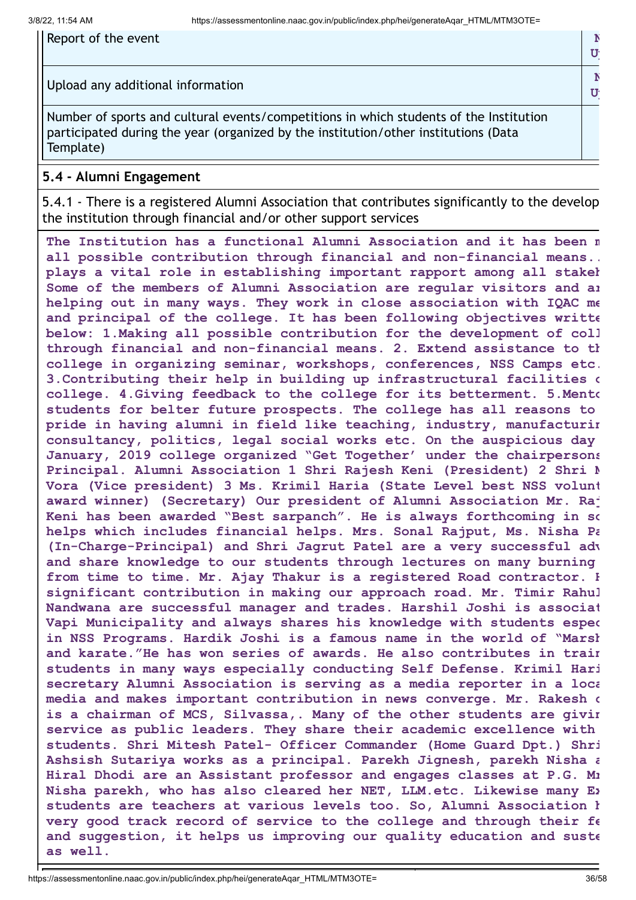| Report of the event                                                                                                                                                                        |  |
|--------------------------------------------------------------------------------------------------------------------------------------------------------------------------------------------|--|
| Upload any additional information                                                                                                                                                          |  |
| Number of sports and cultural events/competitions in which students of the Institution<br>participated during the year (organized by the institution/other institutions (Data<br>Template) |  |

#### **5.4 - Alumni Engagement**

5.4.1 - There is a registered Alumni Association that contributes significantly to the develop the institution through financial and/or other support services

**The Institution has a functional Alumni Association and it has been m all possible contribution through financial and non-financial means.. plays a vital role in establishing important rapport among all stakeh Some of the members of Alumni Association are regular visitors and ar helping out in many ways. They work in close association with IQAC me and principal of the college. It has been following objectives writte below: 1.Making all possible contribution for the development of coll through financial and non-financial means. 2. Extend assistance to th college in organizing seminar, workshops, conferences, NSS Camps etc. 3.Contributing their help in building up infrastructural facilities o college. 4.Giving feedback to the college for its betterment. 5.Mento students for belter future prospects. The college has all reasons to pride in having alumni in field like teaching, industry, manufacturin consultancy, politics, legal social works etc. On the auspicious day January, 2019 college organized "Get Together' under the chairpersons Principal. Alumni Association 1 Shri Rajesh Keni (President) 2 Shri M Vora (Vice president) 3 Ms. Krimil Haria (State Level best NSS volunt award winner) (Secretary) Our president of Alumni Association Mr. Raj Keni has been awarded "Best sarpanch". He is always forthcoming in so helps which includes financial helps. Mrs. Sonal Rajput, Ms. Nisha Pa (In-Charge-Principal) and Shri Jagrut Patel are a very successful adv and share knowledge to our students through lectures on many burning from time to time. Mr. Ajay Thakur is a registered Road contractor. H significant contribution in making our approach road. Mr. Timir Rahul Nandwana are successful manager and trades. Harshil Joshi is associat Vapi Municipality and always shares his knowledge with students espec in NSS Programs. Hardik Joshi is a famous name in the world of "Marsh and karate."He has won series of awards. He also contributes in train students in many ways especially conducting Self Defense. Krimil Hari secretary Alumni Association is serving as a media reporter in a loca media and makes important contribution in news converge. Mr. Rakesh c is a chairman of MCS, Silvassa,. Many of the other students are givin service as public leaders. They share their academic excellence with students. Shri Mitesh Patel- Officer Commander (Home Guard Dpt.) Shri Ashsish Sutariya works as a principal. Parekh Jignesh, parekh Nisha a Hiral Dhodi are an Assistant professor and engages classes at P.G. Mr Nisha parekh, who has also cleared her NET, LLM.etc. Likewise many Ex students are teachers at various levels too. So, Alumni Association h very good track record of service to the college and through their fe and suggestion, it helps us improving our quality education and suste as well.**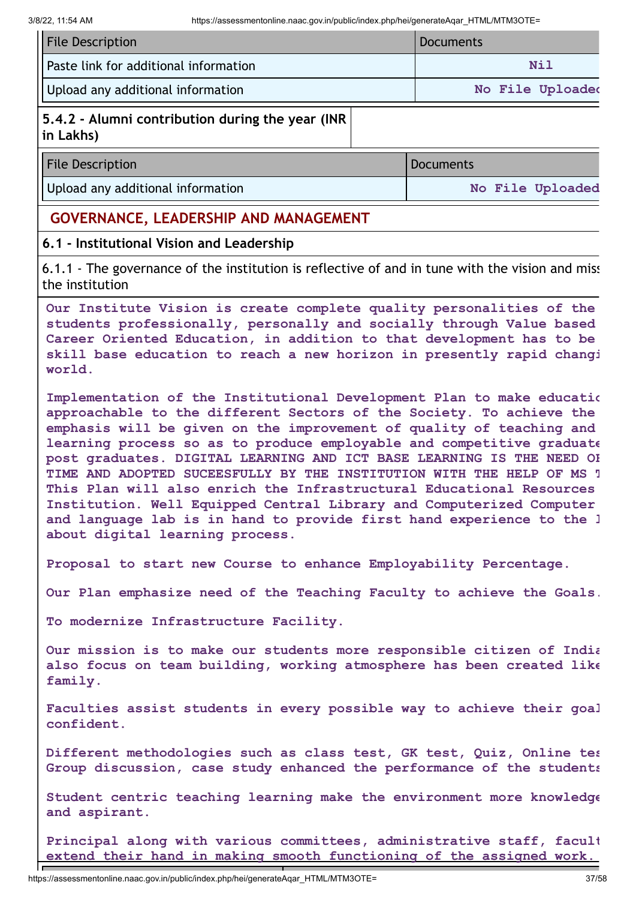| <b>File Description</b>               | Documents        |
|---------------------------------------|------------------|
| Paste link for additional information | Nil              |
| Upload any additional information     | No File Uploaded |

#### **5.4.2 - Alumni contribution during the year (INR in Lakhs)**

| <b>File Description</b>           | <i><b>Documents</b></i> |
|-----------------------------------|-------------------------|
| Upload any additional information | No File Uploaded        |

#### **GOVERNANCE, LEADERSHIP AND MANAGEMENT**

#### **6.1 - Institutional Vision and Leadership**

6.1.1 - The governance of the institution is reflective of and in tune with the vision and miss the institution

**Our Institute Vision is create complete quality personalities of the students professionally, personally and socially through Value based Career Oriented Education, in addition to that development has to be skill base education to reach a new horizon in presently rapid changi world.**

**Implementation of the Institutional Development Plan to make educatio approachable to the different Sectors of the Society. To achieve the emphasis will be given on the improvement of quality of teaching and learning process so as to produce employable and competitive graduate post graduates. DIGITAL LEARNING AND ICT BASE LEARNING IS THE NEED OF TIME AND ADOPTED SUCEESFULLY BY THE INSTITUTION WITH THE HELP OF MS T This Plan will also enrich the Infrastructural Educational Resources Institution. Well Equipped Central Library and Computerized Computer and language lab is in hand to provide first hand experience to the l about digital learning process.**

**Proposal to start new Course to enhance Employability Percentage.**

**Our Plan emphasize need of the Teaching Faculty to achieve the Goals.**

**To modernize Infrastructure Facility.**

**Our mission is to make our students more responsible citizen of India also focus on team building, working atmosphere has been created like family.**

**Faculties assist students in every possible way to achieve their goal confident.**

**Different methodologies such as class test, GK test, Quiz, Online tes Group discussion, case study enhanced the performance of the students**

**Student centric teaching learning make the environment more knowledge and aspirant.**

**Principal along with various committees, administrative staff, facult extend their hand in making smooth functioning of the assigned work.**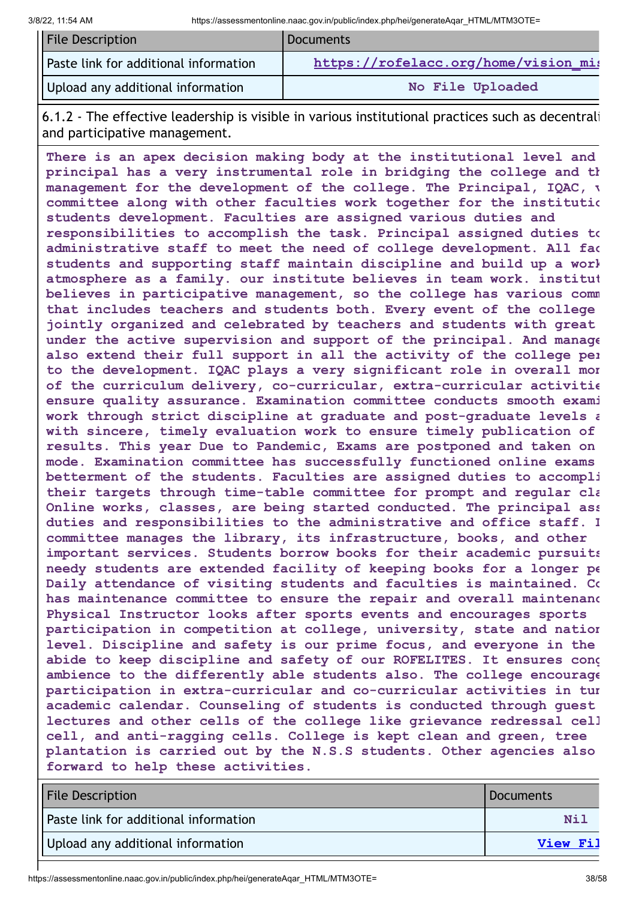| <b>File Description</b>               | <b>Documents</b>                     |
|---------------------------------------|--------------------------------------|
| Paste link for additional information | https://rofelacc.org/home/vision mis |
| Upload any additional information     | No File Uploaded                     |

6.1.2 - The effective leadership is visible in various institutional practices such as decentrali and participative management.

**There is an apex decision making body at the institutional level and principal has a very instrumental role in bridging the college and th management for the development of the college. The Principal, IQAC, v committee along with other faculties work together for the institutio students development. Faculties are assigned various duties and responsibilities to accomplish the task. Principal assigned duties to administrative staff to meet the need of college development. All fac students and supporting staff maintain discipline and build up a work atmosphere as a family. our institute believes in team work. institut believes in participative management, so the college has various comm that includes teachers and students both. Every event of the college jointly organized and celebrated by teachers and students with great under the active supervision and support of the principal. And manage also extend their full support in all the activity of the college per to the development. IQAC plays a very significant role in overall mon of the curriculum delivery, co-curricular, extra-curricular activitie ensure quality assurance. Examination committee conducts smooth exami work through strict discipline at graduate and post-graduate levels a with sincere, timely evaluation work to ensure timely publication of results. This year Due to Pandemic, Exams are postponed and taken on mode. Examination committee has successfully functioned online exams betterment of the students. Faculties are assigned duties to accompli their targets through time-table committee for prompt and regular cla Online works, classes, are being started conducted. The principal ass duties and responsibilities to the administrative and office staff. L committee manages the library, its infrastructure, books, and other important services. Students borrow books for their academic pursuits needy students are extended facility of keeping books for a longer pe Daily attendance of visiting students and faculties is maintained. Co has maintenance committee to ensure the repair and overall maintenanc Physical Instructor looks after sports events and encourages sports participation in competition at college, university, state and nation level. Discipline and safety is our prime focus, and everyone in the abide to keep discipline and safety of our ROFELITES. It ensures cong ambience to the differently able students also. The college encourage participation in extra-curricular and co-curricular activities in tun academic calendar. Counseling of students is conducted through guest lectures and other cells of the college like grievance redressal cell cell, and anti-ragging cells. College is kept clean and green, tree plantation is carried out by the N.S.S students. Other agencies also forward to help these activities.**

| <b>File Description</b>               | Documents |
|---------------------------------------|-----------|
| Paste link for additional information | Ni 1      |
| Upload any additional information     | View Fil  |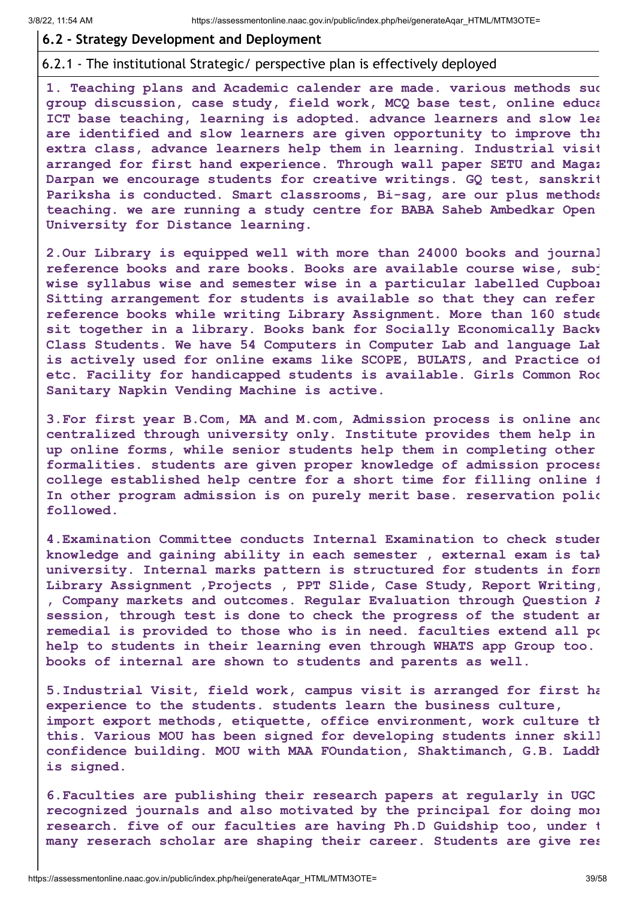#### **6.2 - Strategy Development and Deployment**

#### 6.2.1 - The institutional Strategic/ perspective plan is effectively deployed

**1. Teaching plans and Academic calender are made. various methods suc group discussion, case study, field work, MCQ base test, online educa ICT base teaching, learning is adopted. advance learners and slow lea are identified and slow learners are given opportunity to improve thr extra class, advance learners help them in learning. Industrial visit arranged for first hand experience. Through wall paper SETU and Magaz Darpan we encourage students for creative writings. GQ test, sanskrit Pariksha is conducted. Smart classrooms, Bi-sag, are our plus methods teaching. we are running a study centre for BABA Saheb Ambedkar Open University for Distance learning.**

**2.Our Library is equipped well with more than 24000 books and journal reference books and rare books. Books are available course wise, subj wise syllabus wise and semester wise in a particular labelled Cupboar Sitting arrangement for students is available so that they can refer reference books while writing Library Assignment. More than 160 stude sit together in a library. Books bank for Socially Economically Backw Class Students. We have 54 Computers in Computer Lab and language Lab is actively used for online exams like SCOPE, BULATS, and Practice of etc. Facility for handicapped students is available. Girls Common Roo Sanitary Napkin Vending Machine is active.**

**3.For first year B.Com, MA and M.com, Admission process is online and centralized through university only. Institute provides them help in up online forms, while senior students help them in completing other formalities. students are given proper knowledge of admission process college established help centre for a short time for filling online f In other program admission is on purely merit base. reservation polic followed.**

**4.Examination Committee conducts Internal Examination to check studen knowledge and gaining ability in each semester , external exam is tak university. Internal marks pattern is structured for students in form Library Assignment ,Projects , PPT Slide, Case Study, Report Writing, , Company markets and outcomes. Regular Evaluation through Question A session, through test is done to check the progress of the student an remedial is provided to those who is in need. faculties extend all po help to students in their learning even through WHATS app Group too. books of internal are shown to students and parents as well.**

**5.Industrial Visit, field work, campus visit is arranged for first ha experience to the students. students learn the business culture, import export methods, etiquette, office environment, work culture th this. Various MOU has been signed for developing students inner skill confidence building. MOU with MAA FOundation, Shaktimanch, G.B. Laddh is signed.**

**6.Faculties are publishing their research papers at regularly in UGC recognized journals and also motivated by the principal for doing mor research. five of our faculties are having Ph.D Guidship too, under t many reserach scholar are shaping their career. Students are give res**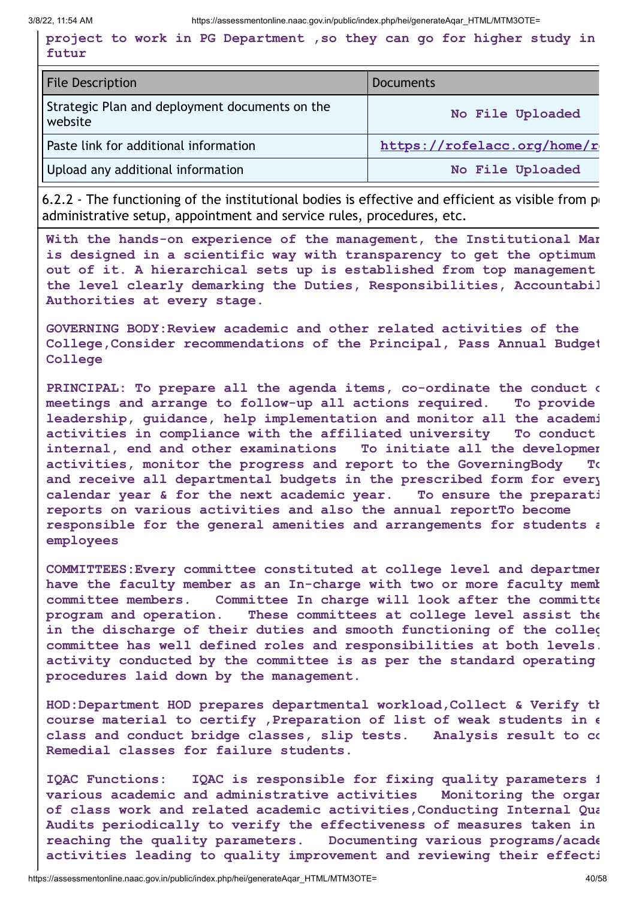**project to work in PG Department ,so they can go for higher study in futur**

| <b>File Description</b>                                   | <b>Documents</b>            |
|-----------------------------------------------------------|-----------------------------|
| Strategic Plan and deployment documents on the<br>website | No File Uploaded            |
| Paste link for additional information                     | https://rofelacc.org/home/r |
| Upload any additional information                         | No File Uploaded            |

6.2.2 - The functioning of the institutional bodies is effective and efficient as visible from  $p_1$ administrative setup, appointment and service rules, procedures, etc.

**With the hands-on experience of the management, the Institutional Man is designed in a scientific way with transparency to get the optimum out of it. A hierarchical sets up is established from top management the level clearly demarking the Duties, Responsibilities, Accountabil Authorities at every stage.**

**GOVERNING BODY:Review academic and other related activities of the College,Consider recommendations of the Principal, Pass Annual Budget College**

**PRINCIPAL: To prepare all the agenda items, co-ordinate the conduct o meetings and arrange to follow-up all actions required. To provide leadership, guidance, help implementation and monitor all the academi activities in compliance with the affiliated university To conduct internal, end and other examinations To initiate all the developmen activities, monitor the progress and report to the GoverningBody To and receive all departmental budgets in the prescribed form for every calendar year & for the next academic year. To ensure the preparati reports on various activities and also the annual reportTo become responsible for the general amenities and arrangements for students a employees**

**COMMITTEES:Every committee constituted at college level and departmen have the faculty member as an In-charge with two or more faculty memb committee members. Committee In charge will look after the committe program and operation. These committees at college level assist the in the discharge of their duties and smooth functioning of the colleg committee has well defined roles and responsibilities at both levels. activity conducted by the committee is as per the standard operating procedures laid down by the management.**

**HOD:Department HOD prepares departmental workload,Collect & Verify th course material to certify ,Preparation of list of weak students in e class and conduct bridge classes, slip tests. Analysis result to co Remedial classes for failure students.**

**IQAC Functions: IQAC is responsible for fixing quality parameters f various academic and administrative activities Monitoring the organ of class work and related academic activities,Conducting Internal Qua Audits periodically to verify the effectiveness of measures taken in reaching the quality parameters. Documenting various programs/acade activities leading to quality improvement and reviewing their effecti**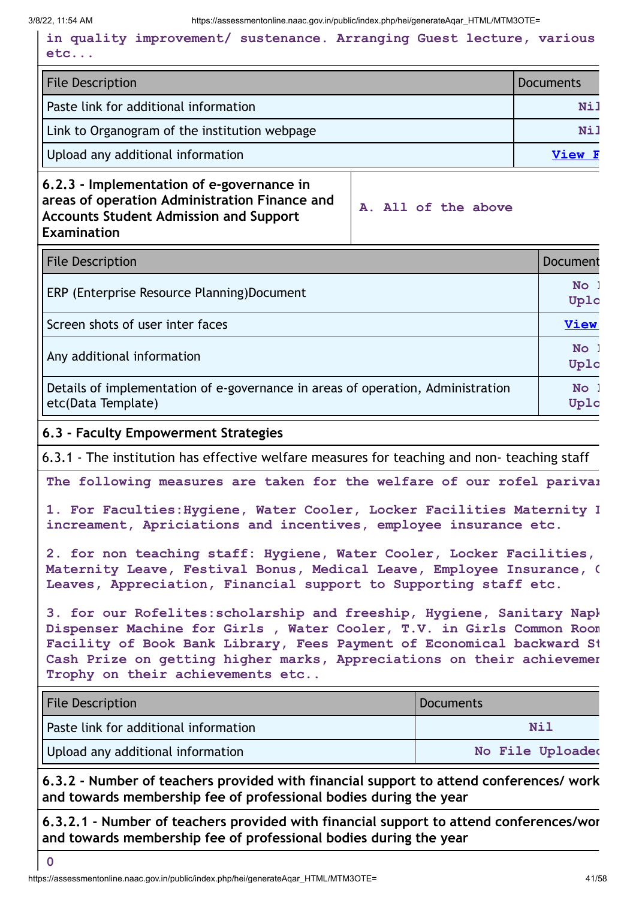**in quality improvement/ sustenance. Arranging Guest lecture, various etc...**

| <b>File Description</b>                       | <b>Documents</b> |
|-----------------------------------------------|------------------|
| Paste link for additional information         | <b>Nil</b>       |
| Link to Organogram of the institution webpage | Nil              |
| Upload any additional information             | View F           |

**6.2.3 - Implementation of e-governance in areas of operation Administration Finance and Accounts Student Admission and Support Examination**

**A. All of the above**

| <b>File Description</b>                                                                               | Document          |
|-------------------------------------------------------------------------------------------------------|-------------------|
| ERP (Enterprise Resource Planning)Document                                                            | <b>No</b><br>Uplo |
| Screen shots of user inter faces                                                                      | <b>View</b>       |
| Any additional information                                                                            | <b>No</b><br>Uplo |
| Details of implementation of e-governance in areas of operation, Administration<br>etc(Data Template) | <b>No</b><br>Uplo |

#### **6.3 - Faculty Empowerment Strategies**

6.3.1 - The institution has effective welfare measures for teaching and non- teaching staff

**The following measures are taken for the welfare of our rofel parivar**

**1. For Faculties:Hygiene, Water Cooler, Locker Facilities Maternity L increament, Apriciations and incentives, employee insurance etc.**

**2. for non teaching staff: Hygiene, Water Cooler, Locker Facilities, Maternity Leave, Festival Bonus, Medical Leave, Employee Insurance, C Leaves, Appreciation, Financial support to Supporting staff etc.**

**3. for our Rofelites:scholarship and freeship, Hygiene, Sanitary Napk Dispenser Machine for Girls , Water Cooler, T.V. in Girls Common Room Facility of Book Bank Library, Fees Payment of Economical backward St Cash Prize on getting higher marks, Appreciations on their achievemen Trophy on their achievements etc..**

| <b>File Description</b>               | Documents        |
|---------------------------------------|------------------|
| Paste link for additional information | Nil              |
| Upload any additional information     | No File Uploaded |

**6.3.2 - Number of teachers provided with financial support to attend conferences/ work and towards membership fee of professional bodies during the year**

**6.3.2.1 - Number of teachers provided with financial support to attend conferences/wor and towards membership fee of professional bodies during the year**

**0**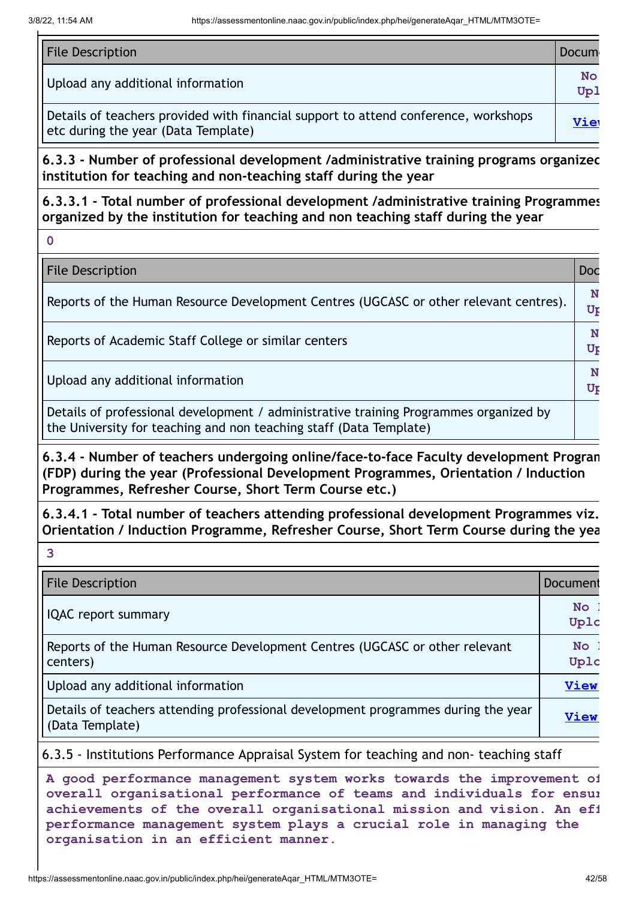| <b>File Description</b>                                                                                                    | <b>Docum</b> |
|----------------------------------------------------------------------------------------------------------------------------|--------------|
| Upload any additional information                                                                                          | No<br>Up1    |
| Details of teachers provided with financial support to attend conference, workshops<br>etc during the year (Data Template) | Viet         |

**6.3.3 - Number of professional development /administrative training programs organized institution for teaching and non-teaching staff during the year**

**6.3.3.1 - Total number of professional development /administrative training Programmes organized by the institution for teaching and non teaching staff during the year**

**0**

**3**

**File Description Doc** 

| Reports of the Human Resource Development Centres (UGCASC or other relevant centres).                                                                       | N<br>Ur |
|-------------------------------------------------------------------------------------------------------------------------------------------------------------|---------|
| Reports of Academic Staff College or similar centers                                                                                                        | Ur      |
| Upload any additional information                                                                                                                           | N<br>Ur |
| Details of professional development / administrative training Programmes organized by<br>the University for teaching and non teaching staff (Data Template) |         |

**6.3.4 - Number of teachers undergoing online/face-to-face Faculty development Program (FDP) during the year (Professional Development Programmes, Orientation / Induction Programmes, Refresher Course, Short Term Course etc.)**

**6.3.4.1 - Total number of teachers attending professional development Programmes viz. Orientation / Induction Programme, Refresher Course, Short Term Course during the yea**

| <b>File Description</b>                                                                              | Document          |
|------------------------------------------------------------------------------------------------------|-------------------|
| <b>IQAC</b> report summary                                                                           | <b>No</b><br>Uplc |
| Reports of the Human Resource Development Centres (UGCASC or other relevant<br>centers)              | No:<br>Uplc       |
| Upload any additional information                                                                    | <b>View</b>       |
| Details of teachers attending professional development programmes during the year<br>(Data Template) | View              |

6.3.5 - Institutions Performance Appraisal System for teaching and non- teaching staff

**A good performance management system works towards the improvement of overall organisational performance of teams and individuals for ensur achievements of the overall organisational mission and vision. An eff performance management system plays a crucial role in managing the organisation in an efficient manner.**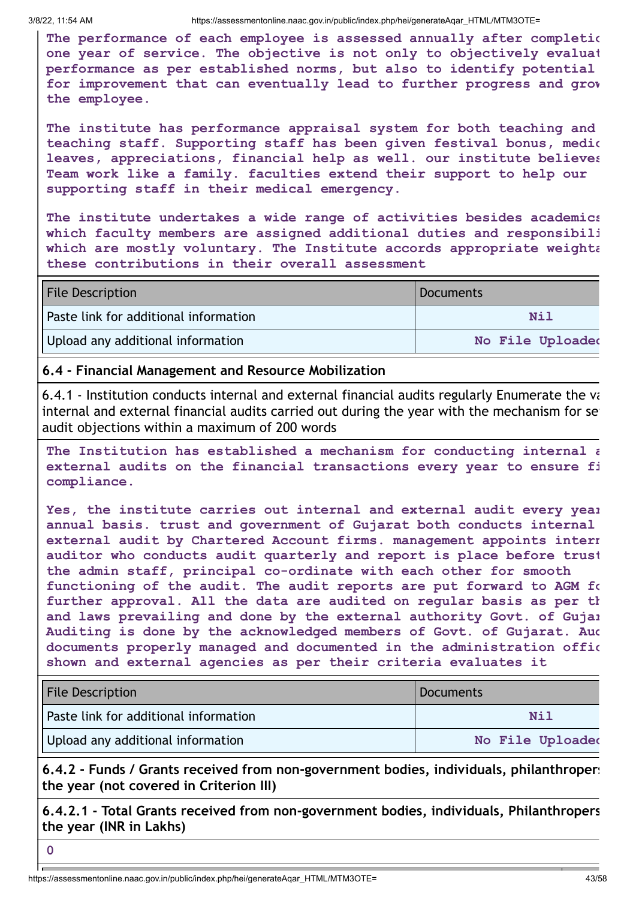**The performance of each employee is assessed annually after completio one year of service. The objective is not only to objectively evaluat performance as per established norms, but also to identify potential for improvement that can eventually lead to further progress and grow the employee.**

**The institute has performance appraisal system for both teaching and teaching staff. Supporting staff has been given festival bonus, medic leaves, appreciations, financial help as well. our institute believes Team work like a family. faculties extend their support to help our supporting staff in their medical emergency.**

**The institute undertakes a wide range of activities besides academics which faculty members are assigned additional duties and responsibili which are mostly voluntary. The Institute accords appropriate weighta these contributions in their overall assessment**

| <b>File Description</b>               | Documents        |
|---------------------------------------|------------------|
| Paste link for additional information | Nil              |
| Upload any additional information     | No File Uploaded |

#### **6.4 - Financial Management and Resource Mobilization**

6.4.1 - Institution conducts internal and external financial audits regularly Enumerate the va internal and external financial audits carried out during the year with the mechanism for set audit objections within a maximum of 200 words

**The Institution has established a mechanism for conducting internal a external audits on the financial transactions every year to ensure fi compliance.**

**Yes, the institute carries out internal and external audit every year annual basis. trust and government of Gujarat both conducts internal external audit by Chartered Account firms. management appoints intern auditor who conducts audit quarterly and report is place before trust the admin staff, principal co-ordinate with each other for smooth functioning of the audit. The audit reports are put forward to AGM fo further approval. All the data are audited on regular basis as per th and laws prevailing and done by the external authority Govt. of Gujar Auditing is done by the acknowledged members of Govt. of Gujarat. Aud documents properly managed and documented in the administration offic shown and external agencies as per their criteria evaluates it**

| <b>File Description</b>               | Documents        |
|---------------------------------------|------------------|
| Paste link for additional information | Nil              |
| Upload any additional information     | No File Uploaded |

**6.4.2 - Funds / Grants received from non-government bodies, individuals, philanthropers the year (not covered in Criterion III)**

**6.4.2.1 - Total Grants received from non-government bodies, individuals, Philanthropers the year (INR in Lakhs)**

**0**

https://assessmentonline.naac.gov.in/public/index.php/hei/generateAqar\_HTML/MTM3OTE= 43/58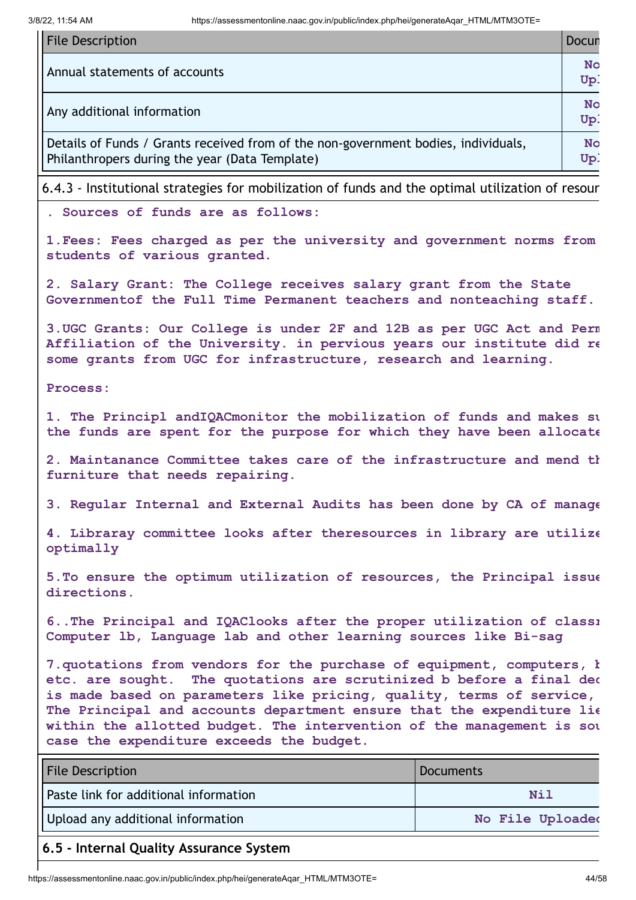| <b>File Description</b>                                                                                                              | Docun            |
|--------------------------------------------------------------------------------------------------------------------------------------|------------------|
| Annual statements of accounts                                                                                                        | <b>No</b><br>Up: |
| Any additional information                                                                                                           | No<br>Up.        |
| Details of Funds / Grants received from of the non-government bodies, individuals,<br>Philanthropers during the year (Data Template) | <b>No</b><br>Up: |

6.4.3 - Institutional strategies for mobilization of funds and the optimal utilization of resour

**. Sources of funds are as follows:**

**1.Fees: Fees charged as per the university and government norms from students of various granted.**

**2. Salary Grant: The College receives salary grant from the State Governmentof the Full Time Permanent teachers and nonteaching staff.**

**3.UGC Grants: Our College is under 2F and 12B as per UGC Act and Perm Affiliation of the University. in pervious years our institute did re some grants from UGC for infrastructure, research and learning.**

**Process:**

**1. The Principl andIQACmonitor the mobilization of funds and makes su the funds are spent for the purpose for which they have been allocate**

**2. Maintanance Committee takes care of the infrastructure and mend th furniture that needs repairing.**

**3. Regular Internal and External Audits has been done by CA of manage**

**4. Libraray committee looks after theresources in library are utilize optimally**

**5.To ensure the optimum utilization of resources, the Principal issue directions.**

**6..The Principal and IQAClooks after the proper utilization of classr Computer lb, Language lab and other learning sources like Bi-sag**

**7.quotations from vendors for the purchase of equipment, computers, b etc. are sought. The quotations are scrutinized b before a final dec is made based on parameters like pricing, quality, terms of service, The Principal and accounts department ensure that the expenditure lie within the allotted budget. The intervention of the management is sou case the expenditure exceeds the budget.**

| <b>File Description</b>               | Documents        |
|---------------------------------------|------------------|
| Paste link for additional information | Nil              |
| Upload any additional information     | No File Uploaded |

#### **6.5 - Internal Quality Assurance System**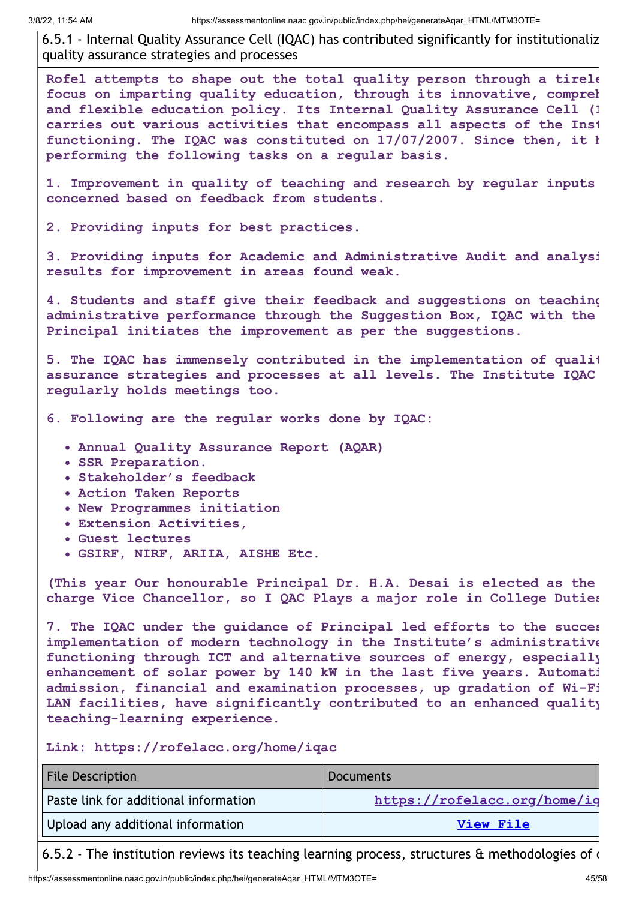6.5.1 - Internal Quality Assurance Cell (IQAC) has contributed significantly for institutionaliz quality assurance strategies and processes

**Rofel attempts to shape out the total quality person through a tirele focus on imparting quality education, through its innovative, compreh and flexible education policy. Its Internal Quality Assurance Cell (I carries out various activities that encompass all aspects of the Inst functioning. The IQAC was constituted on 17/07/2007. Since then, it h performing the following tasks on a regular basis.**

**1. Improvement in quality of teaching and research by regular inputs concerned based on feedback from students.**

**2. Providing inputs for best practices.**

**3. Providing inputs for Academic and Administrative Audit and analysi results for improvement in areas found weak.**

**4. Students and staff give their feedback and suggestions on teaching administrative performance through the Suggestion Box, IQAC with the Principal initiates the improvement as per the suggestions.**

**5. The IQAC has immensely contributed in the implementation of qualit assurance strategies and processes at all levels. The Institute IQAC regularly holds meetings too.**

**6. Following are the regular works done by IQAC:**

- **Annual Quality Assurance Report (AQAR)**
- **SSR Preparation.**
- **Stakeholder's feedback**
- **Action Taken Reports**
- **New Programmes initiation**
- **Extension Activities,**
- **Guest lectures**
- **GSIRF, NIRF, ARIIA, AISHE Etc.**

**(This year Our honourable Principal Dr. H.A. Desai is elected as the charge Vice Chancellor, so I QAC Plays a major role in College Duties**

**7. The IQAC under the guidance of Principal led efforts to the succes implementation of modern technology in the Institute's administrative functioning through ICT and alternative sources of energy, especially enhancement of solar power by 140 kW in the last five years. Automati admission, financial and examination processes, up gradation of Wi-Fi LAN facilities, have significantly contributed to an enhanced quality teaching-learning experience.**

**Link: https://rofelacc.org/home/iqac**

| <b>File Description</b>               | Documents                    |
|---------------------------------------|------------------------------|
| Paste link for additional information | https://rofelacc.org/home/ig |
| Upload any additional information     | <b>View File</b>             |

6.5.2 - The institution reviews its teaching learning process, structures  $\alpha$  methodologies of  $\alpha$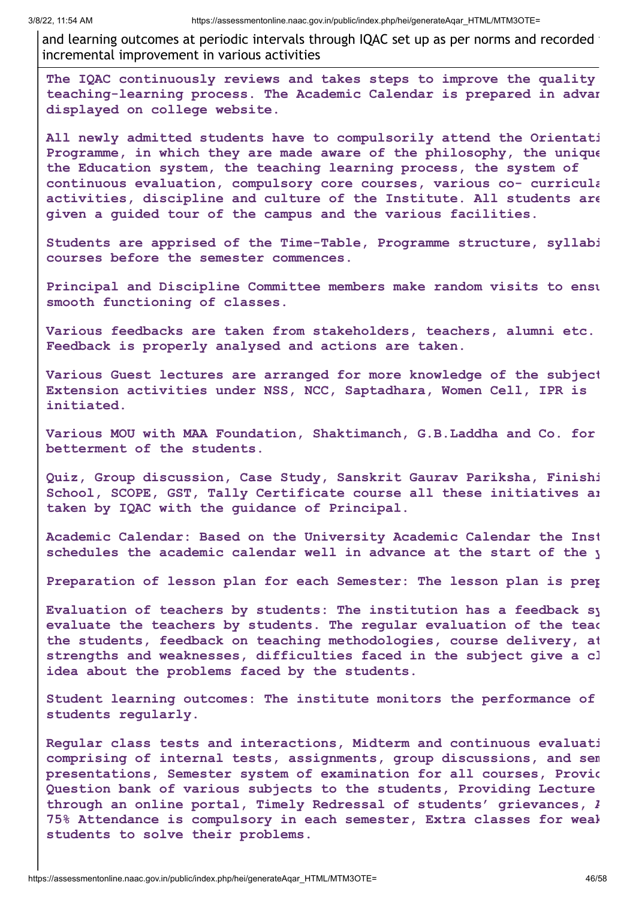and learning outcomes at periodic intervals through IQAC set up as per norms and recorded incremental improvement in various activities

**The IQAC continuously reviews and takes steps to improve the quality teaching-learning process. The Academic Calendar is prepared in advan displayed on college website.**

**All newly admitted students have to compulsorily attend the Orientati Programme, in which they are made aware of the philosophy, the unique the Education system, the teaching learning process, the system of continuous evaluation, compulsory core courses, various co- curricula activities, discipline and culture of the Institute. All students are given a guided tour of the campus and the various facilities.**

**Students are apprised of the Time-Table, Programme structure, syllabi courses before the semester commences.**

**Principal and Discipline Committee members make random visits to ensu smooth functioning of classes.**

**Various feedbacks are taken from stakeholders, teachers, alumni etc. Feedback is properly analysed and actions are taken.**

**Various Guest lectures are arranged for more knowledge of the subject Extension activities under NSS, NCC, Saptadhara, Women Cell, IPR is initiated.**

**Various MOU with MAA Foundation, Shaktimanch, G.B.Laddha and Co. for betterment of the students.**

**Quiz, Group discussion, Case Study, Sanskrit Gaurav Pariksha, Finishi School, SCOPE, GST, Tally Certificate course all these initiatives ar taken by IQAC with the guidance of Principal.**

**Academic Calendar: Based on the University Academic Calendar the Inst schedules the academic calendar well in advance at the start of the y**

**Preparation of lesson plan for each Semester: The lesson plan is prep**

**Evaluation of teachers by students: The institution has a feedback sy evaluate the teachers by students. The regular evaluation of the teac the students, feedback on teaching methodologies, course delivery, at strengths and weaknesses, difficulties faced in the subject give a cl idea about the problems faced by the students.**

**Student learning outcomes: The institute monitors the performance of students regularly.**

**Regular class tests and interactions, Midterm and continuous evaluati comprising of internal tests, assignments, group discussions, and sem presentations, Semester system of examination for all courses, Provid Question bank of various subjects to the students, Providing Lecture through an online portal, Timely Redressal of students' grievances, A 75% Attendance is compulsory in each semester, Extra classes for weak students to solve their problems.**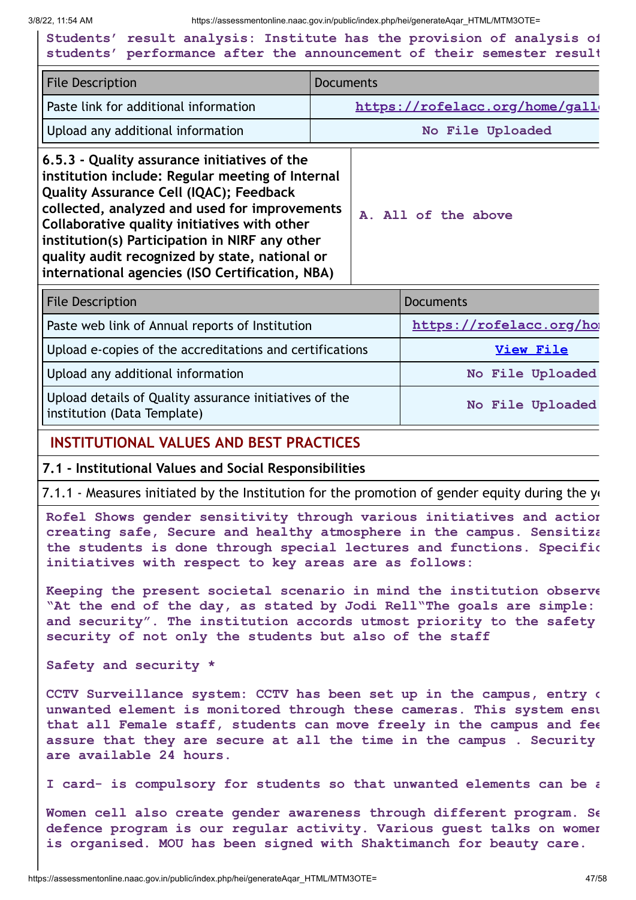**Students' result analysis: Institute has the provision of analysis of students' performance after the announcement of their semester result**

| <b>File Description</b>                                                                                                                                                                                                                                                                                                                                                                             | <b>Documents</b>               |  |
|-----------------------------------------------------------------------------------------------------------------------------------------------------------------------------------------------------------------------------------------------------------------------------------------------------------------------------------------------------------------------------------------------------|--------------------------------|--|
| <b>Paste link for additional information</b>                                                                                                                                                                                                                                                                                                                                                        | https://rofelacc.org/home/gall |  |
| Upload any additional information                                                                                                                                                                                                                                                                                                                                                                   | No File Uploaded               |  |
| 6.5.3 - Quality assurance initiatives of the<br>institution include: Regular meeting of Internal<br>Quality Assurance Cell (IQAC); Feedback<br>collected, analyzed and used for improvements<br>Collaborative quality initiatives with other<br>institution(s) Participation in NIRF any other<br>quality audit recognized by state, national or<br>international agencies (ISO Certification, NBA) | A. All of the above            |  |

| <b>File Description</b>                                                               | <b>Documents</b>        |
|---------------------------------------------------------------------------------------|-------------------------|
| Paste web link of Annual reports of Institution                                       | https://rofelacc.org/ho |
| Upload e-copies of the accreditations and certifications                              | View File               |
| Upload any additional information                                                     | No File Uploaded        |
| Upload details of Quality assurance initiatives of the<br>institution (Data Template) | No File Uploaded        |

#### **INSTITUTIONAL VALUES AND BEST PRACTICES**

#### **7.1 - Institutional Values and Social Responsibilities**

7.1.1 - Measures initiated by the Institution for the promotion of gender equity during the  $y_1$ 

**Rofel Shows gender sensitivity through various initiatives and action creating safe, Secure and healthy atmosphere in the campus. Sensitiza the students is done through special lectures and functions. Specific initiatives with respect to key areas are as follows:**

**Keeping the present societal scenario in mind the institution observe "At the end of the day, as stated by Jodi Rell"The goals are simple: and security". The institution accords utmost priority to the safety security of not only the students but also of the staff**

**Safety and security \***

**CCTV Surveillance system: CCTV has been set up in the campus, entry o unwanted element is monitored through these cameras. This system ensu that all Female staff, students can move freely in the campus and fee assure that they are secure at all the time in the campus . Security are available 24 hours.**

**I card- is compulsory for students so that unwanted elements can be a**

**Women cell also create gender awareness through different program. Se defence program is our regular activity. Various guest talks on women is organised. MOU has been signed with Shaktimanch for beauty care.**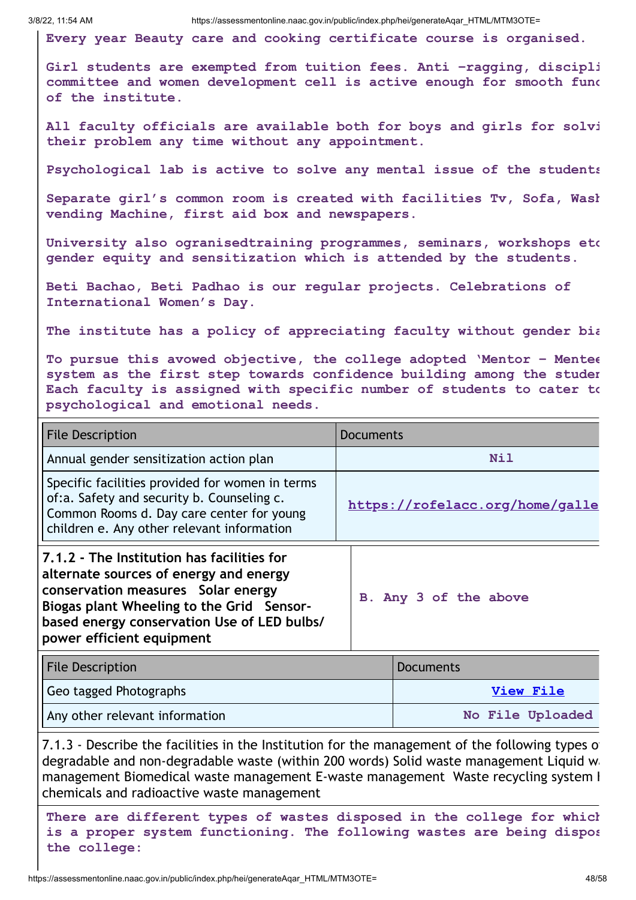**Every year Beauty care and cooking certificate course is organised.**

**Girl students are exempted from tuition fees. Anti –ragging, discipli committee and women development cell is active enough for smooth func of the institute.**

**All faculty officials are available both for boys and girls for solvi their problem any time without any appointment.**

**Psychological lab is active to solve any mental issue of the students**

**Separate girl's common room is created with facilities Tv, Sofa, Wash vending Machine, first aid box and newspapers.**

**University also ogranisedtraining programmes, seminars, workshops etc gender equity and sensitization which is attended by the students.**

**Beti Bachao, Beti Padhao is our regular projects. Celebrations of International Women's Day.**

**The institute has a policy of appreciating faculty without gender bia**

**To pursue this avowed objective, the college adopted 'Mentor – Mentee system as the first step towards confidence building among the studen Each faculty is assigned with specific number of students to cater to psychological and emotional needs.**

| <b>File Description</b>                                                                                                                                                                                                                             | <b>Documents</b>                |
|-----------------------------------------------------------------------------------------------------------------------------------------------------------------------------------------------------------------------------------------------------|---------------------------------|
| Annual gender sensitization action plan                                                                                                                                                                                                             | Nil                             |
| Specific facilities provided for women in terms<br>of:a. Safety and security b. Counseling c.<br>Common Rooms d. Day care center for young<br>children e. Any other relevant information                                                            | https://rofelacc.org/home/galle |
| 7.1.2 - The Institution has facilities for<br>alternate sources of energy and energy<br>conservation measures Solar energy<br>Biogas plant Wheeling to the Grid Sensor-<br>based energy conservation Use of LED bulbs/<br>power efficient equipment | B. Any 3 of the above           |

| <b>File Description</b>        | Documents        |
|--------------------------------|------------------|
| Geo tagged Photographs         | View File        |
| Any other relevant information | No File Uploaded |

7.1.3 - Describe the facilities in the Institution for the management of the following types of degradable and non-degradable waste (within 200 words) Solid waste management Liquid wa management Biomedical waste management E-waste management Waste recycling system H chemicals and radioactive waste management

**There are different types of wastes disposed in the college for which is a proper system functioning. The following wastes are being dispos the college:**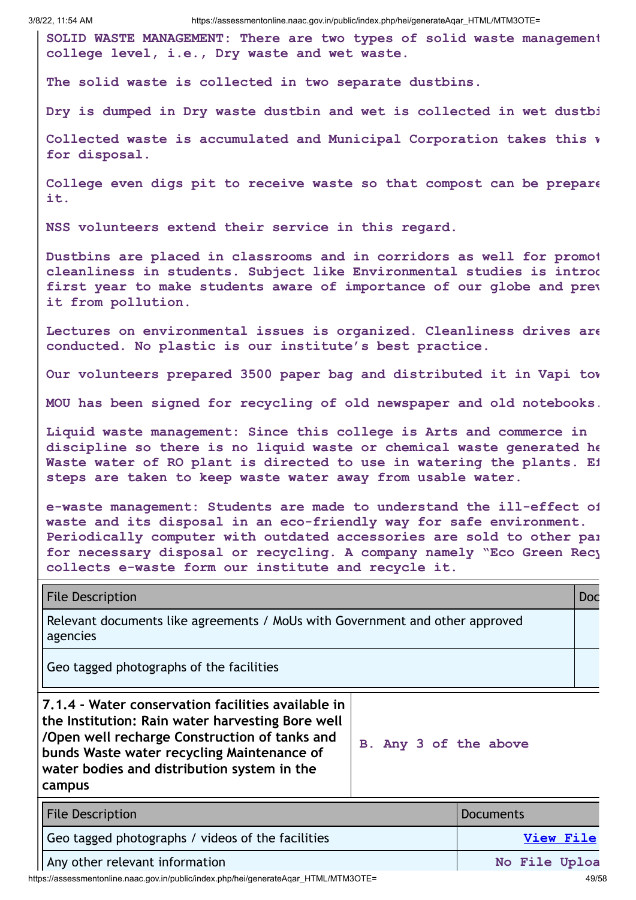**SOLID WASTE MANAGEMENT: There are two types of solid waste management college level, i.e., Dry waste and wet waste.**

**The solid waste is collected in two separate dustbins.**

**Dry is dumped in Dry waste dustbin and wet is collected in wet dustbi**

**Collected waste is accumulated and Municipal Corporation takes this w for disposal.**

**College even digs pit to receive waste so that compost can be prepare it.**

**NSS volunteers extend their service in this regard.**

**Dustbins are placed in classrooms and in corridors as well for promot cleanliness in students. Subject like Environmental studies is introd first year to make students aware of importance of our globe and prev it from pollution.**

**Lectures on environmental issues is organized. Cleanliness drives are conducted. No plastic is our institute's best practice.**

**Our volunteers prepared 3500 paper bag and distributed it in Vapi tow**

**MOU has been signed for recycling of old newspaper and old notebooks.**

**Liquid waste management: Since this college is Arts and commerce in discipline so there is no liquid waste or chemical waste generated he Waste water of RO plant is directed to use in watering the plants. Ef steps are taken to keep waste water away from usable water.**

**e-waste management: Students are made to understand the ill-effect of waste and its disposal in an eco-friendly way for safe environment. Periodically computer with outdated accessories are sold to other par for necessary disposal or recycling. A company namely "Eco Green Recy collects e-waste form our institute and recycle it.**

File Description **Doctor** Doctor Contract Contract Contract Contract Contract Contract Contract Contract Contract Contract Contract Contract Contract Contract Contract Contract Contract Contract Contract Contract Contract

Relevant documents like agreements / MoUs with Government and other approved agencies

Geo tagged photographs of the facilities

**7.1.4 - Water conservation facilities available in the Institution: Rain water harvesting Bore well /Open well recharge Construction of tanks and bunds Waste water recycling Maintenance of water bodies and distribution system in the campus**

**B. Any 3 of the above**

| <b>File Description</b>                           | Documents     |
|---------------------------------------------------|---------------|
| Geo tagged photographs / videos of the facilities | View File     |
| Any other relevant information                    | No File Uploa |

https://assessmentonline.naac.gov.in/public/index.php/hei/generateAqar\_HTML/MTM3OTE= 49/58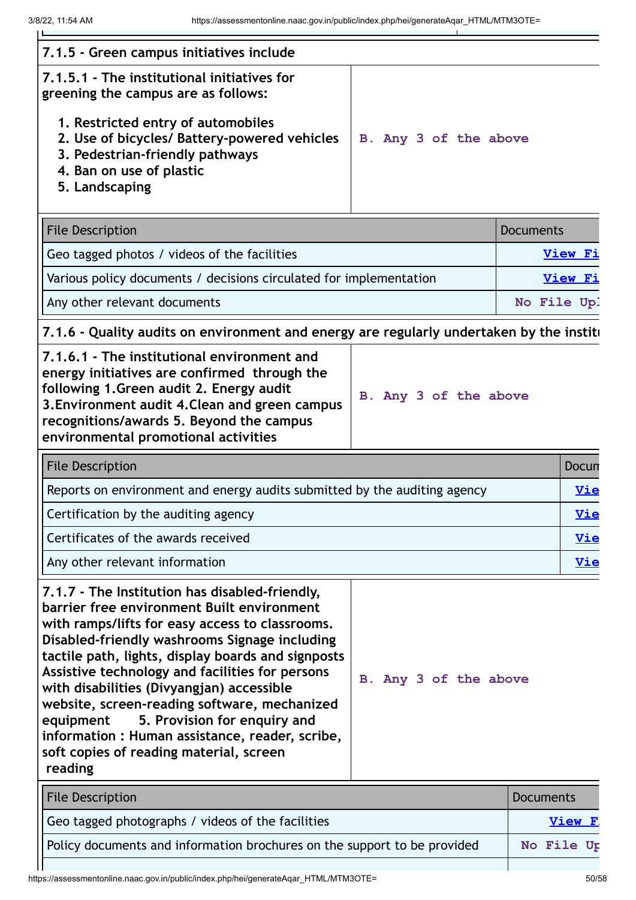| 7.1.5 - Green campus initiatives include                                                                                                                                                                                                                                                                                                                                                                                                                                                                                                                     |                       |                  |                |
|--------------------------------------------------------------------------------------------------------------------------------------------------------------------------------------------------------------------------------------------------------------------------------------------------------------------------------------------------------------------------------------------------------------------------------------------------------------------------------------------------------------------------------------------------------------|-----------------------|------------------|----------------|
| 7.1.5.1 - The institutional initiatives for<br>greening the campus are as follows:                                                                                                                                                                                                                                                                                                                                                                                                                                                                           |                       |                  |                |
| 1. Restricted entry of automobiles<br>2. Use of bicycles/ Battery-powered vehicles<br>3. Pedestrian-friendly pathways<br>4. Ban on use of plastic<br>5. Landscaping                                                                                                                                                                                                                                                                                                                                                                                          | B. Any 3 of the above |                  |                |
| <b>File Description</b>                                                                                                                                                                                                                                                                                                                                                                                                                                                                                                                                      |                       | <b>Documents</b> |                |
| Geo tagged photos / videos of the facilities                                                                                                                                                                                                                                                                                                                                                                                                                                                                                                                 |                       |                  | <b>View Fi</b> |
| Various policy documents / decisions circulated for implementation                                                                                                                                                                                                                                                                                                                                                                                                                                                                                           |                       |                  | <b>View Fi</b> |
| Any other relevant documents                                                                                                                                                                                                                                                                                                                                                                                                                                                                                                                                 |                       | No File Up!      |                |
| 7.1.6 - Quality audits on environment and energy are regularly undertaken by the instite                                                                                                                                                                                                                                                                                                                                                                                                                                                                     |                       |                  |                |
| 7.1.6.1 - The institutional environment and<br>energy initiatives are confirmed through the<br>following 1. Green audit 2. Energy audit<br>3. Environment audit 4. Clean and green campus<br>recognitions/awards 5. Beyond the campus<br>environmental promotional activities                                                                                                                                                                                                                                                                                | B. Any 3 of the above |                  |                |
| <b>File Description</b>                                                                                                                                                                                                                                                                                                                                                                                                                                                                                                                                      |                       |                  | Docun          |
| Reports on environment and energy audits submitted by the auditing agency                                                                                                                                                                                                                                                                                                                                                                                                                                                                                    |                       | <u>Vie</u>       |                |
| Certification by the auditing agency                                                                                                                                                                                                                                                                                                                                                                                                                                                                                                                         |                       |                  | <u>Vie</u>     |
| Certificates of the awards received                                                                                                                                                                                                                                                                                                                                                                                                                                                                                                                          |                       |                  | <u>Vie</u>     |
| Any other relevant information                                                                                                                                                                                                                                                                                                                                                                                                                                                                                                                               |                       |                  | <u>Vie</u>     |
| 7.1.7 - The Institution has disabled-friendly,<br>barrier free environment Built environment<br>with ramps/lifts for easy access to classrooms.<br>Disabled-friendly washrooms Signage including<br>tactile path, lights, display boards and signposts<br>Assistive technology and facilities for persons<br>with disabilities (Divyangjan) accessible<br>website, screen-reading software, mechanized<br>5. Provision for enquiry and<br>equipment<br>information : Human assistance, reader, scribe,<br>soft copies of reading material, screen<br>reading | B. Any 3 of the above |                  |                |
| <b>File Description</b>                                                                                                                                                                                                                                                                                                                                                                                                                                                                                                                                      |                       | <b>Documents</b> |                |
|                                                                                                                                                                                                                                                                                                                                                                                                                                                                                                                                                              |                       |                  |                |

| Il File Description                                                      | Documents  |
|--------------------------------------------------------------------------|------------|
| Geo tagged photographs / videos of the facilities                        | View F.    |
| Policy documents and information brochures on the support to be provided | No File Ur |
|                                                                          |            |

https://assessmentonline.naac.gov.in/public/index.php/hei/generateAqar\_HTML/MTM3OTE= 50/58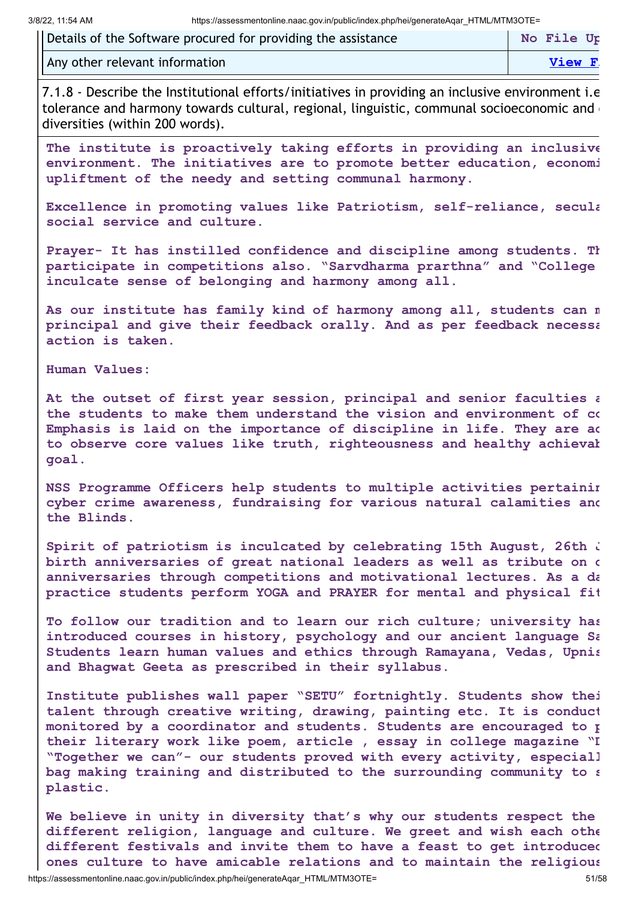| Details of the Software procured for providing the assistance | No File Up |
|---------------------------------------------------------------|------------|
| Any other relevant information                                | View F.    |

7.1.8 - Describe the Institutional efforts/initiatives in providing an inclusive environment i.e tolerance and harmony towards cultural, regional, linguistic, communal socioeconomic and diversities (within 200 words).

**The institute is proactively taking efforts in providing an inclusive environment. The initiatives are to promote better education, economi upliftment of the needy and setting communal harmony.**

**Excellence in promoting values like Patriotism, self-reliance, secula social service and culture.**

**Prayer- It has instilled confidence and discipline among students. Th participate in competitions also. "Sarvdharma prarthna" and "College inculcate sense of belonging and harmony among all.**

**As our institute has family kind of harmony among all, students can m principal and give their feedback orally. And as per feedback necessa action is taken.**

**Human Values:**

**At the outset of first year session, principal and senior faculties a the students to make them understand the vision and environment of co Emphasis is laid on the importance of discipline in life. They are ad to observe core values like truth, righteousness and healthy achievab goal.**

**NSS Programme Officers help students to multiple activities pertainin cyber crime awareness, fundraising for various natural calamities and the Blinds.**

**Spirit of patriotism is inculcated by celebrating 15th August, 26th J birth anniversaries of great national leaders as well as tribute on d anniversaries through competitions and motivational lectures. As a da practice students perform YOGA and PRAYER for mental and physical fit**

**To follow our tradition and to learn our rich culture; university has introduced courses in history, psychology and our ancient language Sa Students learn human values and ethics through Ramayana, Vedas, Upnis and Bhagwat Geeta as prescribed in their syllabus.**

**Institute publishes wall paper "SETU" fortnightly. Students show thei talent through creative writing, drawing, painting etc. It is conduct monitored by a coordinator and students. Students are encouraged to p their literary work like poem, article , essay in college magazine "D "Together we can"- our students proved with every activity, especiall bag making training and distributed to the surrounding community to s plastic.**

**We believe in unity in diversity that's why our students respect the different religion, language and culture. We greet and wish each othe different festivals and invite them to have a feast to get introduced ones culture to have amicable relations and to maintain the religious**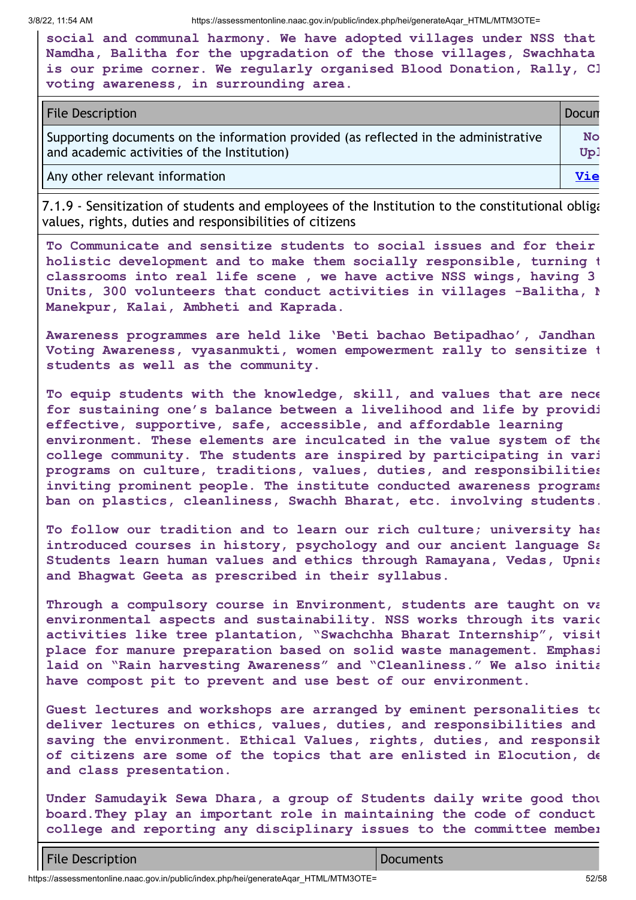|                                        | social and communal harmony. We have adopted villages under NSS that  |
|----------------------------------------|-----------------------------------------------------------------------|
|                                        | Namdha, Balitha for the upgradation of the those villages, Swachhata  |
|                                        | is our prime corner. We regularly organised Blood Donation, Rally, Cl |
| voting awareness, in surrounding area. |                                                                       |

| <b>File Description</b>                                                                                                             | Docun            |
|-------------------------------------------------------------------------------------------------------------------------------------|------------------|
| Supporting documents on the information provided (as reflected in the administrative<br>and academic activities of the Institution) | <b>No</b><br>Up. |
| Any other relevant information                                                                                                      | <b>Vie</b>       |

7.1.9 - Sensitization of students and employees of the Institution to the constitutional obliga values, rights, duties and responsibilities of citizens

**To Communicate and sensitize students to social issues and for their holistic development and to make them socially responsible, turning t classrooms into real life scene , we have active NSS wings, having 3 Units, 300 volunteers that conduct activities in villages -Balitha, N Manekpur, Kalai, Ambheti and Kaprada.**

**Awareness programmes are held like 'Beti bachao Betipadhao', Jandhan Voting Awareness, vyasanmukti, women empowerment rally to sensitize t students as well as the community.**

**To equip students with the knowledge, skill, and values that are nece for sustaining one's balance between a livelihood and life by providi effective, supportive, safe, accessible, and affordable learning environment. These elements are inculcated in the value system of the college community. The students are inspired by participating in vari programs on culture, traditions, values, duties, and responsibilities inviting prominent people. The institute conducted awareness programs ban on plastics, cleanliness, Swachh Bharat, etc. involving students.**

**To follow our tradition and to learn our rich culture; university has introduced courses in history, psychology and our ancient language Sa Students learn human values and ethics through Ramayana, Vedas, Upnis and Bhagwat Geeta as prescribed in their syllabus.**

**Through a compulsory course in Environment, students are taught on va environmental aspects and sustainability. NSS works through its vario activities like tree plantation, "Swachchha Bharat Internship", visit place for manure preparation based on solid waste management. Emphasi laid on "Rain harvesting Awareness" and "Cleanliness." We also initia have compost pit to prevent and use best of our environment.**

**Guest lectures and workshops are arranged by eminent personalities to deliver lectures on ethics, values, duties, and responsibilities and saving the environment. Ethical Values, rights, duties, and responsib of citizens are some of the topics that are enlisted in Elocution, de and class presentation.**

**Under Samudayik Sewa Dhara, a group of Students daily write good thou board.They play an important role in maintaining the code of conduct college and reporting any disciplinary issues to the committee member**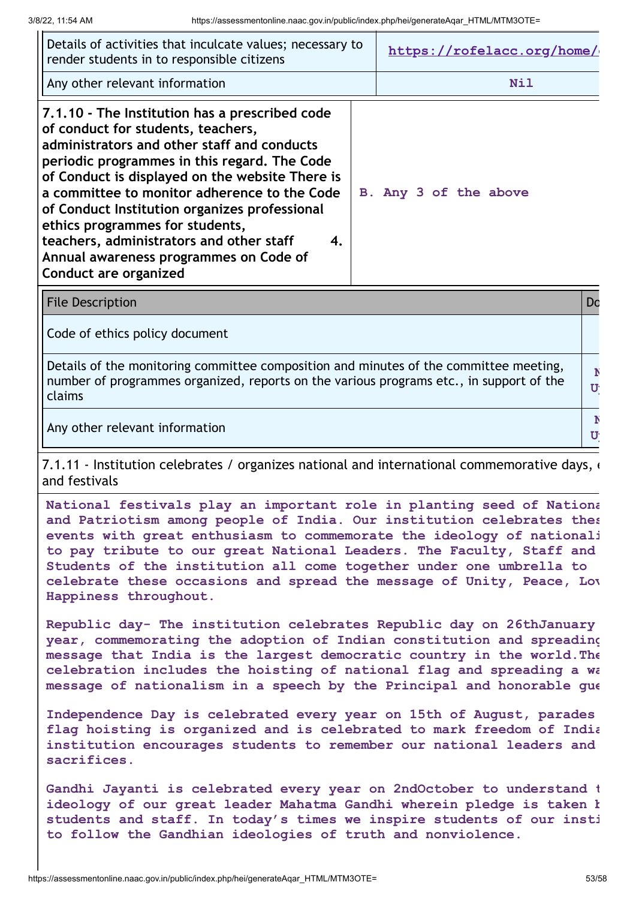| Details of activities that inculcate values; necessary to<br>render students in to responsible citizens                                                                                                                                                                                                                                                                                                                                                                                         | https://rofelacc.org/home/ |
|-------------------------------------------------------------------------------------------------------------------------------------------------------------------------------------------------------------------------------------------------------------------------------------------------------------------------------------------------------------------------------------------------------------------------------------------------------------------------------------------------|----------------------------|
| Any other relevant information                                                                                                                                                                                                                                                                                                                                                                                                                                                                  | Nil                        |
| 7.1.10 - The Institution has a prescribed code<br>of conduct for students, teachers,<br>administrators and other staff and conducts<br>periodic programmes in this regard. The Code<br>of Conduct is displayed on the website There is<br>a committee to monitor adherence to the Code<br>of Conduct Institution organizes professional<br>ethics programmes for students,<br>teachers, administrators and other staff<br>4.<br>Annual awareness programmes on Code of<br>Conduct are organized | B. Any 3 of the above      |

File Description **Domain Community Community** Community Community Community Community Community Do

Code of ethics policy document

Details of the monitoring committee composition and minutes of the committee meeting, number of programmes organized, reports on the various programs etc., in support of the claims **N Up**

Any other relevant information **N** 

7.1.11 - Institution celebrates / organizes national and international commemorative days,  $\epsilon$ and festivals

**National festivals play an important role in planting seed of Nationa and Patriotism among people of India. Our institution celebrates thes events with great enthusiasm to commemorate the ideology of nationali to pay tribute to our great National Leaders. The Faculty, Staff and Students of the institution all come together under one umbrella to celebrate these occasions and spread the message of Unity, Peace, Lov Happiness throughout.**

**Republic day- The institution celebrates Republic day on 26thJanuary year, commemorating the adoption of Indian constitution and spreading message that India is the largest democratic country in the world.The celebration includes the hoisting of national flag and spreading a wa message of nationalism in a speech by the Principal and honorable gue**

**Independence Day is celebrated every year on 15th of August, parades flag hoisting is organized and is celebrated to mark freedom of India institution encourages students to remember our national leaders and sacrifices.**

**Gandhi Jayanti is celebrated every year on 2ndOctober to understand t ideology of our great leader Mahatma Gandhi wherein pledge is taken b students and staff. In today's times we inspire students of our insti to follow the Gandhian ideologies of truth and nonviolence.**

**Up**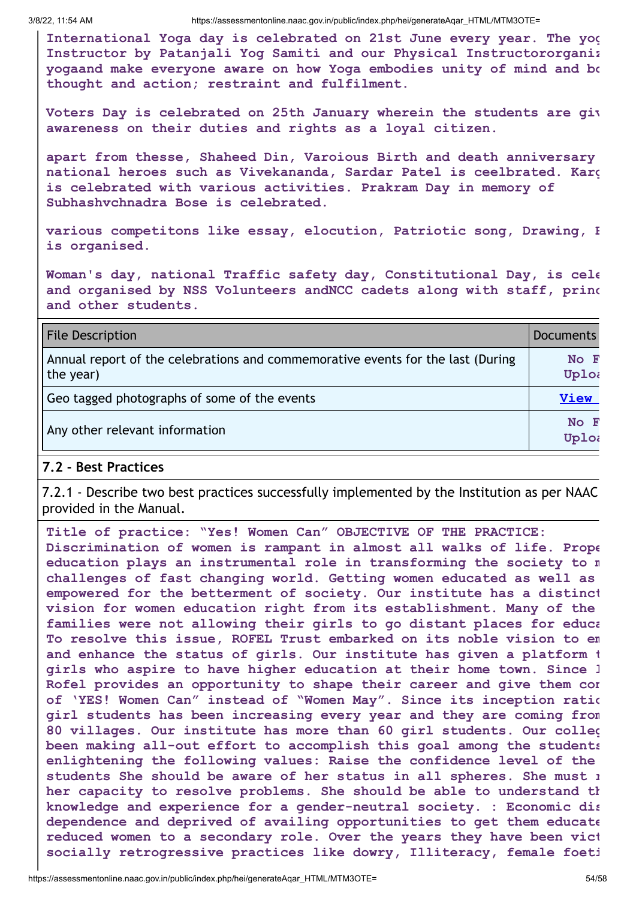**International Yoga day is celebrated on 21st June every year. The yog Instructor by Patanjali Yog Samiti and our Physical Instructororganiz yogaand make everyone aware on how Yoga embodies unity of mind and bo thought and action; restraint and fulfilment.**

**Voters Day is celebrated on 25th January wherein the students are giv awareness on their duties and rights as a loyal citizen.**

**apart from thesse, Shaheed Din, Varoious Birth and death anniversary national heroes such as Vivekananda, Sardar Patel is ceelbrated. Karg is celebrated with various activities. Prakram Day in memory of Subhashvchnadra Bose is celebrated.**

**various competitons like essay, elocution, Patriotic song, Drawing, B is organised.**

**Woman's day, national Traffic safety day, Constitutional Day, is cele and organised by NSS Volunteers andNCC cadets along with staff, princ and other students.**

| <b>File Description</b>                                                                      | <b>Documents</b> |
|----------------------------------------------------------------------------------------------|------------------|
| Annual report of the celebrations and commemorative events for the last (During<br>the year) | No F<br>Uploa    |
| Geo tagged photographs of some of the events                                                 | <b>View</b>      |
| Any other relevant information                                                               | No F<br>Uploa    |

#### **7.2 - Best Practices**

7.2.1 - Describe two best practices successfully implemented by the Institution as per NAAC provided in the Manual.

**Title of practice: "Yes! Women Can" OBJECTIVE OF THE PRACTICE: Discrimination of women is rampant in almost all walks of life. Prope education plays an instrumental role in transforming the society to m challenges of fast changing world. Getting women educated as well as empowered for the betterment of society. Our institute has a distinct vision for women education right from its establishment. Many of the families were not allowing their girls to go distant places for educa To resolve this issue, ROFEL Trust embarked on its noble vision to em and enhance the status of girls. Our institute has given a platform t girls who aspire to have higher education at their home town. Since l Rofel provides an opportunity to shape their career and give them con of 'YES! Women Can" instead of "Women May". Since its inception ratio girl students has been increasing every year and they are coming from 80 villages. Our institute has more than 60 girl students. Our colleg been making all-out effort to accomplish this goal among the students enlightening the following values: Raise the confidence level of the students She should be aware of her status in all spheres. She must r her capacity to resolve problems. She should be able to understand th knowledge and experience for a gender-neutral society. : Economic dis dependence and deprived of availing opportunities to get them educate reduced women to a secondary role. Over the years they have been vict socially retrogressive practices like dowry, Illiteracy, female foeti**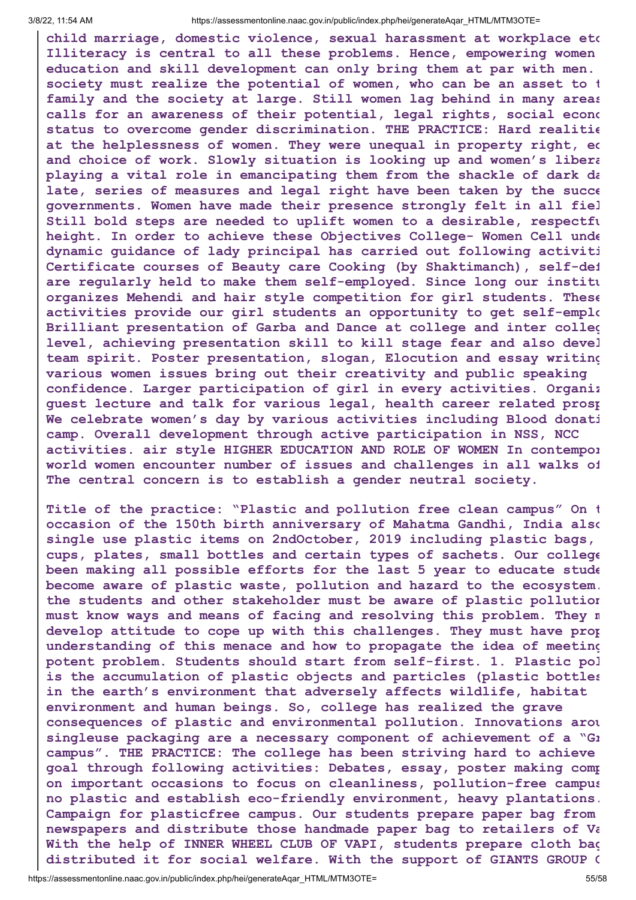**child marriage, domestic violence, sexual harassment at workplace etc Illiteracy is central to all these problems. Hence, empowering women education and skill development can only bring them at par with men. society must realize the potential of women, who can be an asset to t family and the society at large. Still women lag behind in many areas calls for an awareness of their potential, legal rights, social econo status to overcome gender discrimination. THE PRACTICE: Hard realitie at the helplessness of women. They were unequal in property right, ed and choice of work. Slowly situation is looking up and women's libera playing a vital role in emancipating them from the shackle of dark da late, series of measures and legal right have been taken by the succe governments. Women have made their presence strongly felt in all fiel Still bold steps are needed to uplift women to a desirable, respectfu height. In order to achieve these Objectives College- Women Cell unde dynamic guidance of lady principal has carried out following activiti Certificate courses of Beauty care Cooking (by Shaktimanch), self-def are regularly held to make them self-employed. Since long our institu organizes Mehendi and hair style competition for girl students. These activities provide our girl students an opportunity to get self-emplo Brilliant presentation of Garba and Dance at college and inter colleg level, achieving presentation skill to kill stage fear and also devel team spirit. Poster presentation, slogan, Elocution and essay writing various women issues bring out their creativity and public speaking confidence. Larger participation of girl in every activities. Organiz guest lecture and talk for various legal, health career related prosp We celebrate women's day by various activities including Blood donati camp. Overall development through active participation in NSS, NCC activities. air style HIGHER EDUCATION AND ROLE OF WOMEN In contempor world women encounter number of issues and challenges in all walks of The central concern is to establish a gender neutral society.**

**Title of the practice: "Plastic and pollution free clean campus" On t occasion of the 150th birth anniversary of Mahatma Gandhi, India also single use plastic items on 2ndOctober, 2019 including plastic bags, cups, plates, small bottles and certain types of sachets. Our college been making all possible efforts for the last 5 year to educate stude become aware of plastic waste, pollution and hazard to the ecosystem. the students and other stakeholder must be aware of plastic pollution must know ways and means of facing and resolving this problem. They m develop attitude to cope up with this challenges. They must have prop understanding of this menace and how to propagate the idea of meeting potent problem. Students should start from self-first. 1. Plastic pol is the accumulation of plastic objects and particles (plastic bottles in the earth's environment that adversely affects wildlife, habitat environment and human beings. So, college has realized the grave consequences of plastic and environmental pollution. Innovations arou singleuse packaging are a necessary component of achievement of a "Gr campus". THE PRACTICE: The college has been striving hard to achieve goal through following activities: Debates, essay, poster making comp on important occasions to focus on cleanliness, pollution-free campus no plastic and establish eco-friendly environment, heavy plantations. Campaign for plasticfree campus. Our students prepare paper bag from newspapers and distribute those handmade paper bag to retailers of Va With the help of INNER WHEEL CLUB OF VAPI, students prepare cloth bag distributed it for social welfare. With the support of GIANTS GROUP O**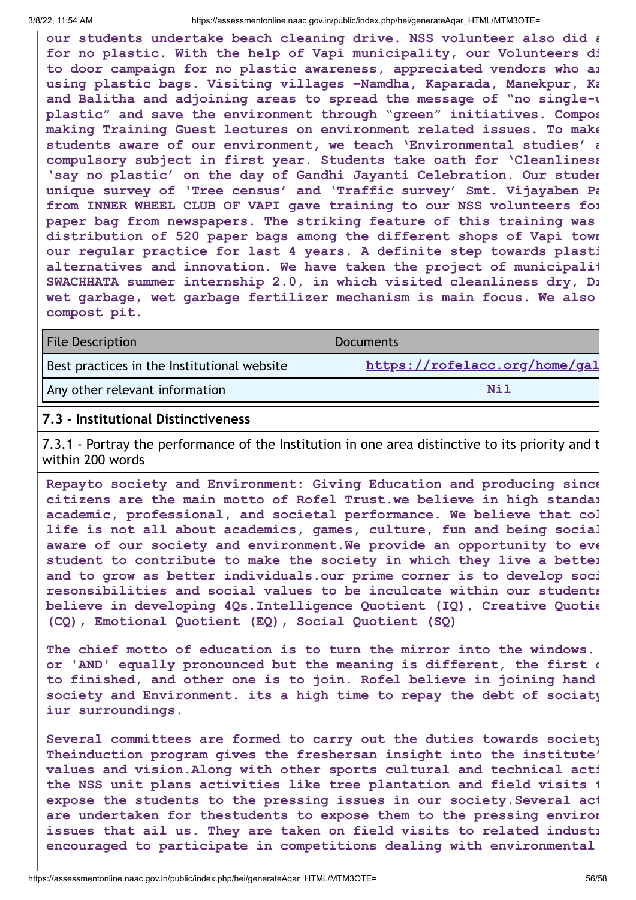**our students undertake beach cleaning drive. NSS volunteer also did a for no plastic. With the help of Vapi municipality, our Volunteers di to door campaign for no plastic awareness, appreciated vendors who ar using plastic bags. Visiting villages –Namdha, Kaparada, Manekpur, Ka and Balitha and adjoining areas to spread the message of "no single-u plastic" and save the environment through "green" initiatives. Compos making Training Guest lectures on environment related issues. To make students aware of our environment, we teach 'Environmental studies' a compulsory subject in first year. Students take oath for 'Cleanliness 'say no plastic' on the day of Gandhi Jayanti Celebration. Our studen unique survey of 'Tree census' and 'Traffic survey' Smt. Vijayaben Pa from INNER WHEEL CLUB OF VAPI gave training to our NSS volunteers for paper bag from newspapers. The striking feature of this training was distribution of 520 paper bags among the different shops of Vapi town our regular practice for last 4 years. A definite step towards plasti alternatives and innovation. We have taken the project of municipalit SWACHHATA summer internship 2.0, in which visited cleanliness dry, Dr wet garbage, wet garbage fertilizer mechanism is main focus. We also compost pit.**

| <b>File Description</b>                     | Documents                     |
|---------------------------------------------|-------------------------------|
| Best practices in the Institutional website | https://rofelacc.org/home/gal |
| Any other relevant information              | Nil                           |

#### **7.3 - Institutional Distinctiveness**

7.3.1 - Portray the performance of the Institution in one area distinctive to its priority and t within 200 words

**Repayto society and Environment: Giving Education and producing since citizens are the main motto of Rofel Trust.we believe in high standar academic, professional, and societal performance. We believe that col life is not all about academics, games, culture, fun and being social aware of our society and environment.We provide an opportunity to eve student to contribute to make the society in which they live a better and to grow as better individuals.our prime corner is to develop soci resonsibilities and social values to be inculcate within our students believe in developing 4Qs.Intelligence Quotient (IQ), Creative Quotie (CQ), Emotional Quotient (EQ), Social Quotient (SQ)**

**The chief motto of education is to turn the mirror into the windows. or 'AND' equally pronounced but the meaning is different, the first o to finished, and other one is to join. Rofel believe in joining hand society and Environment. its a high time to repay the debt of sociaty iur surroundings.**

**Several committees are formed to carry out the duties towards society Theinduction program gives the freshersan insight into the institute' values and vision.Along with other sports cultural and technical acti the NSS unit plans activities like tree plantation and field visits t expose the students to the pressing issues in our society.Several act are undertaken for thestudents to expose them to the pressing environ issues that ail us. They are taken on field visits to related industr encouraged to participate in competitions dealing with environmental**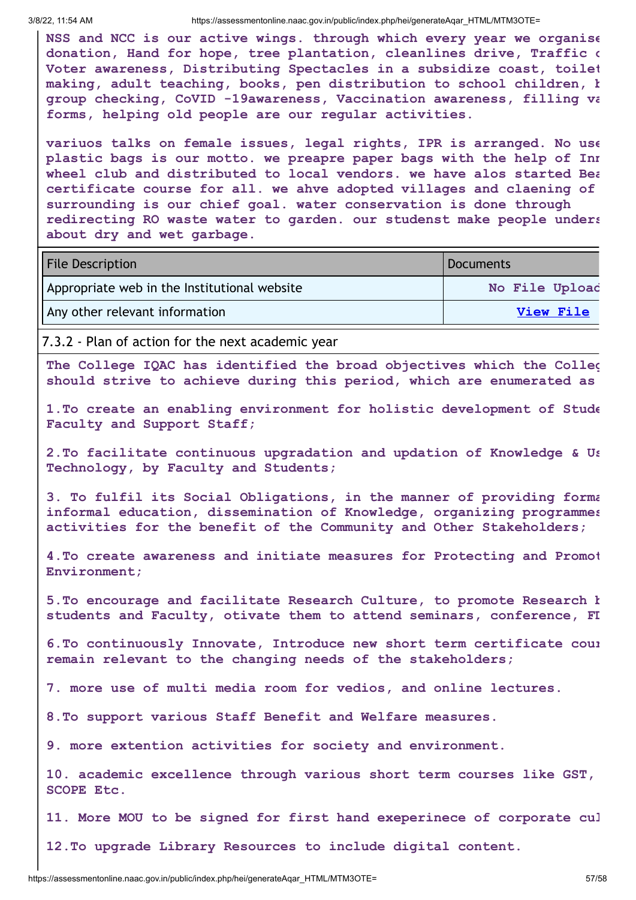**NSS and NCC is our active wings. through which every year we organise donation, Hand for hope, tree plantation, cleanlines drive, Traffic c Voter awareness, Distributing Spectacles in a subsidize coast, toilet making, adult teaching, books, pen distribution to school children, b group checking, CoVID -19awareness, Vaccination awareness, filling va forms, helping old people are our regular activities.**

**variuos talks on female issues, legal rights, IPR is arranged. No use plastic bags is our motto. we preapre paper bags with the help of Inn wheel club and distributed to local vendors. we have alos started Bea certificate course for all. we ahve adopted villages and claening of surrounding is our chief goal. water conservation is done through redirecting RO waste water to garden. our studenst make people unders about dry and wet garbage.**

| <b>File Description</b>                      | Documents      |
|----------------------------------------------|----------------|
| Appropriate web in the Institutional website | No File Upload |
| Any other relevant information               | View File      |

7.3.2 - Plan of action for the next academic year

**The College IQAC has identified the broad objectives which the Colleg should strive to achieve during this period, which are enumerated as**

**1.To create an enabling environment for holistic development of Stude Faculty and Support Staff;**

**2.To facilitate continuous upgradation and updation of Knowledge & Us Technology, by Faculty and Students;**

**3. To fulfil its Social Obligations, in the manner of providing forma informal education, dissemination of Knowledge, organizing programmes activities for the benefit of the Community and Other Stakeholders;**

**4.To create awareness and initiate measures for Protecting and Promot Environment;**

**5.To encourage and facilitate Research Culture, to promote Research b students and Faculty, otivate them to attend seminars, conference, FD**

**6.To continuously Innovate, Introduce new short term certificate cour remain relevant to the changing needs of the stakeholders;**

**7. more use of multi media room for vedios, and online lectures.**

**8.To support various Staff Benefit and Welfare measures.**

**9. more extention activities for society and environment.**

**10. academic excellence through various short term courses like GST, SCOPE Etc.**

**11. More MOU to be signed for first hand exeperinece of corporate cul**

**12.To upgrade Library Resources to include digital content.**